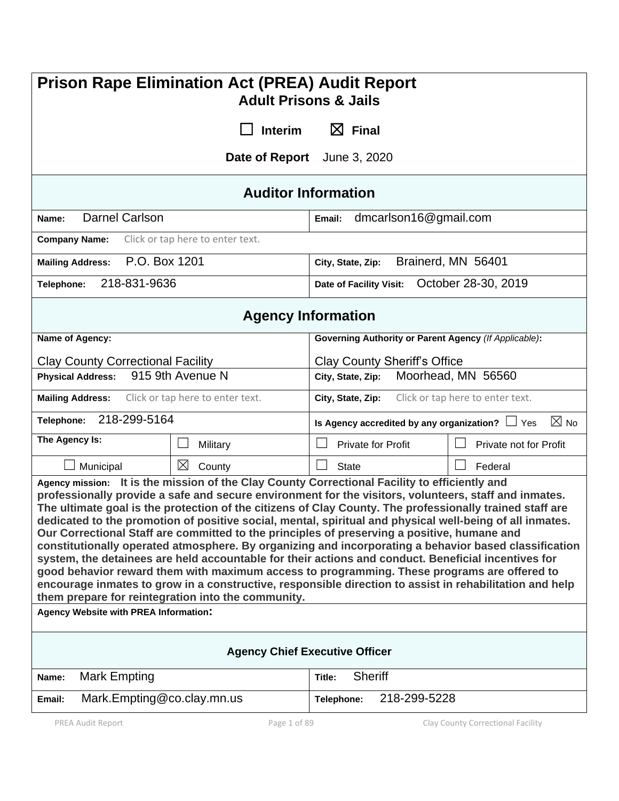| <b>Prison Rape Elimination Act (PREA) Audit Report</b><br><b>Adult Prisons &amp; Jails</b>                                                                                                                                                                                                                                                                                                                                                                                                                                                                                                                                                                                                                                                                                                                                                                                                                                                                                                                    |                                                                        |  |  |  |
|---------------------------------------------------------------------------------------------------------------------------------------------------------------------------------------------------------------------------------------------------------------------------------------------------------------------------------------------------------------------------------------------------------------------------------------------------------------------------------------------------------------------------------------------------------------------------------------------------------------------------------------------------------------------------------------------------------------------------------------------------------------------------------------------------------------------------------------------------------------------------------------------------------------------------------------------------------------------------------------------------------------|------------------------------------------------------------------------|--|--|--|
| <b>Interim</b>                                                                                                                                                                                                                                                                                                                                                                                                                                                                                                                                                                                                                                                                                                                                                                                                                                                                                                                                                                                                | $\boxtimes$ Final                                                      |  |  |  |
|                                                                                                                                                                                                                                                                                                                                                                                                                                                                                                                                                                                                                                                                                                                                                                                                                                                                                                                                                                                                               | Date of Report June 3, 2020                                            |  |  |  |
| <b>Auditor Information</b>                                                                                                                                                                                                                                                                                                                                                                                                                                                                                                                                                                                                                                                                                                                                                                                                                                                                                                                                                                                    |                                                                        |  |  |  |
| <b>Darnel Carlson</b><br>Name:                                                                                                                                                                                                                                                                                                                                                                                                                                                                                                                                                                                                                                                                                                                                                                                                                                                                                                                                                                                | dmcarlson16@gmail.com<br>Email:                                        |  |  |  |
| <b>Company Name:</b><br>Click or tap here to enter text.                                                                                                                                                                                                                                                                                                                                                                                                                                                                                                                                                                                                                                                                                                                                                                                                                                                                                                                                                      |                                                                        |  |  |  |
| P.O. Box 1201<br><b>Mailing Address:</b>                                                                                                                                                                                                                                                                                                                                                                                                                                                                                                                                                                                                                                                                                                                                                                                                                                                                                                                                                                      | Brainerd, MN 56401<br>City, State, Zip:                                |  |  |  |
| 218-831-9636<br>Telephone:                                                                                                                                                                                                                                                                                                                                                                                                                                                                                                                                                                                                                                                                                                                                                                                                                                                                                                                                                                                    | October 28-30, 2019<br>Date of Facility Visit:                         |  |  |  |
| <b>Agency Information</b>                                                                                                                                                                                                                                                                                                                                                                                                                                                                                                                                                                                                                                                                                                                                                                                                                                                                                                                                                                                     |                                                                        |  |  |  |
| Name of Agency:                                                                                                                                                                                                                                                                                                                                                                                                                                                                                                                                                                                                                                                                                                                                                                                                                                                                                                                                                                                               | Governing Authority or Parent Agency (If Applicable):                  |  |  |  |
| <b>Clay County Correctional Facility</b>                                                                                                                                                                                                                                                                                                                                                                                                                                                                                                                                                                                                                                                                                                                                                                                                                                                                                                                                                                      | <b>Clay County Sheriff's Office</b>                                    |  |  |  |
| 915 9th Avenue N<br><b>Physical Address:</b>                                                                                                                                                                                                                                                                                                                                                                                                                                                                                                                                                                                                                                                                                                                                                                                                                                                                                                                                                                  | Moorhead, MN 56560<br>City, State, Zip:                                |  |  |  |
| <b>Mailing Address:</b><br>Click or tap here to enter text.                                                                                                                                                                                                                                                                                                                                                                                                                                                                                                                                                                                                                                                                                                                                                                                                                                                                                                                                                   | Click or tap here to enter text.<br>City, State, Zip:                  |  |  |  |
| 218-299-5164<br>Telephone:                                                                                                                                                                                                                                                                                                                                                                                                                                                                                                                                                                                                                                                                                                                                                                                                                                                                                                                                                                                    | $\boxtimes$ No<br>Is Agency accredited by any organization? $\Box$ Yes |  |  |  |
| The Agency Is:<br>Military                                                                                                                                                                                                                                                                                                                                                                                                                                                                                                                                                                                                                                                                                                                                                                                                                                                                                                                                                                                    | <b>Private for Profit</b><br>Private not for Profit                    |  |  |  |
| $\boxtimes$<br>Municipal<br>County                                                                                                                                                                                                                                                                                                                                                                                                                                                                                                                                                                                                                                                                                                                                                                                                                                                                                                                                                                            | <b>State</b><br>Federal                                                |  |  |  |
| Agency mission: It is the mission of the Clay County Correctional Facility to efficiently and<br>professionally provide a safe and secure environment for the visitors, volunteers, staff and inmates.<br>The ultimate goal is the protection of the citizens of Clay County. The professionally trained staff are<br>dedicated to the promotion of positive social, mental, spiritual and physical well-being of all inmates.<br>Our Correctional Staff are committed to the principles of preserving a positive, humane and<br>constitutionally operated atmosphere. By organizing and incorporating a behavior based classification<br>system, the detainees are held accountable for their actions and conduct. Beneficial incentives for<br>good behavior reward them with maximum access to programming. These programs are offered to<br>encourage inmates to grow in a constructive, responsible direction to assist in rehabilitation and help<br>them prepare for reintegration into the community. |                                                                        |  |  |  |
| Agency Website with PREA Information:                                                                                                                                                                                                                                                                                                                                                                                                                                                                                                                                                                                                                                                                                                                                                                                                                                                                                                                                                                         |                                                                        |  |  |  |
| <b>Agency Chief Executive Officer</b>                                                                                                                                                                                                                                                                                                                                                                                                                                                                                                                                                                                                                                                                                                                                                                                                                                                                                                                                                                         |                                                                        |  |  |  |
| <b>Mark Empting</b><br>Name:                                                                                                                                                                                                                                                                                                                                                                                                                                                                                                                                                                                                                                                                                                                                                                                                                                                                                                                                                                                  | <b>Sheriff</b><br>Title:                                               |  |  |  |
| Mark.Empting@co.clay.mn.us<br>Email:                                                                                                                                                                                                                                                                                                                                                                                                                                                                                                                                                                                                                                                                                                                                                                                                                                                                                                                                                                          | 218-299-5228<br>Telephone:                                             |  |  |  |
| PREA Audit Report<br>Page 1 of 89                                                                                                                                                                                                                                                                                                                                                                                                                                                                                                                                                                                                                                                                                                                                                                                                                                                                                                                                                                             | Clay County Correctional Facility                                      |  |  |  |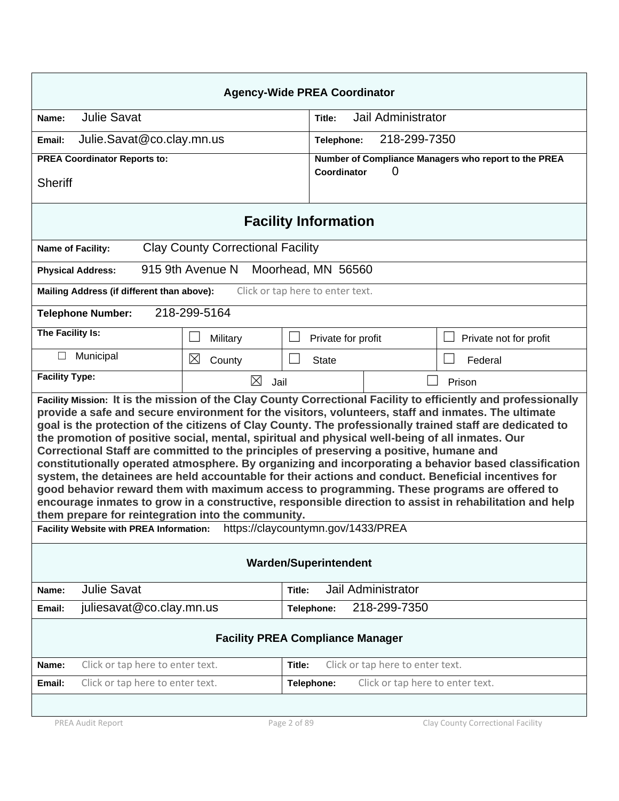| <b>Agency-Wide PREA Coordinator</b>                                                                                                                                                                                                                                                                                                                                                                                                                                                                                                                                                                                                                                                                                                                                                                                                                                                                                                                                                                             |                                                        |  |  |  |  |
|-----------------------------------------------------------------------------------------------------------------------------------------------------------------------------------------------------------------------------------------------------------------------------------------------------------------------------------------------------------------------------------------------------------------------------------------------------------------------------------------------------------------------------------------------------------------------------------------------------------------------------------------------------------------------------------------------------------------------------------------------------------------------------------------------------------------------------------------------------------------------------------------------------------------------------------------------------------------------------------------------------------------|--------------------------------------------------------|--|--|--|--|
| <b>Julie Savat</b><br>Name:                                                                                                                                                                                                                                                                                                                                                                                                                                                                                                                                                                                                                                                                                                                                                                                                                                                                                                                                                                                     | Jail Administrator<br>Title:                           |  |  |  |  |
| Julie.Savat@co.clay.mn.us<br>Email:                                                                                                                                                                                                                                                                                                                                                                                                                                                                                                                                                                                                                                                                                                                                                                                                                                                                                                                                                                             | 218-299-7350<br>Telephone:                             |  |  |  |  |
| <b>PREA Coordinator Reports to:</b>                                                                                                                                                                                                                                                                                                                                                                                                                                                                                                                                                                                                                                                                                                                                                                                                                                                                                                                                                                             | Number of Compliance Managers who report to the PREA   |  |  |  |  |
| <b>Sheriff</b>                                                                                                                                                                                                                                                                                                                                                                                                                                                                                                                                                                                                                                                                                                                                                                                                                                                                                                                                                                                                  | Coordinator<br>O)                                      |  |  |  |  |
|                                                                                                                                                                                                                                                                                                                                                                                                                                                                                                                                                                                                                                                                                                                                                                                                                                                                                                                                                                                                                 | <b>Facility Information</b>                            |  |  |  |  |
| <b>Clay County Correctional Facility</b><br>Name of Facility:                                                                                                                                                                                                                                                                                                                                                                                                                                                                                                                                                                                                                                                                                                                                                                                                                                                                                                                                                   |                                                        |  |  |  |  |
| 915 9th Avenue N<br><b>Physical Address:</b>                                                                                                                                                                                                                                                                                                                                                                                                                                                                                                                                                                                                                                                                                                                                                                                                                                                                                                                                                                    | Moorhead, MN 56560                                     |  |  |  |  |
| Mailing Address (if different than above):                                                                                                                                                                                                                                                                                                                                                                                                                                                                                                                                                                                                                                                                                                                                                                                                                                                                                                                                                                      | Click or tap here to enter text.                       |  |  |  |  |
| 218-299-5164<br><b>Telephone Number:</b>                                                                                                                                                                                                                                                                                                                                                                                                                                                                                                                                                                                                                                                                                                                                                                                                                                                                                                                                                                        |                                                        |  |  |  |  |
| The Facility Is:<br>Military                                                                                                                                                                                                                                                                                                                                                                                                                                                                                                                                                                                                                                                                                                                                                                                                                                                                                                                                                                                    | $\Box$<br>Private for profit<br>Private not for profit |  |  |  |  |
| Municipal<br>П<br>$\boxtimes$<br>County                                                                                                                                                                                                                                                                                                                                                                                                                                                                                                                                                                                                                                                                                                                                                                                                                                                                                                                                                                         | Federal<br><b>State</b>                                |  |  |  |  |
| <b>Facility Type:</b><br>X<br>Jail                                                                                                                                                                                                                                                                                                                                                                                                                                                                                                                                                                                                                                                                                                                                                                                                                                                                                                                                                                              | Prison                                                 |  |  |  |  |
| Facility Mission: It is the mission of the Clay County Correctional Facility to efficiently and professionally<br>provide a safe and secure environment for the visitors, volunteers, staff and inmates. The ultimate<br>goal is the protection of the citizens of Clay County. The professionally trained staff are dedicated to<br>the promotion of positive social, mental, spiritual and physical well-being of all inmates. Our<br>Correctional Staff are committed to the principles of preserving a positive, humane and<br>constitutionally operated atmosphere. By organizing and incorporating a behavior based classification<br>system, the detainees are held accountable for their actions and conduct. Beneficial incentives for<br>good behavior reward them with maximum access to programming. These programs are offered to<br>encourage inmates to grow in a constructive, responsible direction to assist in rehabilitation and help<br>them prepare for reintegration into the community. |                                                        |  |  |  |  |
| https://claycountymn.gov/1433/PREA<br>Facility Website with PREA Information:                                                                                                                                                                                                                                                                                                                                                                                                                                                                                                                                                                                                                                                                                                                                                                                                                                                                                                                                   |                                                        |  |  |  |  |
| <b>Warden/Superintendent</b>                                                                                                                                                                                                                                                                                                                                                                                                                                                                                                                                                                                                                                                                                                                                                                                                                                                                                                                                                                                    |                                                        |  |  |  |  |
| <b>Julie Savat</b><br>Name:                                                                                                                                                                                                                                                                                                                                                                                                                                                                                                                                                                                                                                                                                                                                                                                                                                                                                                                                                                                     | Jail Administrator<br>Title:                           |  |  |  |  |
| juliesavat@co.clay.mn.us<br>Email:                                                                                                                                                                                                                                                                                                                                                                                                                                                                                                                                                                                                                                                                                                                                                                                                                                                                                                                                                                              | 218-299-7350<br>Telephone:                             |  |  |  |  |
| <b>Facility PREA Compliance Manager</b>                                                                                                                                                                                                                                                                                                                                                                                                                                                                                                                                                                                                                                                                                                                                                                                                                                                                                                                                                                         |                                                        |  |  |  |  |
| Click or tap here to enter text.<br>Name:                                                                                                                                                                                                                                                                                                                                                                                                                                                                                                                                                                                                                                                                                                                                                                                                                                                                                                                                                                       | Click or tap here to enter text.<br>Title:             |  |  |  |  |
| Click or tap here to enter text.<br>Email:                                                                                                                                                                                                                                                                                                                                                                                                                                                                                                                                                                                                                                                                                                                                                                                                                                                                                                                                                                      | Click or tap here to enter text.<br>Telephone:         |  |  |  |  |
|                                                                                                                                                                                                                                                                                                                                                                                                                                                                                                                                                                                                                                                                                                                                                                                                                                                                                                                                                                                                                 |                                                        |  |  |  |  |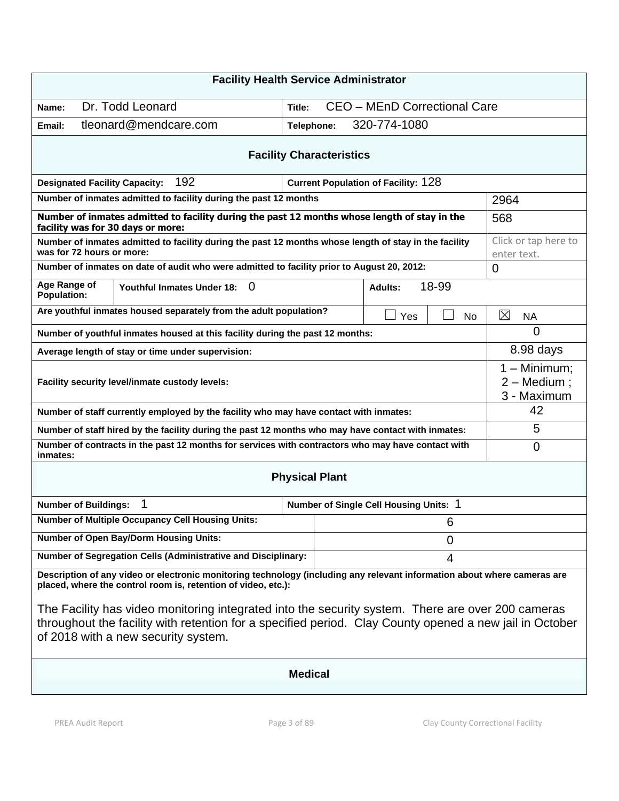| <b>Facility Health Service Administrator</b>                                                                                                                                                                                                        |                                            |                                              |  |  |
|-----------------------------------------------------------------------------------------------------------------------------------------------------------------------------------------------------------------------------------------------------|--------------------------------------------|----------------------------------------------|--|--|
| Dr. Todd Leonard<br>Name:                                                                                                                                                                                                                           | CEO - MEnD Correctional Care<br>Title:     |                                              |  |  |
| tleonard@mendcare.com<br>Email:                                                                                                                                                                                                                     | 320-774-1080<br>Telephone:                 |                                              |  |  |
| <b>Facility Characteristics</b>                                                                                                                                                                                                                     |                                            |                                              |  |  |
| 192<br><b>Designated Facility Capacity:</b>                                                                                                                                                                                                         | <b>Current Population of Facility: 128</b> |                                              |  |  |
| Number of inmates admitted to facility during the past 12 months                                                                                                                                                                                    |                                            | 2964                                         |  |  |
| Number of inmates admitted to facility during the past 12 months whose length of stay in the<br>facility was for 30 days or more:                                                                                                                   |                                            | 568                                          |  |  |
| Number of inmates admitted to facility during the past 12 months whose length of stay in the facility<br>was for 72 hours or more:                                                                                                                  |                                            | Click or tap here to<br>enter text.          |  |  |
| Number of inmates on date of audit who were admitted to facility prior to August 20, 2012:                                                                                                                                                          |                                            | 0                                            |  |  |
| Age Range of<br>$\Omega$<br><b>Youthful Inmates Under 18:</b><br><b>Population:</b>                                                                                                                                                                 | 18-99<br><b>Adults:</b>                    |                                              |  |  |
| Are youthful inmates housed separately from the adult population?                                                                                                                                                                                   | Yes<br><b>No</b>                           | ⊠<br><b>NA</b>                               |  |  |
| Number of youthful inmates housed at this facility during the past 12 months:                                                                                                                                                                       |                                            | 0                                            |  |  |
| Average length of stay or time under supervision:                                                                                                                                                                                                   |                                            | 8.98 days                                    |  |  |
| Facility security level/inmate custody levels:                                                                                                                                                                                                      |                                            | $1 -$ Minimum;<br>2 - Medium;<br>3 - Maximum |  |  |
| Number of staff currently employed by the facility who may have contact with inmates:                                                                                                                                                               |                                            | 42                                           |  |  |
| Number of staff hired by the facility during the past 12 months who may have contact with inmates:                                                                                                                                                  |                                            | 5                                            |  |  |
| Number of contracts in the past 12 months for services with contractors who may have contact with<br>inmates:                                                                                                                                       |                                            | 0                                            |  |  |
| <b>Physical Plant</b>                                                                                                                                                                                                                               |                                            |                                              |  |  |
| 1<br><b>Number of Buildings:</b>                                                                                                                                                                                                                    | Number of Single Cell Housing Units: 1     |                                              |  |  |
| <b>Number of Multiple Occupancy Cell Housing Units:</b>                                                                                                                                                                                             | 6                                          |                                              |  |  |
| <b>Number of Open Bay/Dorm Housing Units:</b><br>$\mathbf 0$                                                                                                                                                                                        |                                            |                                              |  |  |
| Number of Segregation Cells (Administrative and Disciplinary:<br>4                                                                                                                                                                                  |                                            |                                              |  |  |
| Description of any video or electronic monitoring technology (including any relevant information about where cameras are<br>placed, where the control room is, retention of video, etc.):                                                           |                                            |                                              |  |  |
| The Facility has video monitoring integrated into the security system. There are over 200 cameras<br>throughout the facility with retention for a specified period. Clay County opened a new jail in October<br>of 2018 with a new security system. |                                            |                                              |  |  |
| <b>Medical</b>                                                                                                                                                                                                                                      |                                            |                                              |  |  |
|                                                                                                                                                                                                                                                     |                                            |                                              |  |  |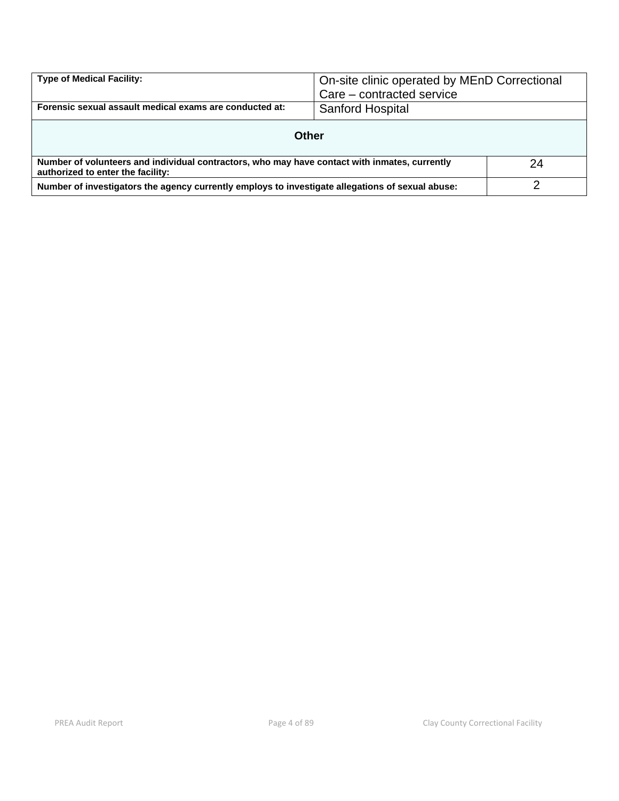| <b>Type of Medical Facility:</b>                                                                                                   | On-site clinic operated by MEnD Correctional<br>Care – contracted service |  |  |
|------------------------------------------------------------------------------------------------------------------------------------|---------------------------------------------------------------------------|--|--|
| Forensic sexual assault medical exams are conducted at:                                                                            | Sanford Hospital                                                          |  |  |
| Other                                                                                                                              |                                                                           |  |  |
| Number of volunteers and individual contractors, who may have contact with inmates, currently<br>authorized to enter the facility: |                                                                           |  |  |
| Number of investigators the agency currently employs to investigate allegations of sexual abuse:                                   |                                                                           |  |  |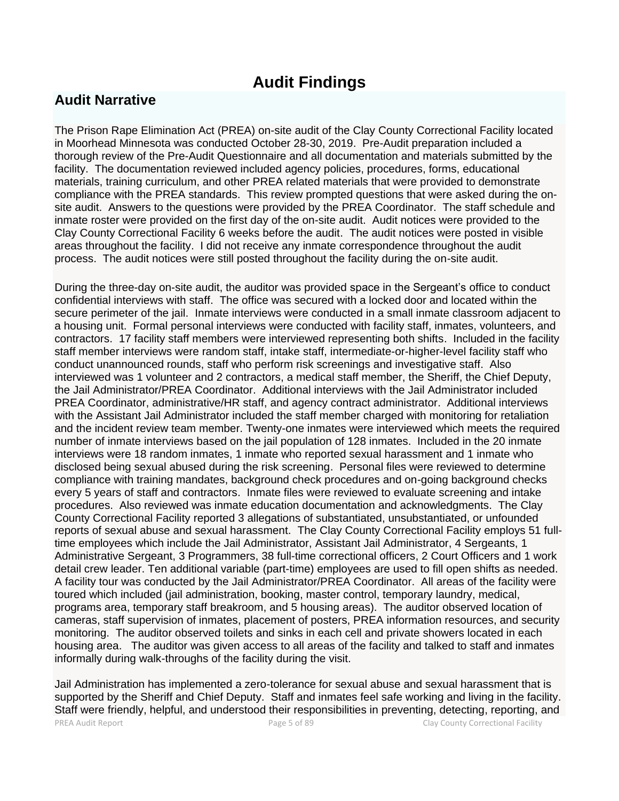# **Audit Findings**

# **Audit Narrative**

The Prison Rape Elimination Act (PREA) on-site audit of the Clay County Correctional Facility located in Moorhead Minnesota was conducted October 28-30, 2019. Pre-Audit preparation included a thorough review of the Pre-Audit Questionnaire and all documentation and materials submitted by the facility. The documentation reviewed included agency policies, procedures, forms, educational materials, training curriculum, and other PREA related materials that were provided to demonstrate compliance with the PREA standards. This review prompted questions that were asked during the onsite audit. Answers to the questions were provided by the PREA Coordinator. The staff schedule and inmate roster were provided on the first day of the on-site audit. Audit notices were provided to the Clay County Correctional Facility 6 weeks before the audit. The audit notices were posted in visible areas throughout the facility. I did not receive any inmate correspondence throughout the audit process. The audit notices were still posted throughout the facility during the on-site audit.

During the three-day on-site audit, the auditor was provided space in the Sergeant's office to conduct confidential interviews with staff. The office was secured with a locked door and located within the secure perimeter of the jail. Inmate interviews were conducted in a small inmate classroom adjacent to a housing unit. Formal personal interviews were conducted with facility staff, inmates, volunteers, and contractors. 17 facility staff members were interviewed representing both shifts. Included in the facility staff member interviews were random staff, intake staff, intermediate-or-higher-level facility staff who conduct unannounced rounds, staff who perform risk screenings and investigative staff. Also interviewed was 1 volunteer and 2 contractors, a medical staff member, the Sheriff, the Chief Deputy, the Jail Administrator/PREA Coordinator. Additional interviews with the Jail Administrator included PREA Coordinator, administrative/HR staff, and agency contract administrator. Additional interviews with the Assistant Jail Administrator included the staff member charged with monitoring for retaliation and the incident review team member. Twenty-one inmates were interviewed which meets the required number of inmate interviews based on the jail population of 128 inmates. Included in the 20 inmate interviews were 18 random inmates, 1 inmate who reported sexual harassment and 1 inmate who disclosed being sexual abused during the risk screening. Personal files were reviewed to determine compliance with training mandates, background check procedures and on-going background checks every 5 years of staff and contractors. Inmate files were reviewed to evaluate screening and intake procedures. Also reviewed was inmate education documentation and acknowledgments. The Clay County Correctional Facility reported 3 allegations of substantiated, unsubstantiated, or unfounded reports of sexual abuse and sexual harassment. The Clay County Correctional Facility employs 51 fulltime employees which include the Jail Administrator, Assistant Jail Administrator, 4 Sergeants, 1 Administrative Sergeant, 3 Programmers, 38 full-time correctional officers, 2 Court Officers and 1 work detail crew leader. Ten additional variable (part-time) employees are used to fill open shifts as needed. A facility tour was conducted by the Jail Administrator/PREA Coordinator. All areas of the facility were toured which included (jail administration, booking, master control, temporary laundry, medical, programs area, temporary staff breakroom, and 5 housing areas). The auditor observed location of cameras, staff supervision of inmates, placement of posters, PREA information resources, and security monitoring. The auditor observed toilets and sinks in each cell and private showers located in each housing area. The auditor was given access to all areas of the facility and talked to staff and inmates informally during walk-throughs of the facility during the visit.

PREA Audit Report **Page 5 of 89** Page 5 of 89 Clay County Correctional Facility Jail Administration has implemented a zero-tolerance for sexual abuse and sexual harassment that is supported by the Sheriff and Chief Deputy. Staff and inmates feel safe working and living in the facility. Staff were friendly, helpful, and understood their responsibilities in preventing, detecting, reporting, and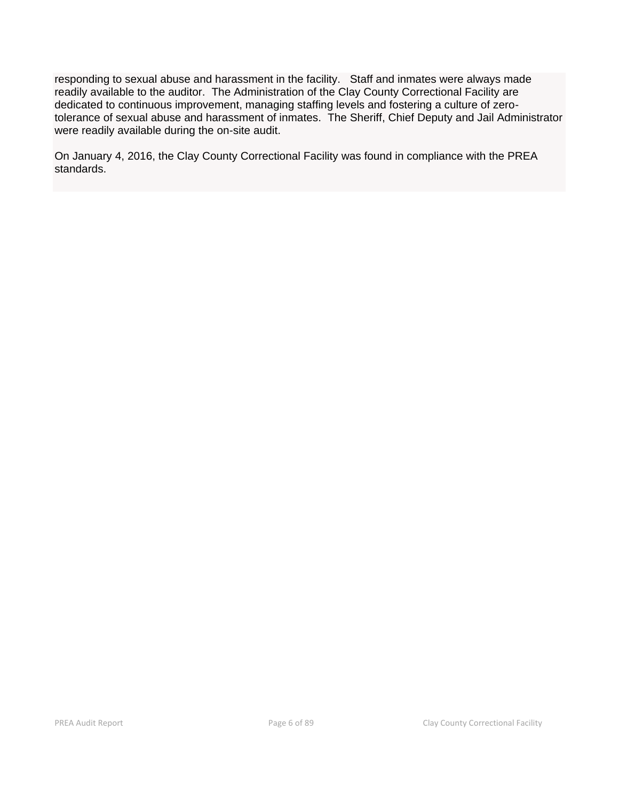responding to sexual abuse and harassment in the facility. Staff and inmates were always made readily available to the auditor. The Administration of the Clay County Correctional Facility are dedicated to continuous improvement, managing staffing levels and fostering a culture of zerotolerance of sexual abuse and harassment of inmates. The Sheriff, Chief Deputy and Jail Administrator were readily available during the on-site audit.

On January 4, 2016, the Clay County Correctional Facility was found in compliance with the PREA standards.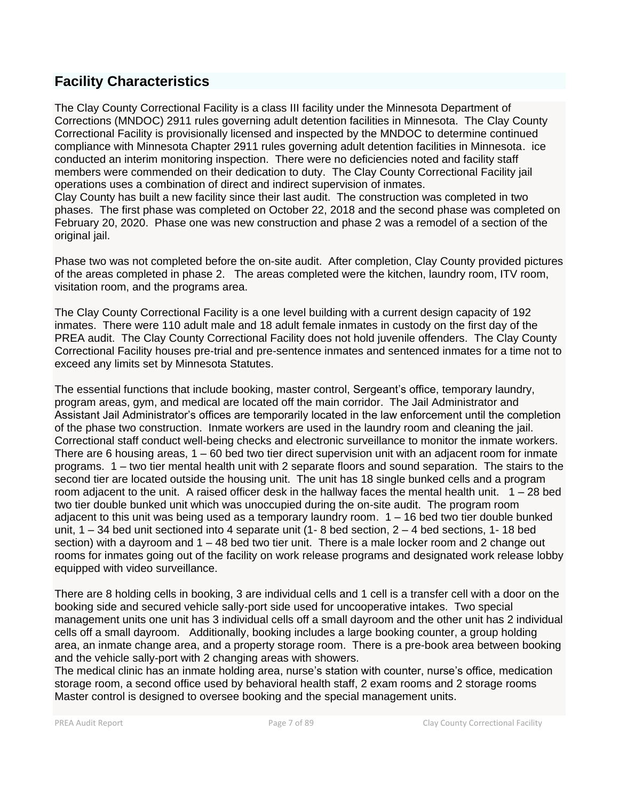# **Facility Characteristics**

The Clay County Correctional Facility is a class III facility under the Minnesota Department of Corrections (MNDOC) 2911 rules governing adult detention facilities in Minnesota. The Clay County Correctional Facility is provisionally licensed and inspected by the MNDOC to determine continued compliance with Minnesota Chapter 2911 rules governing adult detention facilities in Minnesota. ice conducted an interim monitoring inspection. There were no deficiencies noted and facility staff members were commended on their dedication to duty. The Clay County Correctional Facility jail operations uses a combination of direct and indirect supervision of inmates. Clay County has built a new facility since their last audit. The construction was completed in two phases. The first phase was completed on October 22, 2018 and the second phase was completed on February 20, 2020. Phase one was new construction and phase 2 was a remodel of a section of the original jail.

Phase two was not completed before the on-site audit. After completion, Clay County provided pictures of the areas completed in phase 2. The areas completed were the kitchen, laundry room, ITV room, visitation room, and the programs area.

The Clay County Correctional Facility is a one level building with a current design capacity of 192 inmates. There were 110 adult male and 18 adult female inmates in custody on the first day of the PREA audit. The Clay County Correctional Facility does not hold juvenile offenders. The Clay County Correctional Facility houses pre-trial and pre-sentence inmates and sentenced inmates for a time not to exceed any limits set by Minnesota Statutes.

The essential functions that include booking, master control, Sergeant's office, temporary laundry, program areas, gym, and medical are located off the main corridor. The Jail Administrator and Assistant Jail Administrator's offices are temporarily located in the law enforcement until the completion of the phase two construction. Inmate workers are used in the laundry room and cleaning the jail. Correctional staff conduct well-being checks and electronic surveillance to monitor the inmate workers. There are 6 housing areas, 1 – 60 bed two tier direct supervision unit with an adjacent room for inmate programs. 1 – two tier mental health unit with 2 separate floors and sound separation. The stairs to the second tier are located outside the housing unit. The unit has 18 single bunked cells and a program room adjacent to the unit. A raised officer desk in the hallway faces the mental health unit.  $1 - 28$  bed two tier double bunked unit which was unoccupied during the on-site audit. The program room adjacent to this unit was being used as a temporary laundry room. 1 – 16 bed two tier double bunked unit,  $1 - 34$  bed unit sectioned into 4 separate unit (1-8 bed section,  $2 - 4$  bed sections, 1-18 bed section) with a dayroom and 1 – 48 bed two tier unit. There is a male locker room and 2 change out rooms for inmates going out of the facility on work release programs and designated work release lobby equipped with video surveillance.

There are 8 holding cells in booking, 3 are individual cells and 1 cell is a transfer cell with a door on the booking side and secured vehicle sally-port side used for uncooperative intakes. Two special management units one unit has 3 individual cells off a small dayroom and the other unit has 2 individual cells off a small dayroom. Additionally, booking includes a large booking counter, a group holding area, an inmate change area, and a property storage room. There is a pre-book area between booking and the vehicle sally-port with 2 changing areas with showers.

The medical clinic has an inmate holding area, nurse's station with counter, nurse's office, medication storage room, a second office used by behavioral health staff, 2 exam rooms and 2 storage rooms Master control is designed to oversee booking and the special management units.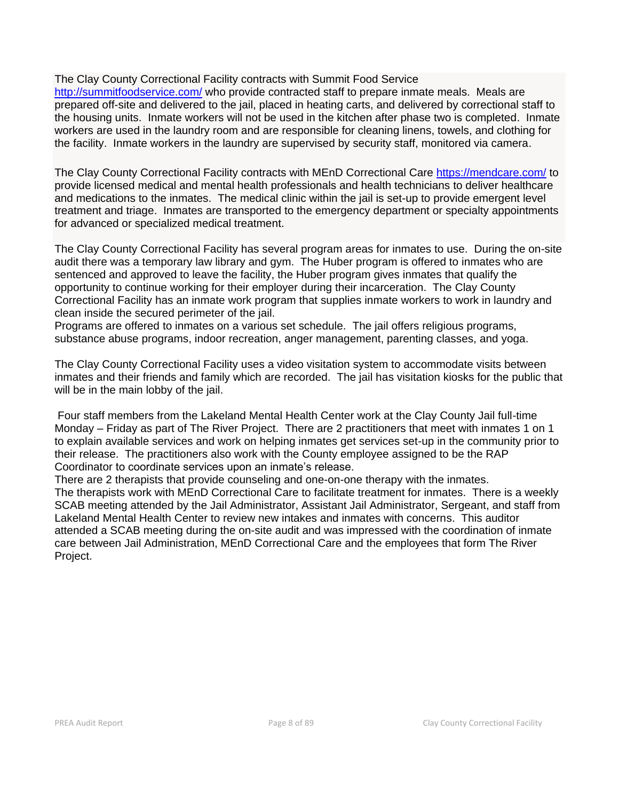The Clay County Correctional Facility contracts with Summit Food Service

<http://summitfoodservice.com/> who provide contracted staff to prepare inmate meals. Meals are prepared off-site and delivered to the jail, placed in heating carts, and delivered by correctional staff to the housing units. Inmate workers will not be used in the kitchen after phase two is completed. Inmate workers are used in the laundry room and are responsible for cleaning linens, towels, and clothing for the facility. Inmate workers in the laundry are supervised by security staff, monitored via camera.

The Clay County Correctional Facility contracts with MEnD Correctional Care<https://mendcare.com/> to provide licensed medical and mental health professionals and health technicians to deliver healthcare and medications to the inmates. The medical clinic within the jail is set-up to provide emergent level treatment and triage. Inmates are transported to the emergency department or specialty appointments for advanced or specialized medical treatment.

The Clay County Correctional Facility has several program areas for inmates to use. During the on-site audit there was a temporary law library and gym. The Huber program is offered to inmates who are sentenced and approved to leave the facility, the Huber program gives inmates that qualify the opportunity to continue working for their employer during their incarceration. The Clay County Correctional Facility has an inmate work program that supplies inmate workers to work in laundry and clean inside the secured perimeter of the jail.

Programs are offered to inmates on a various set schedule. The jail offers religious programs, substance abuse programs, indoor recreation, anger management, parenting classes, and yoga.

The Clay County Correctional Facility uses a video visitation system to accommodate visits between inmates and their friends and family which are recorded. The jail has visitation kiosks for the public that will be in the main lobby of the jail.

Four staff members from the Lakeland Mental Health Center work at the Clay County Jail full-time Monday – Friday as part of The River Project. There are 2 practitioners that meet with inmates 1 on 1 to explain available services and work on helping inmates get services set-up in the community prior to their release. The practitioners also work with the County employee assigned to be the RAP Coordinator to coordinate services upon an inmate's release.

There are 2 therapists that provide counseling and one-on-one therapy with the inmates. The therapists work with MEnD Correctional Care to facilitate treatment for inmates. There is a weekly SCAB meeting attended by the Jail Administrator, Assistant Jail Administrator, Sergeant, and staff from Lakeland Mental Health Center to review new intakes and inmates with concerns. This auditor attended a SCAB meeting during the on-site audit and was impressed with the coordination of inmate care between Jail Administration, MEnD Correctional Care and the employees that form The River Project.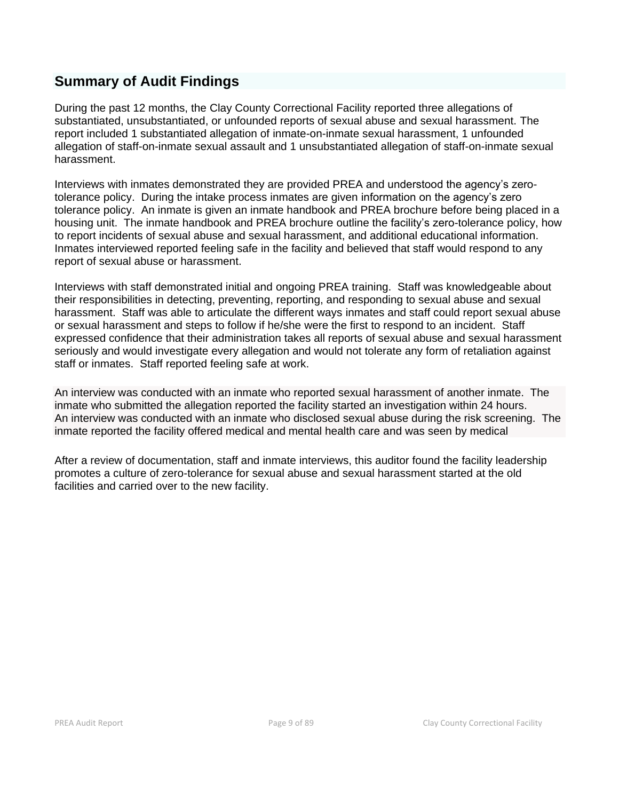# **Summary of Audit Findings**

During the past 12 months, the Clay County Correctional Facility reported three allegations of substantiated, unsubstantiated, or unfounded reports of sexual abuse and sexual harassment. The report included 1 substantiated allegation of inmate-on-inmate sexual harassment, 1 unfounded allegation of staff-on-inmate sexual assault and 1 unsubstantiated allegation of staff-on-inmate sexual harassment.

Interviews with inmates demonstrated they are provided PREA and understood the agency's zerotolerance policy. During the intake process inmates are given information on the agency's zero tolerance policy. An inmate is given an inmate handbook and PREA brochure before being placed in a housing unit. The inmate handbook and PREA brochure outline the facility's zero-tolerance policy, how to report incidents of sexual abuse and sexual harassment, and additional educational information. Inmates interviewed reported feeling safe in the facility and believed that staff would respond to any report of sexual abuse or harassment.

Interviews with staff demonstrated initial and ongoing PREA training. Staff was knowledgeable about their responsibilities in detecting, preventing, reporting, and responding to sexual abuse and sexual harassment. Staff was able to articulate the different ways inmates and staff could report sexual abuse or sexual harassment and steps to follow if he/she were the first to respond to an incident. Staff expressed confidence that their administration takes all reports of sexual abuse and sexual harassment seriously and would investigate every allegation and would not tolerate any form of retaliation against staff or inmates. Staff reported feeling safe at work.

An interview was conducted with an inmate who reported sexual harassment of another inmate. The inmate who submitted the allegation reported the facility started an investigation within 24 hours. An interview was conducted with an inmate who disclosed sexual abuse during the risk screening. The inmate reported the facility offered medical and mental health care and was seen by medical

After a review of documentation, staff and inmate interviews, this auditor found the facility leadership promotes a culture of zero-tolerance for sexual abuse and sexual harassment started at the old facilities and carried over to the new facility.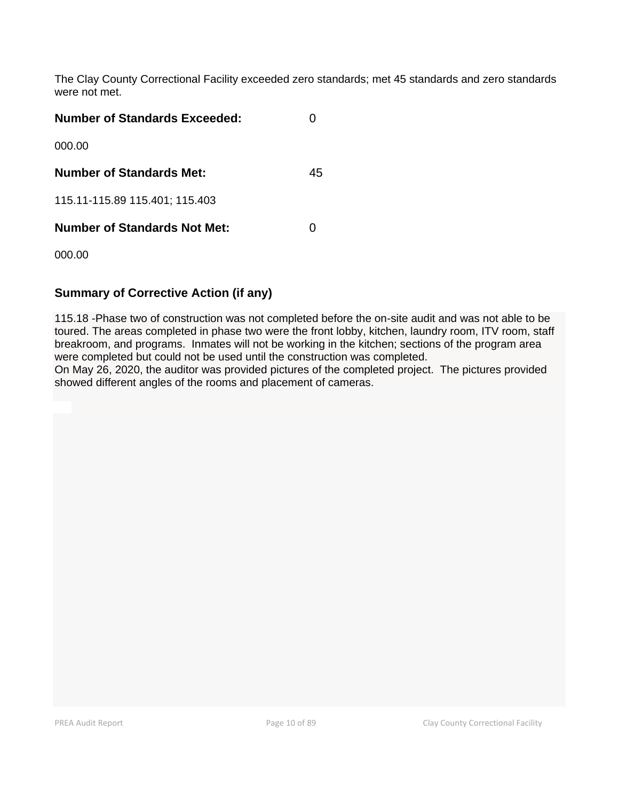The Clay County Correctional Facility exceeded zero standards; met 45 standards and zero standards were not met.

| <b>Number of Standards Exceeded:</b> |    |
|--------------------------------------|----|
| 000.00                               |    |
| <b>Number of Standards Met:</b>      | 45 |
| 115.11-115.89 115.401; 115.403       |    |
| <b>Number of Standards Not Met:</b>  |    |

000.00

### **Summary of Corrective Action (if any)**

115.18 -Phase two of construction was not completed before the on-site audit and was not able to be toured. The areas completed in phase two were the front lobby, kitchen, laundry room, ITV room, staff breakroom, and programs. Inmates will not be working in the kitchen; sections of the program area were completed but could not be used until the construction was completed.

On May 26, 2020, the auditor was provided pictures of the completed project. The pictures provided showed different angles of the rooms and placement of cameras.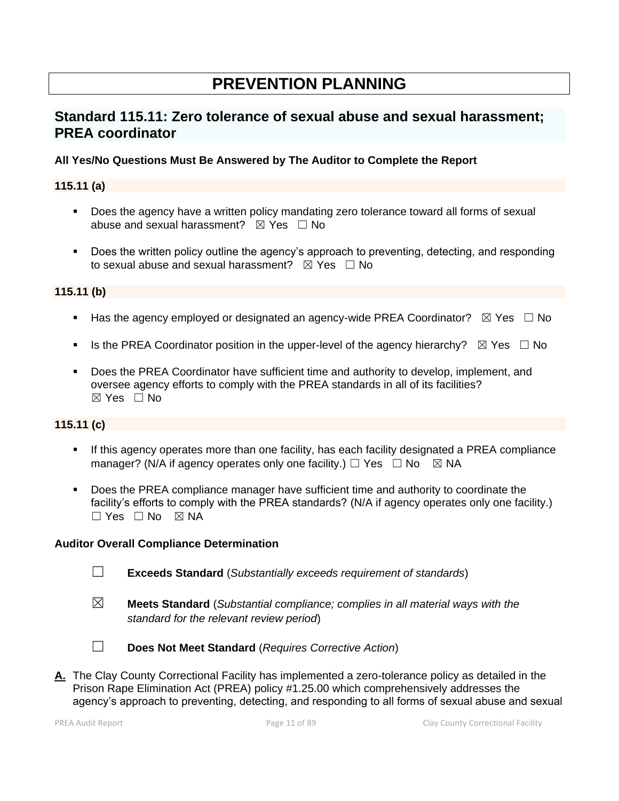# **PREVENTION PLANNING**

# **Standard 115.11: Zero tolerance of sexual abuse and sexual harassment; PREA coordinator**

#### **All Yes/No Questions Must Be Answered by The Auditor to Complete the Report**

#### **115.11 (a)**

- Does the agency have a written policy mandating zero tolerance toward all forms of sexual abuse and sexual harassment?  $\boxtimes$  Yes  $\Box$  No
- Does the written policy outline the agency's approach to preventing, detecting, and responding to sexual abuse and sexual harassment?  $\boxtimes$  Yes  $\Box$  No

#### **115.11 (b)**

- **■** Has the agency employed or designated an agency-wide PREA Coordinator?  $\boxtimes$  Yes  $\Box$  No
- **■** Is the PREA Coordinator position in the upper-level of the agency hierarchy?  $\boxtimes$  Yes  $\Box$  No
- Does the PREA Coordinator have sufficient time and authority to develop, implement, and oversee agency efforts to comply with the PREA standards in all of its facilities?  $\boxtimes$  Yes  $\Box$  No

#### **115.11 (c)**

- **EXT** If this agency operates more than one facility, has each facility designated a PREA compliance manager? (N/A if agency operates only one facility.)  $\Box$  Yes  $\Box$  No  $\boxtimes$  NA
- **•** Does the PREA compliance manager have sufficient time and authority to coordinate the facility's efforts to comply with the PREA standards? (N/A if agency operates only one facility.)  $\square$  Yes  $\square$  No  $\square$  NA

#### **Auditor Overall Compliance Determination**

- ☐ **Exceeds Standard** (*Substantially exceeds requirement of standards*)
- ☒ **Meets Standard** (*Substantial compliance; complies in all material ways with the standard for the relevant review period*)
- 
- ☐ **Does Not Meet Standard** (*Requires Corrective Action*)
- **A.** The Clay County Correctional Facility has implemented a zero-tolerance policy as detailed in the Prison Rape Elimination Act (PREA) policy #1.25.00 which comprehensively addresses the agency's approach to preventing, detecting, and responding to all forms of sexual abuse and sexual

PREA Audit Report **Page 11 of 89** Page 11 of 89 Clay County Correctional Facility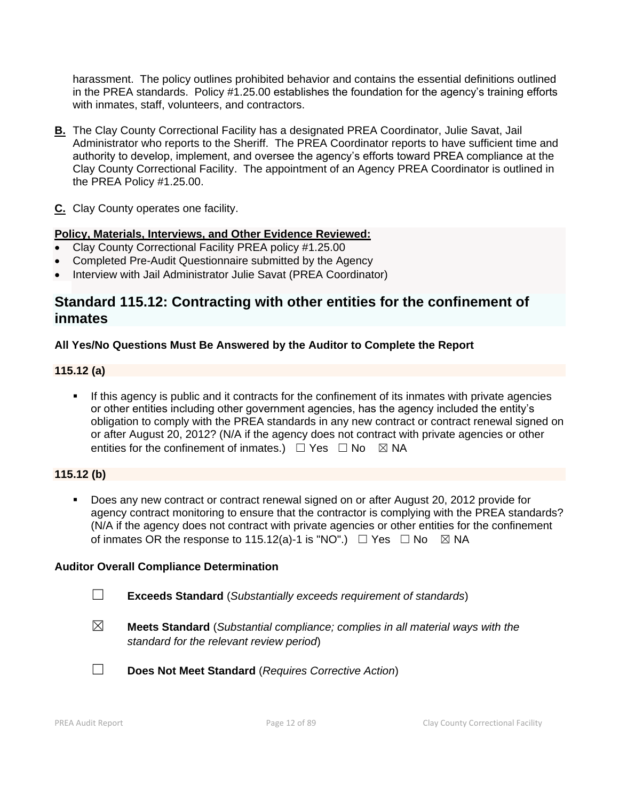harassment. The policy outlines prohibited behavior and contains the essential definitions outlined in the PREA standards. Policy #1.25.00 establishes the foundation for the agency's training efforts with inmates, staff, volunteers, and contractors.

- **B.** The Clay County Correctional Facility has a designated PREA Coordinator, Julie Savat, Jail Administrator who reports to the Sheriff. The PREA Coordinator reports to have sufficient time and authority to develop, implement, and oversee the agency's efforts toward PREA compliance at the Clay County Correctional Facility. The appointment of an Agency PREA Coordinator is outlined in the PREA Policy #1.25.00.
- **C.** Clay County operates one facility.

#### **Policy, Materials, Interviews, and Other Evidence Reviewed:**

- Clay County Correctional Facility PREA policy #1.25.00
- Completed Pre-Audit Questionnaire submitted by the Agency
- Interview with Jail Administrator Julie Savat (PREA Coordinator)

### **Standard 115.12: Contracting with other entities for the confinement of inmates**

#### **All Yes/No Questions Must Be Answered by the Auditor to Complete the Report**

#### **115.12 (a)**

**.** If this agency is public and it contracts for the confinement of its inmates with private agencies or other entities including other government agencies, has the agency included the entity's obligation to comply with the PREA standards in any new contract or contract renewal signed on or after August 20, 2012? (N/A if the agency does not contract with private agencies or other entities for the confinement of inmates.)  $\Box$  Yes  $\Box$  No  $\boxtimes$  NA

#### **115.12 (b)**

Does any new contract or contract renewal signed on or after August 20, 2012 provide for agency contract monitoring to ensure that the contractor is complying with the PREA standards? (N/A if the agency does not contract with private agencies or other entities for the confinement of inmates OR the response to 115.12(a)-1 is "NO".)  $\Box$  Yes  $\Box$  No  $\boxtimes$  NA

- ☐ **Exceeds Standard** (*Substantially exceeds requirement of standards*)
- ☒ **Meets Standard** (*Substantial compliance; complies in all material ways with the standard for the relevant review period*)
- ☐ **Does Not Meet Standard** (*Requires Corrective Action*)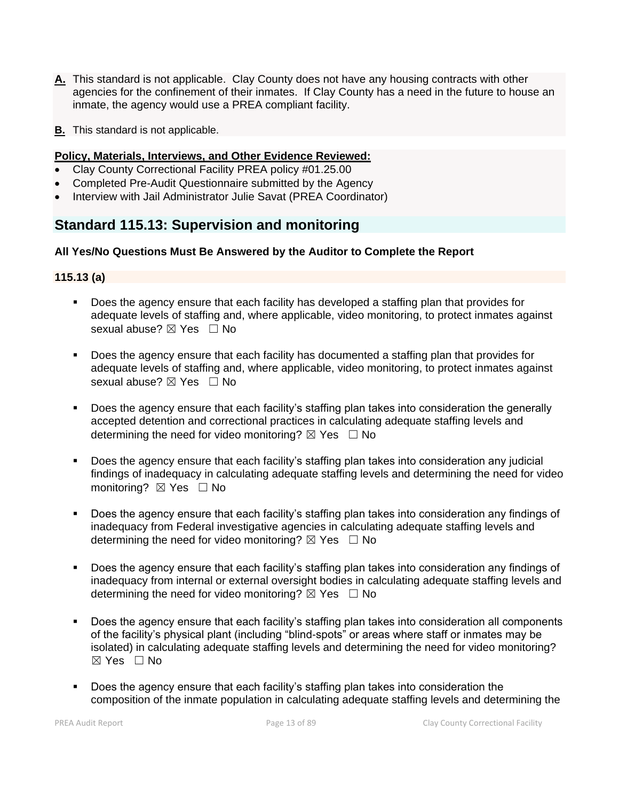- **A.** This standard is not applicable. Clay County does not have any housing contracts with other agencies for the confinement of their inmates. If Clay County has a need in the future to house an inmate, the agency would use a PREA compliant facility.
- **B.** This standard is not applicable.

#### **Policy, Materials, Interviews, and Other Evidence Reviewed:**

- Clay County Correctional Facility PREA policy #01.25.00
- Completed Pre-Audit Questionnaire submitted by the Agency
- Interview with Jail Administrator Julie Savat (PREA Coordinator)

## **Standard 115.13: Supervision and monitoring**

#### **All Yes/No Questions Must Be Answered by the Auditor to Complete the Report**

#### **115.13 (a)**

- Does the agency ensure that each facility has developed a staffing plan that provides for adequate levels of staffing and, where applicable, video monitoring, to protect inmates against sexual abuse? ⊠ Yes □ No
- Does the agency ensure that each facility has documented a staffing plan that provides for adequate levels of staffing and, where applicable, video monitoring, to protect inmates against sexual abuse? ⊠ Yes □ No
- Does the agency ensure that each facility's staffing plan takes into consideration the generally accepted detention and correctional practices in calculating adequate staffing levels and determining the need for video monitoring?  $\boxtimes$  Yes  $\Box$  No
- Does the agency ensure that each facility's staffing plan takes into consideration any judicial findings of inadequacy in calculating adequate staffing levels and determining the need for video monitoring? ⊠ Yes □ No
- Does the agency ensure that each facility's staffing plan takes into consideration any findings of inadequacy from Federal investigative agencies in calculating adequate staffing levels and determining the need for video monitoring?  $\boxtimes$  Yes  $\Box$  No
- Does the agency ensure that each facility's staffing plan takes into consideration any findings of inadequacy from internal or external oversight bodies in calculating adequate staffing levels and determining the need for video monitoring?  $\boxtimes$  Yes  $\Box$  No
- Does the agency ensure that each facility's staffing plan takes into consideration all components of the facility's physical plant (including "blind-spots" or areas where staff or inmates may be isolated) in calculating adequate staffing levels and determining the need for video monitoring?  $\boxtimes$  Yes  $\Box$  No
- Does the agency ensure that each facility's staffing plan takes into consideration the composition of the inmate population in calculating adequate staffing levels and determining the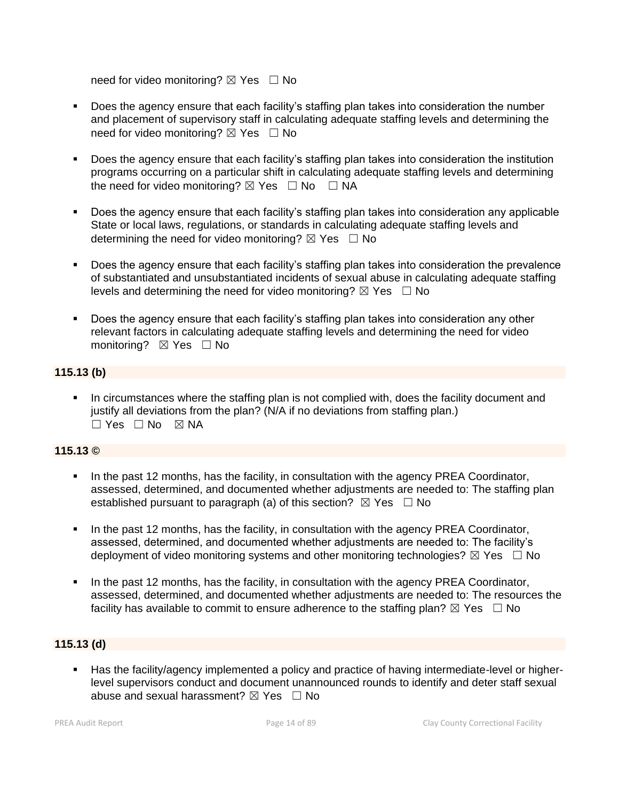need for video monitoring?  $\boxtimes$  Yes  $\Box$  No

- Does the agency ensure that each facility's staffing plan takes into consideration the number and placement of supervisory staff in calculating adequate staffing levels and determining the need for video monitoring? ⊠ Yes □ No
- Does the agency ensure that each facility's staffing plan takes into consideration the institution programs occurring on a particular shift in calculating adequate staffing levels and determining the need for video monitoring?  $\boxtimes$  Yes  $\Box$  No  $\Box$  NA
- Does the agency ensure that each facility's staffing plan takes into consideration any applicable State or local laws, regulations, or standards in calculating adequate staffing levels and determining the need for video monitoring?  $\boxtimes$  Yes  $\Box$  No
- Does the agency ensure that each facility's staffing plan takes into consideration the prevalence of substantiated and unsubstantiated incidents of sexual abuse in calculating adequate staffing levels and determining the need for video monitoring?  $\boxtimes$  Yes  $\Box$  No
- Does the agency ensure that each facility's staffing plan takes into consideration any other relevant factors in calculating adequate staffing levels and determining the need for video monitoring? ⊠ Yes □ No

#### **115.13 (b)**

**•** In circumstances where the staffing plan is not complied with, does the facility document and justify all deviations from the plan? (N/A if no deviations from staffing plan.)  $\square$  Yes  $\square$  No  $\square$  NA

#### **115.13 ©**

- In the past 12 months, has the facility, in consultation with the agency PREA Coordinator, assessed, determined, and documented whether adjustments are needed to: The staffing plan established pursuant to paragraph (a) of this section?  $\boxtimes$  Yes  $\Box$  No
- In the past 12 months, has the facility, in consultation with the agency PREA Coordinator, assessed, determined, and documented whether adjustments are needed to: The facility's deployment of video monitoring systems and other monitoring technologies?  $\boxtimes$  Yes  $\Box$  No
- In the past 12 months, has the facility, in consultation with the agency PREA Coordinator, assessed, determined, and documented whether adjustments are needed to: The resources the facility has available to commit to ensure adherence to the staffing plan?  $\boxtimes$  Yes  $\Box$  No

#### **115.13 (d)**

▪ Has the facility/agency implemented a policy and practice of having intermediate-level or higherlevel supervisors conduct and document unannounced rounds to identify and deter staff sexual abuse and sexual harassment?  $\boxtimes$  Yes  $\Box$  No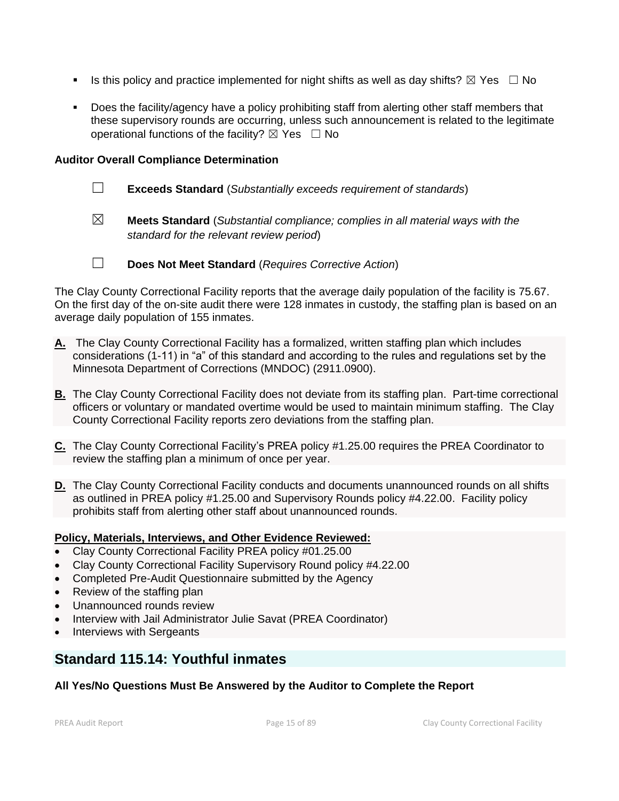- **■** Is this policy and practice implemented for night shifts as well as day shifts?  $\boxtimes$  Yes  $\Box$  No
- Does the facility/agency have a policy prohibiting staff from alerting other staff members that these supervisory rounds are occurring, unless such announcement is related to the legitimate operational functions of the facility?  $\boxtimes$  Yes  $\Box$  No

#### **Auditor Overall Compliance Determination**

- ☐ **Exceeds Standard** (*Substantially exceeds requirement of standards*)
- ☒ **Meets Standard** (*Substantial compliance; complies in all material ways with the standard for the relevant review period*)

☐ **Does Not Meet Standard** (*Requires Corrective Action*)

The Clay County Correctional Facility reports that the average daily population of the facility is 75.67. On the first day of the on-site audit there were 128 inmates in custody, the staffing plan is based on an average daily population of 155 inmates.

- **A.** The Clay County Correctional Facility has a formalized, written staffing plan which includes considerations (1-11) in "a" of this standard and according to the rules and regulations set by the Minnesota Department of Corrections (MNDOC) (2911.0900).
- **B.** The Clay County Correctional Facility does not deviate from its staffing plan. Part-time correctional officers or voluntary or mandated overtime would be used to maintain minimum staffing. The Clay County Correctional Facility reports zero deviations from the staffing plan.
- **C.** The Clay County Correctional Facility's PREA policy #1.25.00 requires the PREA Coordinator to review the staffing plan a minimum of once per year.
- **D.** The Clay County Correctional Facility conducts and documents unannounced rounds on all shifts as outlined in PREA policy #1.25.00 and Supervisory Rounds policy #4.22.00. Facility policy prohibits staff from alerting other staff about unannounced rounds.

#### **Policy, Materials, Interviews, and Other Evidence Reviewed:**

- Clay County Correctional Facility PREA policy #01.25.00
- Clay County Correctional Facility Supervisory Round policy #4.22.00
- Completed Pre-Audit Questionnaire submitted by the Agency
- Review of the staffing plan
- Unannounced rounds review
- Interview with Jail Administrator Julie Savat (PREA Coordinator)
- Interviews with Sergeants

## **Standard 115.14: Youthful inmates**

#### **All Yes/No Questions Must Be Answered by the Auditor to Complete the Report**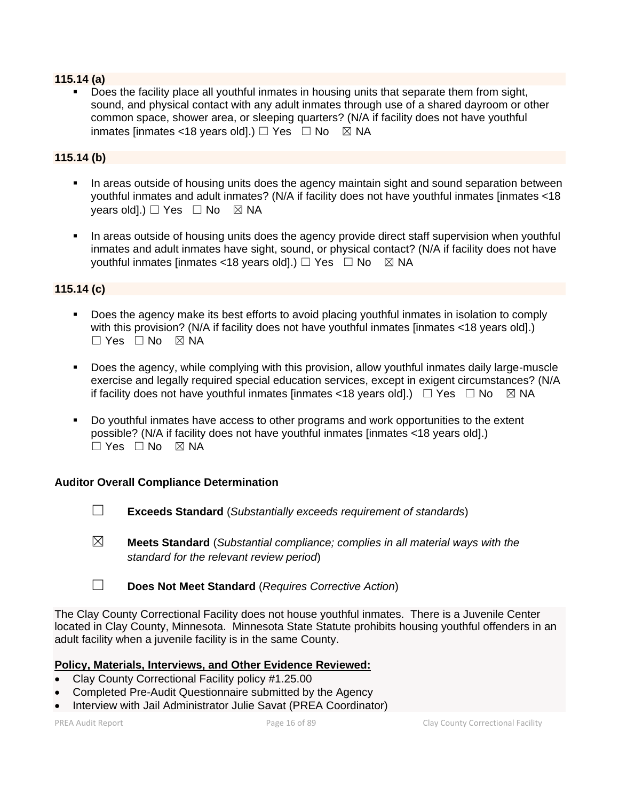#### **115.14 (a)**

Does the facility place all youthful inmates in housing units that separate them from sight, sound, and physical contact with any adult inmates through use of a shared dayroom or other common space, shower area, or sleeping quarters? (N/A if facility does not have youthful inmates linmates <18 years old].)  $\Box$  Yes  $\Box$  No  $\boxtimes$  NA

#### **115.14 (b)**

- In areas outside of housing units does the agency maintain sight and sound separation between youthful inmates and adult inmates? (N/A if facility does not have youthful inmates [inmates <18 years old].)  $\Box$  Yes  $\Box$  No  $\boxtimes$  NA
- **•** In areas outside of housing units does the agency provide direct staff supervision when youthful inmates and adult inmates have sight, sound, or physical contact? (N/A if facility does not have youthful inmates [inmates <18 years old].)  $\Box$  Yes  $\Box$  No  $\boxtimes$  NA

#### **115.14 (c)**

- Does the agency make its best efforts to avoid placing youthful inmates in isolation to comply with this provision? (N/A if facility does not have youthful inmates [inmates <18 years old].)  $\square$  Yes  $\square$  No  $\square$  NA
- Does the agency, while complying with this provision, allow youthful inmates daily large-muscle exercise and legally required special education services, except in exigent circumstances? (N/A if facility does not have youthful inmates [inmates <18 years old].)  $\Box$  Yes  $\Box$  No  $\boxtimes$  NA
- Do youthful inmates have access to other programs and work opportunities to the extent possible? (N/A if facility does not have youthful inmates [inmates <18 years old].)  $\Box$  Yes  $\Box$  No  $\boxtimes$  NA

#### **Auditor Overall Compliance Determination**

- ☐ **Exceeds Standard** (*Substantially exceeds requirement of standards*)
- ☒ **Meets Standard** (*Substantial compliance; complies in all material ways with the standard for the relevant review period*)
- ☐ **Does Not Meet Standard** (*Requires Corrective Action*)

The Clay County Correctional Facility does not house youthful inmates. There is a Juvenile Center located in Clay County, Minnesota. Minnesota State Statute prohibits housing youthful offenders in an adult facility when a juvenile facility is in the same County.

#### **Policy, Materials, Interviews, and Other Evidence Reviewed:**

- Clay County Correctional Facility policy #1.25.00
- Completed Pre-Audit Questionnaire submitted by the Agency
- Interview with Jail Administrator Julie Savat (PREA Coordinator)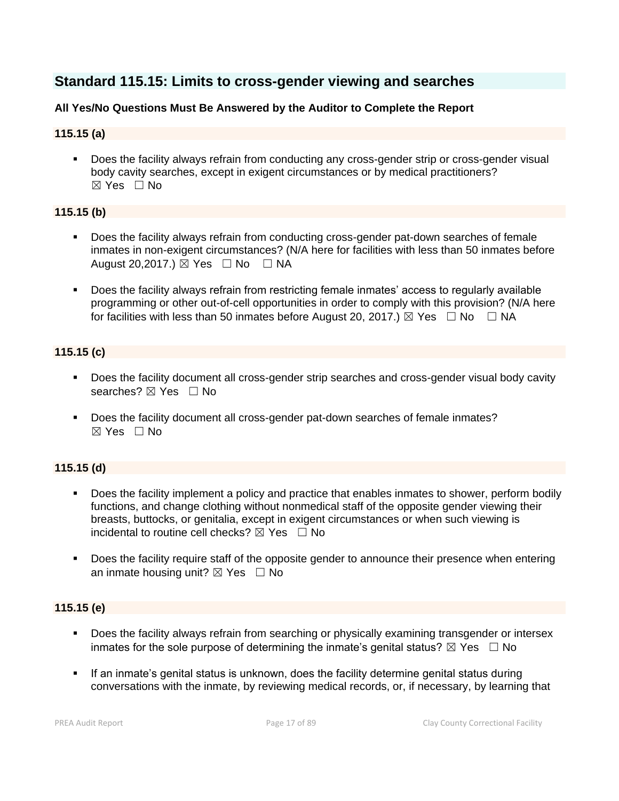# **Standard 115.15: Limits to cross-gender viewing and searches**

#### **All Yes/No Questions Must Be Answered by the Auditor to Complete the Report**

#### **115.15 (a)**

▪ Does the facility always refrain from conducting any cross-gender strip or cross-gender visual body cavity searches, except in exigent circumstances or by medical practitioners? ☒ Yes ☐ No

#### **115.15 (b)**

- Does the facility always refrain from conducting cross-gender pat-down searches of female inmates in non-exigent circumstances? (N/A here for facilities with less than 50 inmates before August 20,2017.)  $\boxtimes$  Yes  $\Box$  No  $\Box$  NA
- Does the facility always refrain from restricting female inmates' access to regularly available programming or other out-of-cell opportunities in order to comply with this provision? (N/A here for facilities with less than 50 inmates before August 20, 2017.)  $\boxtimes$  Yes  $\Box$  No  $\Box$  NA

#### **115.15 (c)**

- Does the facility document all cross-gender strip searches and cross-gender visual body cavity searches? ⊠ Yes □ No
- Does the facility document all cross-gender pat-down searches of female inmates?  $\boxtimes$  Yes  $\Box$  No

#### **115.15 (d)**

- Does the facility implement a policy and practice that enables inmates to shower, perform bodily functions, and change clothing without nonmedical staff of the opposite gender viewing their breasts, buttocks, or genitalia, except in exigent circumstances or when such viewing is incidental to routine cell checks?  $\boxtimes$  Yes  $\Box$  No
- Does the facility require staff of the opposite gender to announce their presence when entering an inmate housing unit?  $\boxtimes$  Yes  $\Box$  No

#### **115.15 (e)**

- Does the facility always refrain from searching or physically examining transgender or intersex inmates for the sole purpose of determining the inmate's genital status?  $\boxtimes$  Yes  $\Box$  No
- **•** If an inmate's genital status is unknown, does the facility determine genital status during conversations with the inmate, by reviewing medical records, or, if necessary, by learning that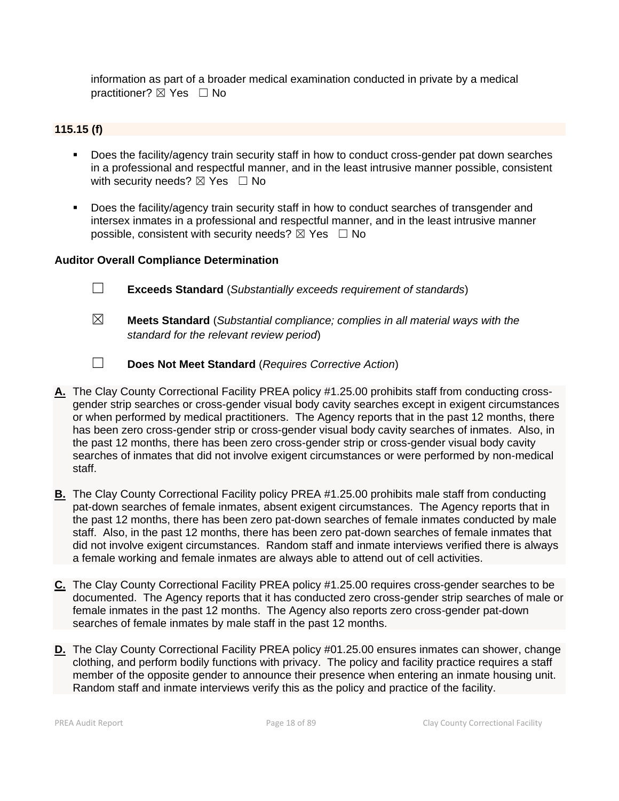information as part of a broader medical examination conducted in private by a medical practitioner? ⊠ Yes □ No

#### **115.15 (f)**

- Does the facility/agency train security staff in how to conduct cross-gender pat down searches in a professional and respectful manner, and in the least intrusive manner possible, consistent with security needs?  $\boxtimes$  Yes  $\Box$  No
- Does the facility/agency train security staff in how to conduct searches of transgender and intersex inmates in a professional and respectful manner, and in the least intrusive manner possible, consistent with security needs?  $\boxtimes$  Yes  $\Box$  No

- ☐ **Exceeds Standard** (*Substantially exceeds requirement of standards*)
- ☒ **Meets Standard** (*Substantial compliance; complies in all material ways with the standard for the relevant review period*)
- ☐ **Does Not Meet Standard** (*Requires Corrective Action*)
- **A.** The Clay County Correctional Facility PREA policy #1.25.00 prohibits staff from conducting crossgender strip searches or cross-gender visual body cavity searches except in exigent circumstances or when performed by medical practitioners. The Agency reports that in the past 12 months, there has been zero cross-gender strip or cross-gender visual body cavity searches of inmates. Also, in the past 12 months, there has been zero cross-gender strip or cross-gender visual body cavity searches of inmates that did not involve exigent circumstances or were performed by non-medical staff.
- **B.** The Clay County Correctional Facility policy PREA #1.25.00 prohibits male staff from conducting pat-down searches of female inmates, absent exigent circumstances. The Agency reports that in the past 12 months, there has been zero pat-down searches of female inmates conducted by male staff. Also, in the past 12 months, there has been zero pat-down searches of female inmates that did not involve exigent circumstances. Random staff and inmate interviews verified there is always a female working and female inmates are always able to attend out of cell activities.
- **C.** The Clay County Correctional Facility PREA policy #1.25.00 requires cross-gender searches to be documented. The Agency reports that it has conducted zero cross-gender strip searches of male or female inmates in the past 12 months. The Agency also reports zero cross-gender pat-down searches of female inmates by male staff in the past 12 months.
- **D.** The Clay County Correctional Facility PREA policy #01.25.00 ensures inmates can shower, change clothing, and perform bodily functions with privacy. The policy and facility practice requires a staff member of the opposite gender to announce their presence when entering an inmate housing unit. Random staff and inmate interviews verify this as the policy and practice of the facility.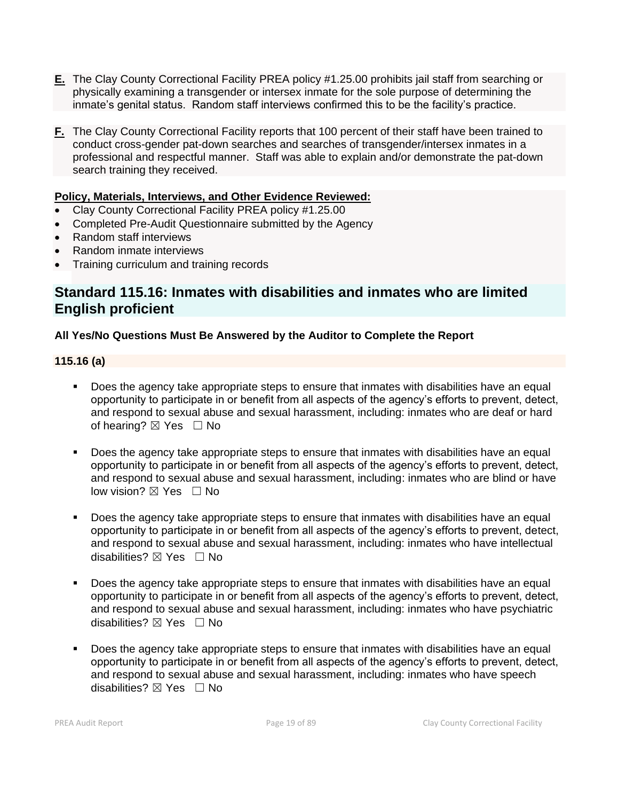- **E.** The Clay County Correctional Facility PREA policy #1.25.00 prohibits jail staff from searching or physically examining a transgender or intersex inmate for the sole purpose of determining the inmate's genital status. Random staff interviews confirmed this to be the facility's practice.
- **F.** The Clay County Correctional Facility reports that 100 percent of their staff have been trained to conduct cross-gender pat-down searches and searches of transgender/intersex inmates in a professional and respectful manner. Staff was able to explain and/or demonstrate the pat-down search training they received.

#### **Policy, Materials, Interviews, and Other Evidence Reviewed:**

- Clay County Correctional Facility PREA policy #1.25.00
- Completed Pre-Audit Questionnaire submitted by the Agency
- Random staff interviews
- Random inmate interviews
- Training curriculum and training records

### **Standard 115.16: Inmates with disabilities and inmates who are limited English proficient**

#### **All Yes/No Questions Must Be Answered by the Auditor to Complete the Report**

#### **115.16 (a)**

- Does the agency take appropriate steps to ensure that inmates with disabilities have an equal opportunity to participate in or benefit from all aspects of the agency's efforts to prevent, detect, and respond to sexual abuse and sexual harassment, including: inmates who are deaf or hard of hearing?  $\boxtimes$  Yes  $\Box$  No
- Does the agency take appropriate steps to ensure that inmates with disabilities have an equal opportunity to participate in or benefit from all aspects of the agency's efforts to prevent, detect, and respond to sexual abuse and sexual harassment, including: inmates who are blind or have low vision?  $\boxtimes$  Yes  $\Box$  No
- Does the agency take appropriate steps to ensure that inmates with disabilities have an equal opportunity to participate in or benefit from all aspects of the agency's efforts to prevent, detect, and respond to sexual abuse and sexual harassment, including: inmates who have intellectual disabilities?  $\nabla$  Yes  $\Box$  No
- Does the agency take appropriate steps to ensure that inmates with disabilities have an equal opportunity to participate in or benefit from all aspects of the agency's efforts to prevent, detect, and respond to sexual abuse and sexual harassment, including: inmates who have psychiatric disabilities?  $\boxtimes$  Yes  $\Box$  No
- Does the agency take appropriate steps to ensure that inmates with disabilities have an equal opportunity to participate in or benefit from all aspects of the agency's efforts to prevent, detect, and respond to sexual abuse and sexual harassment, including: inmates who have speech disabilities? ⊠ Yes □ No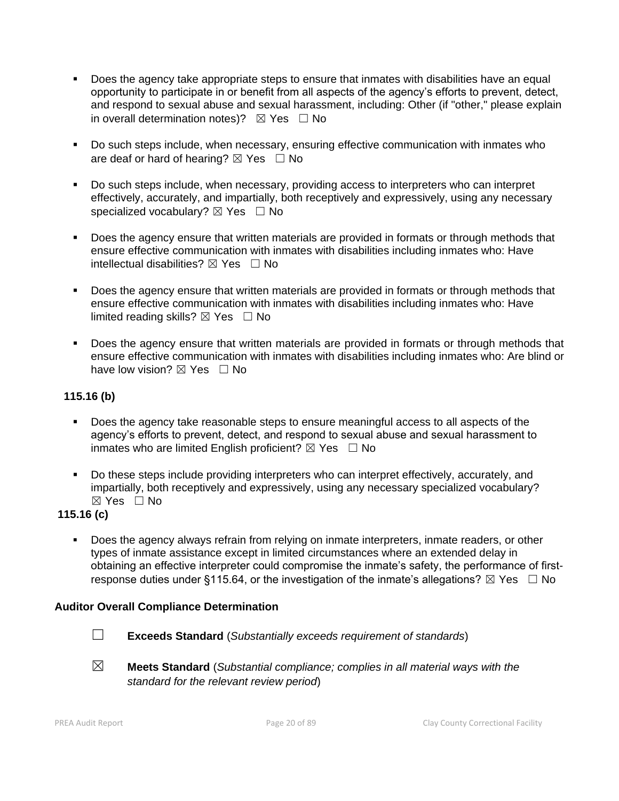- Does the agency take appropriate steps to ensure that inmates with disabilities have an equal opportunity to participate in or benefit from all aspects of the agency's efforts to prevent, detect, and respond to sexual abuse and sexual harassment, including: Other (if "other," please explain in overall determination notes)?  $\boxtimes$  Yes  $\Box$  No
- Do such steps include, when necessary, ensuring effective communication with inmates who are deaf or hard of hearing?  $\boxtimes$  Yes  $\Box$  No
- Do such steps include, when necessary, providing access to interpreters who can interpret effectively, accurately, and impartially, both receptively and expressively, using any necessary specialized vocabulary?  $\boxtimes$  Yes  $\Box$  No
- Does the agency ensure that written materials are provided in formats or through methods that ensure effective communication with inmates with disabilities including inmates who: Have intellectual disabilities?  $\boxtimes$  Yes  $\Box$  No
- Does the agency ensure that written materials are provided in formats or through methods that ensure effective communication with inmates with disabilities including inmates who: Have limited reading skills?  $\boxtimes$  Yes  $\Box$  No
- Does the agency ensure that written materials are provided in formats or through methods that ensure effective communication with inmates with disabilities including inmates who: Are blind or have low vision?  $\boxtimes$  Yes  $\Box$  No

#### **115.16 (b)**

- Does the agency take reasonable steps to ensure meaningful access to all aspects of the agency's efforts to prevent, detect, and respond to sexual abuse and sexual harassment to inmates who are limited English proficient?  $\boxtimes$  Yes  $\Box$  No
- Do these steps include providing interpreters who can interpret effectively, accurately, and impartially, both receptively and expressively, using any necessary specialized vocabulary? ☒ Yes ☐ No

#### **115.16 (c)**

Does the agency always refrain from relying on inmate interpreters, inmate readers, or other types of inmate assistance except in limited circumstances where an extended delay in obtaining an effective interpreter could compromise the inmate's safety, the performance of firstresponse duties under §115.64, or the investigation of the inmate's allegations?  $\boxtimes$  Yes  $\Box$  No

- 
- ☐ **Exceeds Standard** (*Substantially exceeds requirement of standards*)
- ☒ **Meets Standard** (*Substantial compliance; complies in all material ways with the standard for the relevant review period*)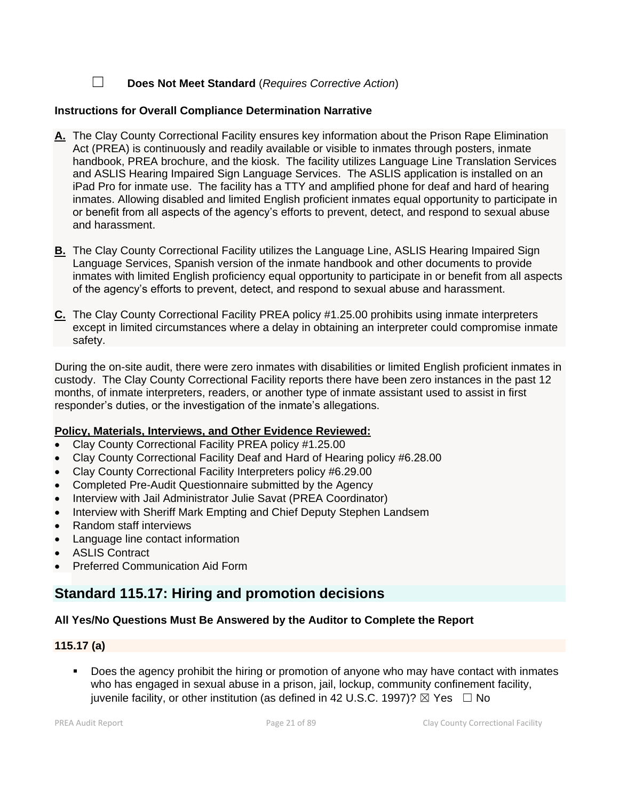☐ **Does Not Meet Standard** (*Requires Corrective Action*)

#### **Instructions for Overall Compliance Determination Narrative**

- **A.** The Clay County Correctional Facility ensures key information about the Prison Rape Elimination Act (PREA) is continuously and readily available or visible to inmates through posters, inmate handbook, PREA brochure, and the kiosk. The facility utilizes Language Line Translation Services and ASLIS Hearing Impaired Sign Language Services. The ASLIS application is installed on an iPad Pro for inmate use. The facility has a TTY and amplified phone for deaf and hard of hearing inmates. Allowing disabled and limited English proficient inmates equal opportunity to participate in or benefit from all aspects of the agency's efforts to prevent, detect, and respond to sexual abuse and harassment.
- **B.** The Clay County Correctional Facility utilizes the Language Line, ASLIS Hearing Impaired Sign Language Services, Spanish version of the inmate handbook and other documents to provide inmates with limited English proficiency equal opportunity to participate in or benefit from all aspects of the agency's efforts to prevent, detect, and respond to sexual abuse and harassment.
- **C.** The Clay County Correctional Facility PREA policy #1.25.00 prohibits using inmate interpreters except in limited circumstances where a delay in obtaining an interpreter could compromise inmate safety.

During the on-site audit, there were zero inmates with disabilities or limited English proficient inmates in custody. The Clay County Correctional Facility reports there have been zero instances in the past 12 months, of inmate interpreters, readers, or another type of inmate assistant used to assist in first responder's duties, or the investigation of the inmate's allegations.

#### **Policy, Materials, Interviews, and Other Evidence Reviewed:**

- Clay County Correctional Facility PREA policy #1.25.00
- Clay County Correctional Facility Deaf and Hard of Hearing policy #6.28.00
- Clay County Correctional Facility Interpreters policy #6.29.00
- Completed Pre-Audit Questionnaire submitted by the Agency
- Interview with Jail Administrator Julie Savat (PREA Coordinator)
- Interview with Sheriff Mark Empting and Chief Deputy Stephen Landsem
- Random staff interviews
- Language line contact information
- ASLIS Contract
- Preferred Communication Aid Form

# **Standard 115.17: Hiring and promotion decisions**

#### **All Yes/No Questions Must Be Answered by the Auditor to Complete the Report**

#### **115.17 (a)**

Does the agency prohibit the hiring or promotion of anyone who may have contact with inmates who has engaged in sexual abuse in a prison, jail, lockup, community confinement facility, juvenile facility, or other institution (as defined in 42 U.S.C. 1997)?  $\boxtimes$  Yes  $\Box$  No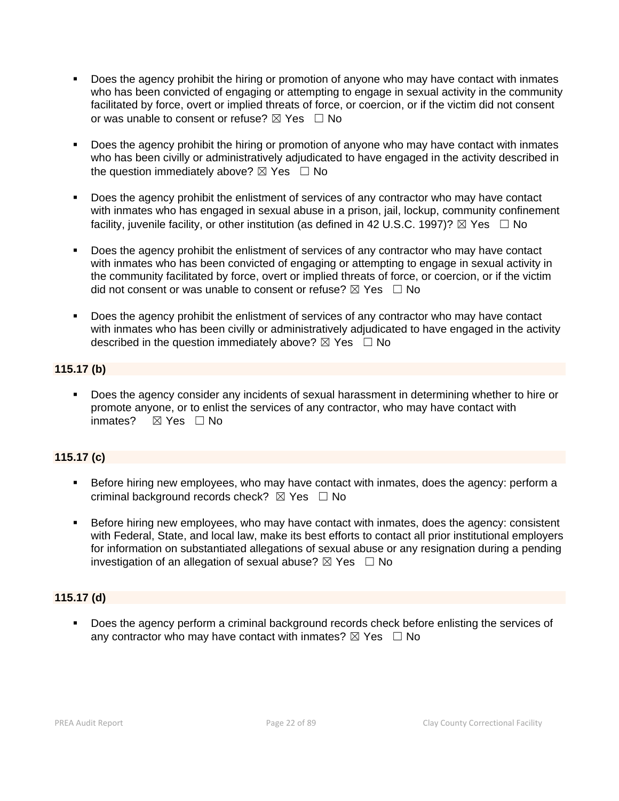- Does the agency prohibit the hiring or promotion of anyone who may have contact with inmates who has been convicted of engaging or attempting to engage in sexual activity in the community facilitated by force, overt or implied threats of force, or coercion, or if the victim did not consent or was unable to consent or refuse?  $\boxtimes$  Yes  $\Box$  No
- Does the agency prohibit the hiring or promotion of anyone who may have contact with inmates who has been civilly or administratively adjudicated to have engaged in the activity described in the question immediately above?  $\boxtimes$  Yes  $\Box$  No
- Does the agency prohibit the enlistment of services of any contractor who may have contact with inmates who has engaged in sexual abuse in a prison, jail, lockup, community confinement facility, juvenile facility, or other institution (as defined in 42 U.S.C. 1997)?  $\boxtimes$  Yes  $\Box$  No
- Does the agency prohibit the enlistment of services of any contractor who may have contact with inmates who has been convicted of engaging or attempting to engage in sexual activity in the community facilitated by force, overt or implied threats of force, or coercion, or if the victim did not consent or was unable to consent or refuse?  $\boxtimes$  Yes  $\Box$  No
- Does the agency prohibit the enlistment of services of any contractor who may have contact with inmates who has been civilly or administratively adjudicated to have engaged in the activity described in the question immediately above?  $\boxtimes$  Yes  $\Box$  No

#### **115.17 (b)**

Does the agency consider any incidents of sexual harassment in determining whether to hire or promote anyone, or to enlist the services of any contractor, who may have contact with inmates?  $⊠$  Yes  $□$  No

### **115.17 (c)**

- Before hiring new employees, who may have contact with inmates, does the agency: perform a criminal background records check?  $\boxtimes$  Yes  $\Box$  No
- **EXEL Before hiring new employees, who may have contact with inmates, does the agency: consistent** with Federal, State, and local law, make its best efforts to contact all prior institutional employers for information on substantiated allegations of sexual abuse or any resignation during a pending investigation of an allegation of sexual abuse?  $\boxtimes$  Yes  $\Box$  No

#### **115.17 (d)**

▪ Does the agency perform a criminal background records check before enlisting the services of any contractor who may have contact with inmates?  $\boxtimes$  Yes  $\Box$  No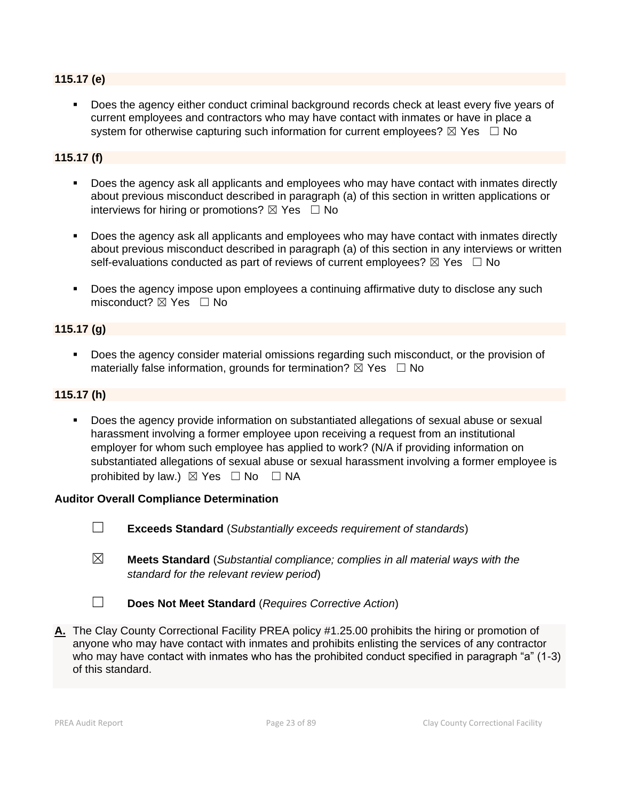#### **115.17 (e)**

Does the agency either conduct criminal background records check at least every five years of current employees and contractors who may have contact with inmates or have in place a system for otherwise capturing such information for current employees?  $\boxtimes$  Yes  $\Box$  No

#### **115.17 (f)**

- Does the agency ask all applicants and employees who may have contact with inmates directly about previous misconduct described in paragraph (a) of this section in written applications or interviews for hiring or promotions?  $\boxtimes$  Yes  $\Box$  No
- Does the agency ask all applicants and employees who may have contact with inmates directly about previous misconduct described in paragraph (a) of this section in any interviews or written self-evaluations conducted as part of reviews of current employees?  $\boxtimes$  Yes  $\Box$  No
- Does the agency impose upon employees a continuing affirmative duty to disclose any such misconduct?  $\boxtimes$  Yes  $\Box$  No

#### **115.17 (g)**

Does the agency consider material omissions regarding such misconduct, or the provision of materially false information, grounds for termination?  $\boxtimes$  Yes  $\Box$  No

#### **115.17 (h)**

Does the agency provide information on substantiated allegations of sexual abuse or sexual harassment involving a former employee upon receiving a request from an institutional employer for whom such employee has applied to work? (N/A if providing information on substantiated allegations of sexual abuse or sexual harassment involving a former employee is prohibited by law.)  $\boxtimes$  Yes  $\Box$  No  $\Box$  NA

- ☐ **Exceeds Standard** (*Substantially exceeds requirement of standards*)
- ☒ **Meets Standard** (*Substantial compliance; complies in all material ways with the standard for the relevant review period*)
- ☐ **Does Not Meet Standard** (*Requires Corrective Action*)
- **A.** The Clay County Correctional Facility PREA policy #1.25.00 prohibits the hiring or promotion of anyone who may have contact with inmates and prohibits enlisting the services of any contractor who may have contact with inmates who has the prohibited conduct specified in paragraph "a" (1-3) of this standard.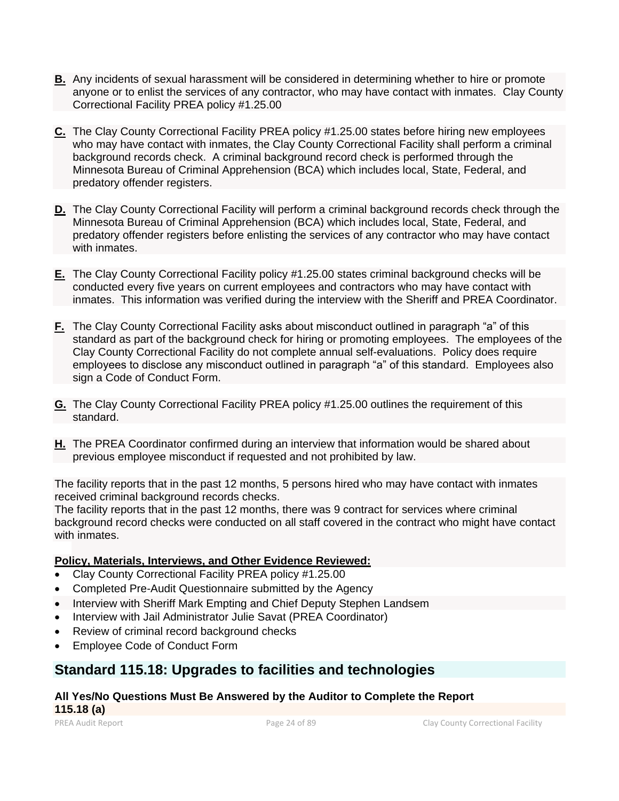- **B.** Any incidents of sexual harassment will be considered in determining whether to hire or promote anyone or to enlist the services of any contractor, who may have contact with inmates. Clay County Correctional Facility PREA policy #1.25.00
- **C.** The Clay County Correctional Facility PREA policy #1.25.00 states before hiring new employees who may have contact with inmates, the Clay County Correctional Facility shall perform a criminal background records check. A criminal background record check is performed through the Minnesota Bureau of Criminal Apprehension (BCA) which includes local, State, Federal, and predatory offender registers.
- **D.** The Clay County Correctional Facility will perform a criminal background records check through the Minnesota Bureau of Criminal Apprehension (BCA) which includes local, State, Federal, and predatory offender registers before enlisting the services of any contractor who may have contact with inmates.
- **E.** The Clay County Correctional Facility policy #1.25.00 states criminal background checks will be conducted every five years on current employees and contractors who may have contact with inmates. This information was verified during the interview with the Sheriff and PREA Coordinator.
- **F.** The Clay County Correctional Facility asks about misconduct outlined in paragraph "a" of this standard as part of the background check for hiring or promoting employees. The employees of the Clay County Correctional Facility do not complete annual self-evaluations. Policy does require employees to disclose any misconduct outlined in paragraph "a" of this standard. Employees also sign a Code of Conduct Form.
- **G.** The Clay County Correctional Facility PREA policy #1.25.00 outlines the requirement of this standard.
- **H.** The PREA Coordinator confirmed during an interview that information would be shared about previous employee misconduct if requested and not prohibited by law.

The facility reports that in the past 12 months, 5 persons hired who may have contact with inmates received criminal background records checks.

The facility reports that in the past 12 months, there was 9 contract for services where criminal background record checks were conducted on all staff covered in the contract who might have contact with inmates.

#### **Policy, Materials, Interviews, and Other Evidence Reviewed:**

- Clay County Correctional Facility PREA policy #1.25.00
- Completed Pre-Audit Questionnaire submitted by the Agency
- Interview with Sheriff Mark Empting and Chief Deputy Stephen Landsem
- Interview with Jail Administrator Julie Savat (PREA Coordinator)
- Review of criminal record background checks
- Employee Code of Conduct Form

# **Standard 115.18: Upgrades to facilities and technologies**

#### **All Yes/No Questions Must Be Answered by the Auditor to Complete the Report 115.18 (a)**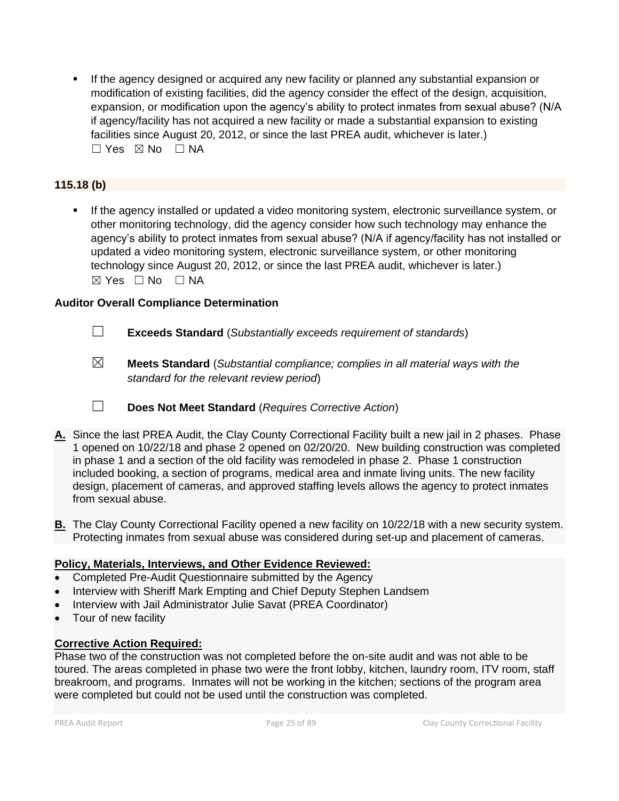**EXECT** If the agency designed or acquired any new facility or planned any substantial expansion or modification of existing facilities, did the agency consider the effect of the design, acquisition, expansion, or modification upon the agency's ability to protect inmates from sexual abuse? (N/A if agency/facility has not acquired a new facility or made a substantial expansion to existing facilities since August 20, 2012, or since the last PREA audit, whichever is later.)  $\square$  Yes  $\square$  No  $\square$  NA

### **115.18 (b)**

If the agency installed or updated a video monitoring system, electronic surveillance system, or other monitoring technology, did the agency consider how such technology may enhance the agency's ability to protect inmates from sexual abuse? (N/A if agency/facility has not installed or updated a video monitoring system, electronic surveillance system, or other monitoring technology since August 20, 2012, or since the last PREA audit, whichever is later.)  $\boxtimes$  Yes  $\Box$  No  $\Box$  NA

#### **Auditor Overall Compliance Determination**

- ☐ **Exceeds Standard** (*Substantially exceeds requirement of standards*)
- ☒ **Meets Standard** (*Substantial compliance; complies in all material ways with the standard for the relevant review period*)
- ☐ **Does Not Meet Standard** (*Requires Corrective Action*)
- **A.** Since the last PREA Audit, the Clay County Correctional Facility built a new jail in 2 phases. Phase 1 opened on 10/22/18 and phase 2 opened on 02/20/20. New building construction was completed in phase 1 and a section of the old facility was remodeled in phase 2. Phase 1 construction included booking, a section of programs, medical area and inmate living units. The new facility design, placement of cameras, and approved staffing levels allows the agency to protect inmates from sexual abuse.
- **B.** The Clay County Correctional Facility opened a new facility on 10/22/18 with a new security system. Protecting inmates from sexual abuse was considered during set-up and placement of cameras.

#### **Policy, Materials, Interviews, and Other Evidence Reviewed:**

- Completed Pre-Audit Questionnaire submitted by the Agency
- Interview with Sheriff Mark Empting and Chief Deputy Stephen Landsem
- Interview with Jail Administrator Julie Savat (PREA Coordinator)
- Tour of new facility

#### **Corrective Action Required:**

Phase two of the construction was not completed before the on-site audit and was not able to be toured. The areas completed in phase two were the front lobby, kitchen, laundry room, ITV room, staff breakroom, and programs. Inmates will not be working in the kitchen; sections of the program area were completed but could not be used until the construction was completed.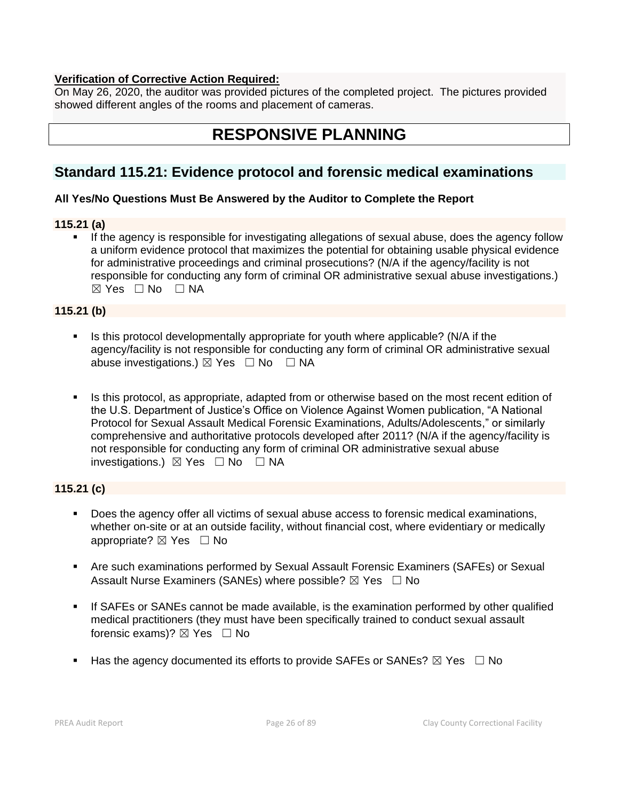#### **Verification of Corrective Action Required:**

On May 26, 2020, the auditor was provided pictures of the completed project. The pictures provided showed different angles of the rooms and placement of cameras.

# **RESPONSIVE PLANNING**

# **Standard 115.21: Evidence protocol and forensic medical examinations**

#### **All Yes/No Questions Must Be Answered by the Auditor to Complete the Report**

#### **115.21 (a)**

**EXECT** If the agency is responsible for investigating allegations of sexual abuse, does the agency follow a uniform evidence protocol that maximizes the potential for obtaining usable physical evidence for administrative proceedings and criminal prosecutions? (N/A if the agency/facility is not responsible for conducting any form of criminal OR administrative sexual abuse investigations.)  $⊠ Yes ⊡ No ⊡ NA$ 

#### **115.21 (b)**

- Is this protocol developmentally appropriate for youth where applicable? (N/A if the agency/facility is not responsible for conducting any form of criminal OR administrative sexual abuse investigations.)  $\boxtimes$  Yes  $\Box$  No  $\Box$  NA
- **EXECT** Is this protocol, as appropriate, adapted from or otherwise based on the most recent edition of the U.S. Department of Justice's Office on Violence Against Women publication, "A National Protocol for Sexual Assault Medical Forensic Examinations, Adults/Adolescents," or similarly comprehensive and authoritative protocols developed after 2011? (N/A if the agency/facility is not responsible for conducting any form of criminal OR administrative sexual abuse investigations.)  $\boxtimes$  Yes  $\Box$  No  $\Box$  NA

#### **115.21 (c)**

- Does the agency offer all victims of sexual abuse access to forensic medical examinations, whether on-site or at an outside facility, without financial cost, where evidentiary or medically appropriate? ⊠ Yes □ No
- **EXP** Are such examinations performed by Sexual Assault Forensic Examiners (SAFEs) or Sexual Assault Nurse Examiners (SANEs) where possible?  $\boxtimes$  Yes  $\Box$  No
- **.** If SAFEs or SANEs cannot be made available, is the examination performed by other qualified medical practitioners (they must have been specifically trained to conduct sexual assault forensic exams)?  $\boxtimes$  Yes  $\Box$  No
- **■** Has the agency documented its efforts to provide SAFEs or SANEs?  $\boxtimes$  Yes  $\Box$  No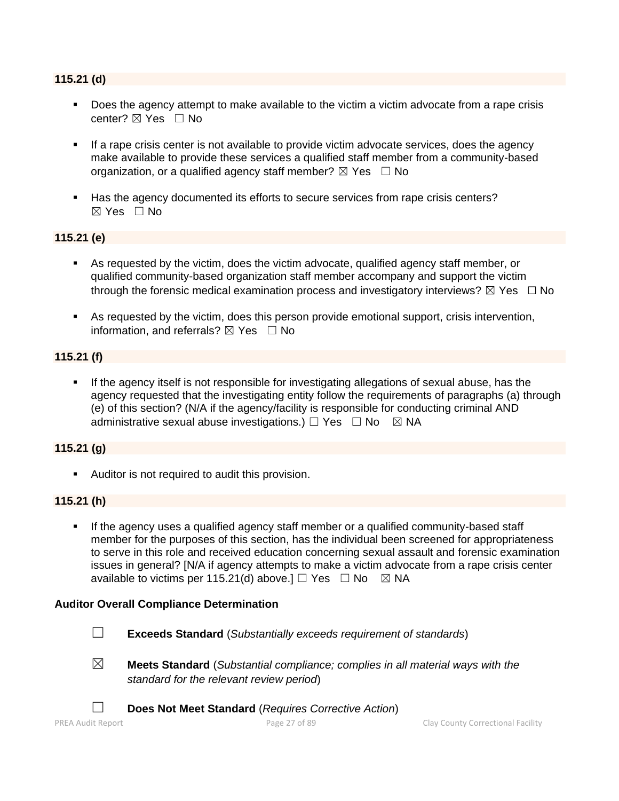#### **115.21 (d)**

- Does the agency attempt to make available to the victim a victim advocate from a rape crisis center? ⊠ Yes □ No
- **EXT** If a rape crisis center is not available to provide victim advocate services, does the agency make available to provide these services a qualified staff member from a community-based organization, or a qualified agency staff member?  $\boxtimes$  Yes  $\Box$  No
- Has the agency documented its efforts to secure services from rape crisis centers?  $\boxtimes$  Yes  $\Box$  No

#### **115.21 (e)**

- As requested by the victim, does the victim advocate, qualified agency staff member, or qualified community-based organization staff member accompany and support the victim through the forensic medical examination process and investigatory interviews?  $\boxtimes$  Yes  $\Box$  No
- As requested by the victim, does this person provide emotional support, crisis intervention, information, and referrals?  $\boxtimes$  Yes  $\Box$  No

#### **115.21 (f)**

If the agency itself is not responsible for investigating allegations of sexual abuse, has the agency requested that the investigating entity follow the requirements of paragraphs (a) through (e) of this section? (N/A if the agency/facility is responsible for conducting criminal AND administrative sexual abuse investigations.)  $\Box$  Yes  $\Box$  No  $\boxtimes$  NA

#### **115.21 (g)**

■ Auditor is not required to audit this provision.

#### **115.21 (h)**

If the agency uses a qualified agency staff member or a qualified community-based staff member for the purposes of this section, has the individual been screened for appropriateness to serve in this role and received education concerning sexual assault and forensic examination issues in general? [N/A if agency attempts to make a victim advocate from a rape crisis center available to victims per 115.21(d) above.]  $\Box$  Yes  $\Box$  No  $\boxtimes$  NA



- ☐ **Exceeds Standard** (*Substantially exceeds requirement of standards*)
- 
- ☒ **Meets Standard** (*Substantial compliance; complies in all material ways with the standard for the relevant review period*)
	- ☐ **Does Not Meet Standard** (*Requires Corrective Action*)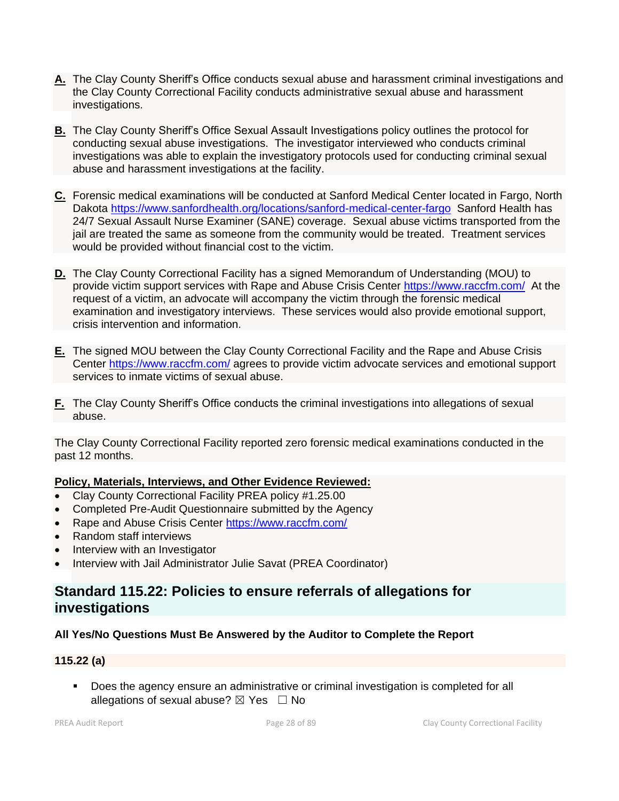- **A.** The Clay County Sheriff's Office conducts sexual abuse and harassment criminal investigations and the Clay County Correctional Facility conducts administrative sexual abuse and harassment investigations.
- **B.** The Clay County Sheriff's Office Sexual Assault Investigations policy outlines the protocol for conducting sexual abuse investigations. The investigator interviewed who conducts criminal investigations was able to explain the investigatory protocols used for conducting criminal sexual abuse and harassment investigations at the facility.
- **C.** Forensic medical examinations will be conducted at Sanford Medical Center located in Fargo, North Dakota<https://www.sanfordhealth.org/locations/sanford-medical-center-fargo>Sanford Health has 24/7 Sexual Assault Nurse Examiner (SANE) coverage. Sexual abuse victims transported from the jail are treated the same as someone from the community would be treated. Treatment services would be provided without financial cost to the victim.
- **D.** The Clay County Correctional Facility has a signed Memorandum of Understanding (MOU) to provide victim support services with Rape and Abuse Crisis Center<https://www.raccfm.com/>At the request of a victim, an advocate will accompany the victim through the forensic medical examination and investigatory interviews. These services would also provide emotional support, crisis intervention and information.
- **E.** The signed MOU between the Clay County Correctional Facility and the Rape and Abuse Crisis Center<https://www.raccfm.com/> agrees to provide victim advocate services and emotional support services to inmate victims of sexual abuse.
- **F.** The Clay County Sheriff's Office conducts the criminal investigations into allegations of sexual abuse.

The Clay County Correctional Facility reported zero forensic medical examinations conducted in the past 12 months.

#### **Policy, Materials, Interviews, and Other Evidence Reviewed:**

- Clay County Correctional Facility PREA policy #1.25.00
- Completed Pre-Audit Questionnaire submitted by the Agency
- Rape and Abuse Crisis Center<https://www.raccfm.com/>
- Random staff interviews
- Interview with an Investigator
- Interview with Jail Administrator Julie Savat (PREA Coordinator)

## **Standard 115.22: Policies to ensure referrals of allegations for investigations**

#### **All Yes/No Questions Must Be Answered by the Auditor to Complete the Report**

#### **115.22 (a)**

▪ Does the agency ensure an administrative or criminal investigation is completed for all allegations of sexual abuse?  $\boxtimes$  Yes  $\Box$  No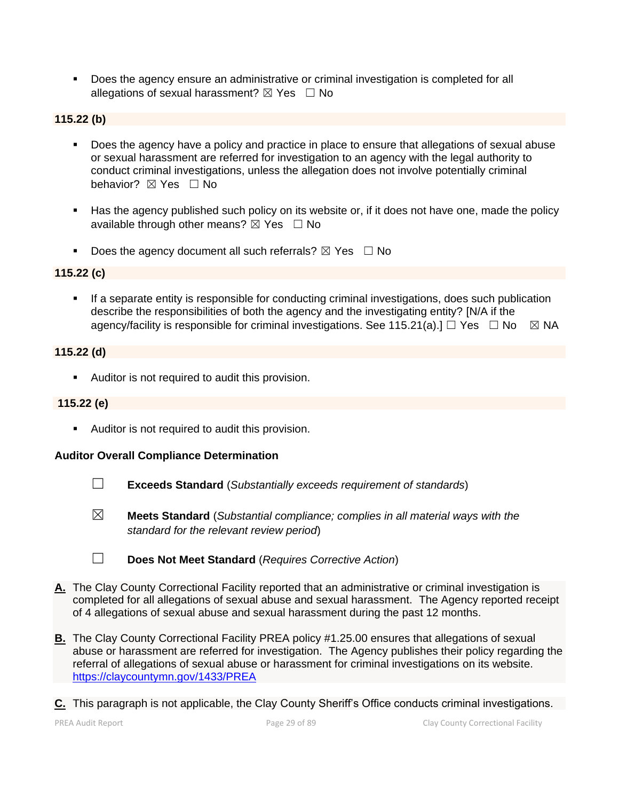▪ Does the agency ensure an administrative or criminal investigation is completed for all allegations of sexual harassment?  $\boxtimes$  Yes  $\Box$  No

#### **115.22 (b)**

- Does the agency have a policy and practice in place to ensure that allegations of sexual abuse or sexual harassment are referred for investigation to an agency with the legal authority to conduct criminal investigations, unless the allegation does not involve potentially criminal behavior? **⊠** Yes □ No
- Has the agency published such policy on its website or, if it does not have one, made the policy available through other means?  $\boxtimes$  Yes  $\Box$  No
- **•** Does the agency document all such referrals?  $\boxtimes$  Yes  $\Box$  No

#### **115.22 (c)**

**•** If a separate entity is responsible for conducting criminal investigations, does such publication describe the responsibilities of both the agency and the investigating entity? [N/A if the agency/facility is responsible for criminal investigations. See 115.21(a).]  $\Box$  Yes  $\Box$  No  $\boxtimes$  NA

#### **115.22 (d)**

■ Auditor is not required to audit this provision.

#### **115.22 (e)**

■ Auditor is not required to audit this provision.

- ☐ **Exceeds Standard** (*Substantially exceeds requirement of standards*)
- ☒ **Meets Standard** (*Substantial compliance; complies in all material ways with the standard for the relevant review period*)
- ☐ **Does Not Meet Standard** (*Requires Corrective Action*)
- **A.** The Clay County Correctional Facility reported that an administrative or criminal investigation is completed for all allegations of sexual abuse and sexual harassment. The Agency reported receipt of 4 allegations of sexual abuse and sexual harassment during the past 12 months.
- **B.** The Clay County Correctional Facility PREA policy #1.25.00 ensures that allegations of sexual abuse or harassment are referred for investigation. The Agency publishes their policy regarding the referral of allegations of sexual abuse or harassment for criminal investigations on its website. <https://claycountymn.gov/1433/PREA>
- **C.** This paragraph is not applicable, the Clay County Sheriff's Office conducts criminal investigations.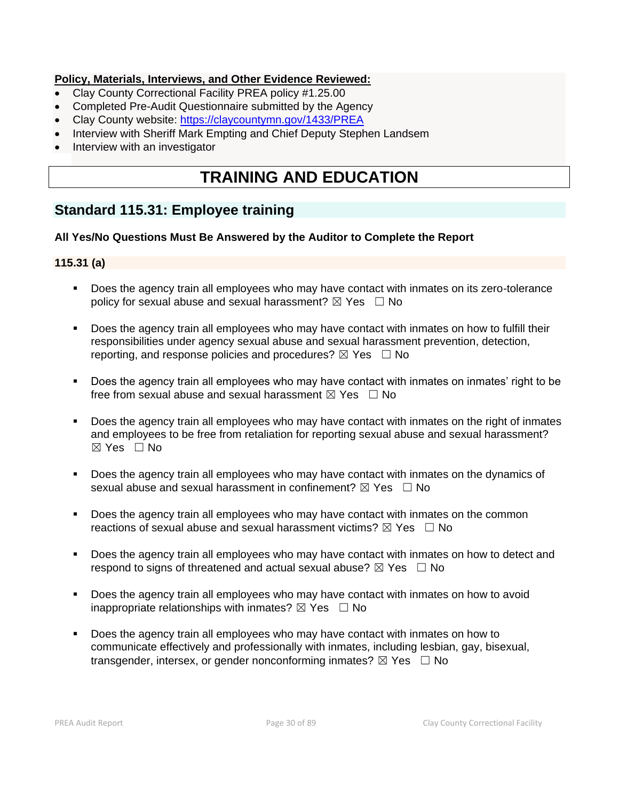#### **Policy, Materials, Interviews, and Other Evidence Reviewed:**

- Clay County Correctional Facility PREA policy #1.25.00
- Completed Pre-Audit Questionnaire submitted by the Agency
- Clay County website: <https://claycountymn.gov/1433/PREA>
- Interview with Sheriff Mark Empting and Chief Deputy Stephen Landsem
- Interview with an investigator

# **TRAINING AND EDUCATION**

# **Standard 115.31: Employee training**

#### **All Yes/No Questions Must Be Answered by the Auditor to Complete the Report**

#### **115.31 (a)**

- Does the agency train all employees who may have contact with inmates on its zero-tolerance policy for sexual abuse and sexual harassment?  $\boxtimes$  Yes  $\Box$  No
- Does the agency train all employees who may have contact with inmates on how to fulfill their responsibilities under agency sexual abuse and sexual harassment prevention, detection, reporting, and response policies and procedures?  $\boxtimes$  Yes  $\Box$  No
- Does the agency train all employees who may have contact with inmates on inmates' right to be free from sexual abuse and sexual harassment  $\boxtimes$  Yes  $\Box$  No
- Does the agency train all employees who may have contact with inmates on the right of inmates and employees to be free from retaliation for reporting sexual abuse and sexual harassment?  $\boxtimes$  Yes  $\Box$  No
- Does the agency train all employees who may have contact with inmates on the dynamics of sexual abuse and sexual harassment in confinement?  $\boxtimes$  Yes  $\Box$  No
- **•** Does the agency train all employees who may have contact with inmates on the common reactions of sexual abuse and sexual harassment victims?  $\boxtimes$  Yes  $\Box$  No
- **•** Does the agency train all employees who may have contact with inmates on how to detect and respond to signs of threatened and actual sexual abuse?  $\boxtimes$  Yes  $\Box$  No
- Does the agency train all employees who may have contact with inmates on how to avoid inappropriate relationships with inmates?  $\boxtimes$  Yes  $\Box$  No
- Does the agency train all employees who may have contact with inmates on how to communicate effectively and professionally with inmates, including lesbian, gay, bisexual, transgender, intersex, or gender nonconforming inmates?  $\boxtimes$  Yes  $\Box$  No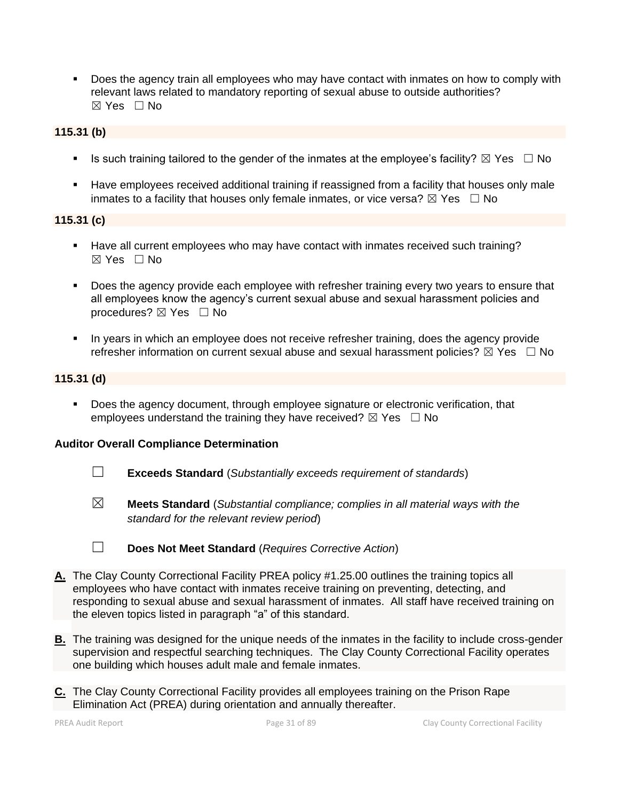▪ Does the agency train all employees who may have contact with inmates on how to comply with relevant laws related to mandatory reporting of sexual abuse to outside authorities?  $\boxtimes$  Yes  $\Box$  No

#### **115.31 (b)**

- **■** Is such training tailored to the gender of the inmates at the employee's facility?  $\boxtimes$  Yes  $\Box$  No
- **EXED Have employees received additional training if reassigned from a facility that houses only male** inmates to a facility that houses only female inmates, or vice versa?  $\boxtimes$  Yes  $\Box$  No

#### **115.31 (c)**

- Have all current employees who may have contact with inmates received such training?  $\boxtimes$  Yes  $\Box$  No
- **•** Does the agency provide each employee with refresher training every two years to ensure that all employees know the agency's current sexual abuse and sexual harassment policies and procedures?  $\boxtimes$  Yes  $\Box$  No
- In years in which an employee does not receive refresher training, does the agency provide refresher information on current sexual abuse and sexual harassment policies?  $\boxtimes$  Yes  $\Box$  No

#### **115.31 (d)**

▪ Does the agency document, through employee signature or electronic verification, that employees understand the training they have received?  $\boxtimes$  Yes  $\Box$  No

- ☐ **Exceeds Standard** (*Substantially exceeds requirement of standards*)
- ☒ **Meets Standard** (*Substantial compliance; complies in all material ways with the standard for the relevant review period*)

- ☐ **Does Not Meet Standard** (*Requires Corrective Action*)
- **A.** The Clay County Correctional Facility PREA policy #1.25.00 outlines the training topics all employees who have contact with inmates receive training on preventing, detecting, and responding to sexual abuse and sexual harassment of inmates. All staff have received training on the eleven topics listed in paragraph "a" of this standard.
- **B.** The training was designed for the unique needs of the inmates in the facility to include cross-gender supervision and respectful searching techniques. The Clay County Correctional Facility operates one building which houses adult male and female inmates.
- **C.** The Clay County Correctional Facility provides all employees training on the Prison Rape Elimination Act (PREA) during orientation and annually thereafter.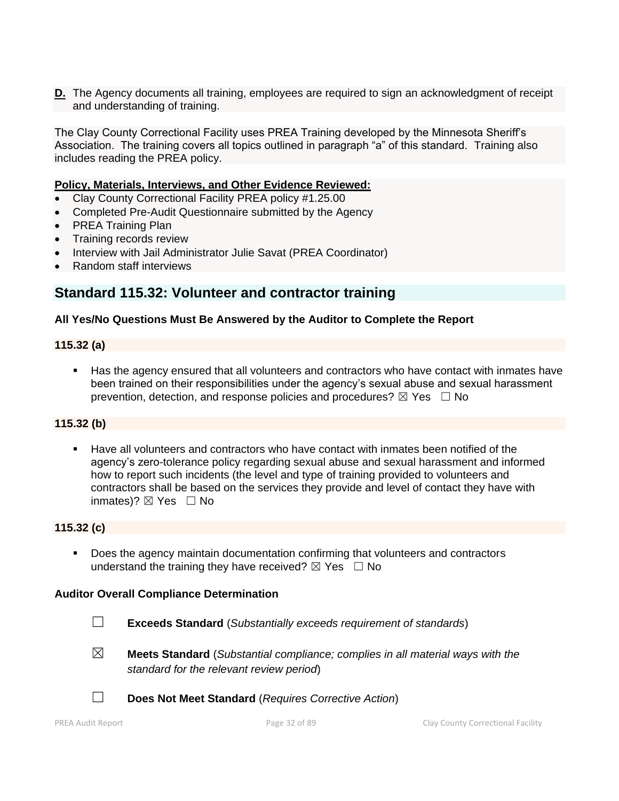**D.** The Agency documents all training, employees are required to sign an acknowledgment of receipt and understanding of training.

The Clay County Correctional Facility uses PREA Training developed by the Minnesota Sheriff's Association. The training covers all topics outlined in paragraph "a" of this standard. Training also includes reading the PREA policy.

#### **Policy, Materials, Interviews, and Other Evidence Reviewed:**

- Clay County Correctional Facility PREA policy #1.25.00
- Completed Pre-Audit Questionnaire submitted by the Agency
- PREA Training Plan
- Training records review
- Interview with Jail Administrator Julie Savat (PREA Coordinator)
- Random staff interviews

### **Standard 115.32: Volunteer and contractor training**

#### **All Yes/No Questions Must Be Answered by the Auditor to Complete the Report**

#### **115.32 (a)**

■ Has the agency ensured that all volunteers and contractors who have contact with inmates have been trained on their responsibilities under the agency's sexual abuse and sexual harassment prevention, detection, and response policies and procedures?  $\boxtimes$  Yes  $\Box$  No

#### **115.32 (b)**

▪ Have all volunteers and contractors who have contact with inmates been notified of the agency's zero-tolerance policy regarding sexual abuse and sexual harassment and informed how to report such incidents (the level and type of training provided to volunteers and contractors shall be based on the services they provide and level of contact they have with inmates)? ⊠ Yes □ No

#### **115.32 (c)**

Does the agency maintain documentation confirming that volunteers and contractors understand the training they have received?  $\boxtimes$  Yes  $\Box$  No

- ☐ **Exceeds Standard** (*Substantially exceeds requirement of standards*)
- ☒ **Meets Standard** (*Substantial compliance; complies in all material ways with the standard for the relevant review period*)
- 
- ☐ **Does Not Meet Standard** (*Requires Corrective Action*)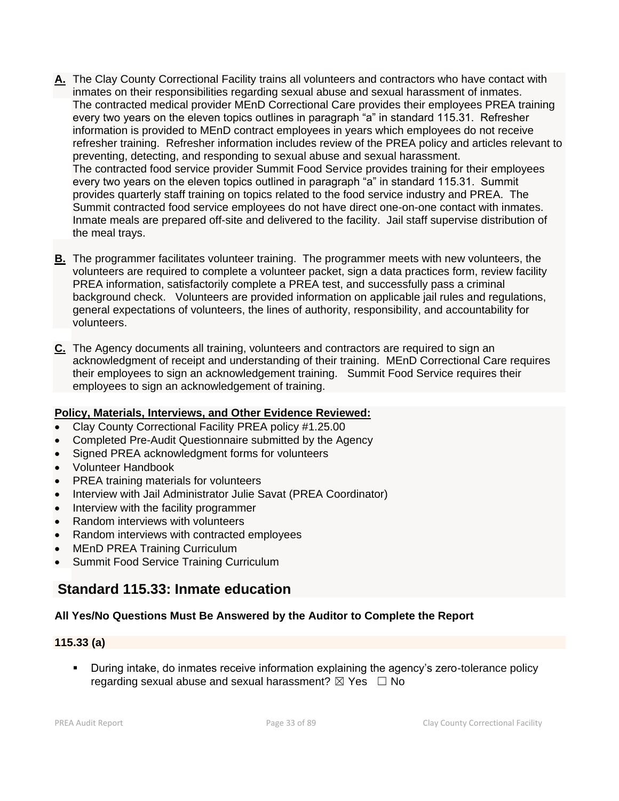- **A.** The Clay County Correctional Facility trains all volunteers and contractors who have contact with inmates on their responsibilities regarding sexual abuse and sexual harassment of inmates. The contracted medical provider MEnD Correctional Care provides their employees PREA training every two years on the eleven topics outlines in paragraph "a" in standard 115.31. Refresher information is provided to MEnD contract employees in years which employees do not receive refresher training. Refresher information includes review of the PREA policy and articles relevant to preventing, detecting, and responding to sexual abuse and sexual harassment. The contracted food service provider Summit Food Service provides training for their employees every two years on the eleven topics outlined in paragraph "a" in standard 115.31. Summit provides quarterly staff training on topics related to the food service industry and PREA. The Summit contracted food service employees do not have direct one-on-one contact with inmates. Inmate meals are prepared off-site and delivered to the facility. Jail staff supervise distribution of the meal trays.
- **B.** The programmer facilitates volunteer training. The programmer meets with new volunteers, the volunteers are required to complete a volunteer packet, sign a data practices form, review facility PREA information, satisfactorily complete a PREA test, and successfully pass a criminal background check. Volunteers are provided information on applicable jail rules and regulations, general expectations of volunteers, the lines of authority, responsibility, and accountability for volunteers.
- **C.** The Agency documents all training, volunteers and contractors are required to sign an acknowledgment of receipt and understanding of their training. MEnD Correctional Care requires their employees to sign an acknowledgement training. Summit Food Service requires their employees to sign an acknowledgement of training.

#### **Policy, Materials, Interviews, and Other Evidence Reviewed:**

- Clay County Correctional Facility PREA policy #1.25.00
- Completed Pre-Audit Questionnaire submitted by the Agency
- Signed PREA acknowledgment forms for volunteers
- Volunteer Handbook
- PREA training materials for volunteers
- Interview with Jail Administrator Julie Savat (PREA Coordinator)
- Interview with the facility programmer
- Random interviews with volunteers
- Random interviews with contracted employees
- MEnD PREA Training Curriculum
- Summit Food Service Training Curriculum

# **Standard 115.33: Inmate education**

#### **All Yes/No Questions Must Be Answered by the Auditor to Complete the Report**

#### **115.33 (a)**

**•** During intake, do inmates receive information explaining the agency's zero-tolerance policy regarding sexual abuse and sexual harassment?  $\boxtimes$  Yes  $\Box$  No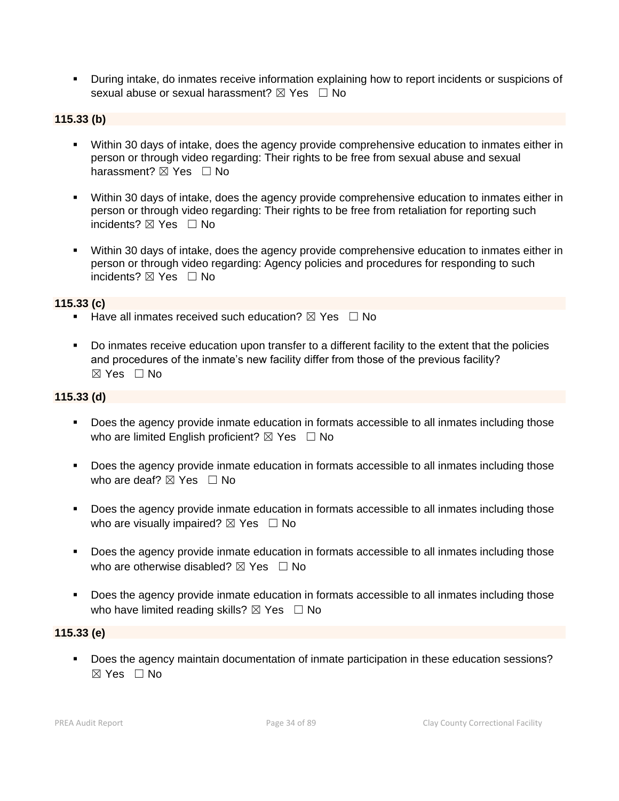▪ During intake, do inmates receive information explaining how to report incidents or suspicions of sexual abuse or sexual harassment?  $\boxtimes$  Yes  $\Box$  No

#### **115.33 (b)**

- Within 30 days of intake, does the agency provide comprehensive education to inmates either in person or through video regarding: Their rights to be free from sexual abuse and sexual harassment?  $\boxtimes$  Yes  $\Box$  No
- **•** Within 30 days of intake, does the agency provide comprehensive education to inmates either in person or through video regarding: Their rights to be free from retaliation for reporting such incidents? **⊠** Yes □ No
- Within 30 days of intake, does the agency provide comprehensive education to inmates either in person or through video regarding: Agency policies and procedures for responding to such incidents? ⊠ Yes □ No

#### **115.33 (c)**

- Have all inmates received such education?  $\boxtimes$  Yes  $\Box$  No
- Do inmates receive education upon transfer to a different facility to the extent that the policies and procedures of the inmate's new facility differ from those of the previous facility? ☒ Yes ☐ No

#### **115.33 (d)**

- Does the agency provide inmate education in formats accessible to all inmates including those who are limited English proficient?  $\boxtimes$  Yes  $\Box$  No
- Does the agency provide inmate education in formats accessible to all inmates including those who are deaf?  $\boxtimes$  Yes  $\Box$  No
- Does the agency provide inmate education in formats accessible to all inmates including those who are visually impaired?  $\boxtimes$  Yes  $\Box$  No
- Does the agency provide inmate education in formats accessible to all inmates including those who are otherwise disabled?  $\boxtimes$  Yes  $\Box$  No
- Does the agency provide inmate education in formats accessible to all inmates including those who have limited reading skills?  $\boxtimes$  Yes  $\Box$  No

#### **115.33 (e)**

▪ Does the agency maintain documentation of inmate participation in these education sessions? ☒ Yes ☐ No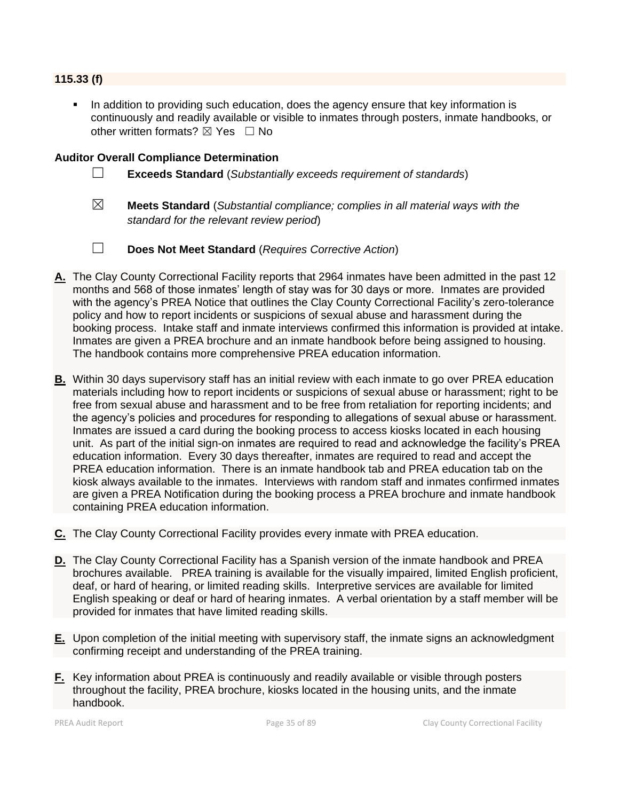#### **115.33 (f)**

In addition to providing such education, does the agency ensure that key information is continuously and readily available or visible to inmates through posters, inmate handbooks, or other written formats?  $\boxtimes$  Yes  $\Box$  No

- ☐ **Exceeds Standard** (*Substantially exceeds requirement of standards*)
- ☒ **Meets Standard** (*Substantial compliance; complies in all material ways with the standard for the relevant review period*)
- ☐ **Does Not Meet Standard** (*Requires Corrective Action*)
- **A.** The Clay County Correctional Facility reports that 2964 inmates have been admitted in the past 12 months and 568 of those inmates' length of stay was for 30 days or more. Inmates are provided with the agency's PREA Notice that outlines the Clay County Correctional Facility's zero-tolerance policy and how to report incidents or suspicions of sexual abuse and harassment during the booking process. Intake staff and inmate interviews confirmed this information is provided at intake. Inmates are given a PREA brochure and an inmate handbook before being assigned to housing. The handbook contains more comprehensive PREA education information.
- **B.** Within 30 days supervisory staff has an initial review with each inmate to go over PREA education materials including how to report incidents or suspicions of sexual abuse or harassment; right to be free from sexual abuse and harassment and to be free from retaliation for reporting incidents; and the agency's policies and procedures for responding to allegations of sexual abuse or harassment. Inmates are issued a card during the booking process to access kiosks located in each housing unit. As part of the initial sign-on inmates are required to read and acknowledge the facility's PREA education information. Every 30 days thereafter, inmates are required to read and accept the PREA education information. There is an inmate handbook tab and PREA education tab on the kiosk always available to the inmates. Interviews with random staff and inmates confirmed inmates are given a PREA Notification during the booking process a PREA brochure and inmate handbook containing PREA education information.
- **C.** The Clay County Correctional Facility provides every inmate with PREA education.
- **D.** The Clay County Correctional Facility has a Spanish version of the inmate handbook and PREA brochures available. PREA training is available for the visually impaired, limited English proficient, deaf, or hard of hearing, or limited reading skills. Interpretive services are available for limited English speaking or deaf or hard of hearing inmates. A verbal orientation by a staff member will be provided for inmates that have limited reading skills.
- **E.** Upon completion of the initial meeting with supervisory staff, the inmate signs an acknowledgment confirming receipt and understanding of the PREA training.
- **F.** Key information about PREA is continuously and readily available or visible through posters throughout the facility, PREA brochure, kiosks located in the housing units, and the inmate handbook.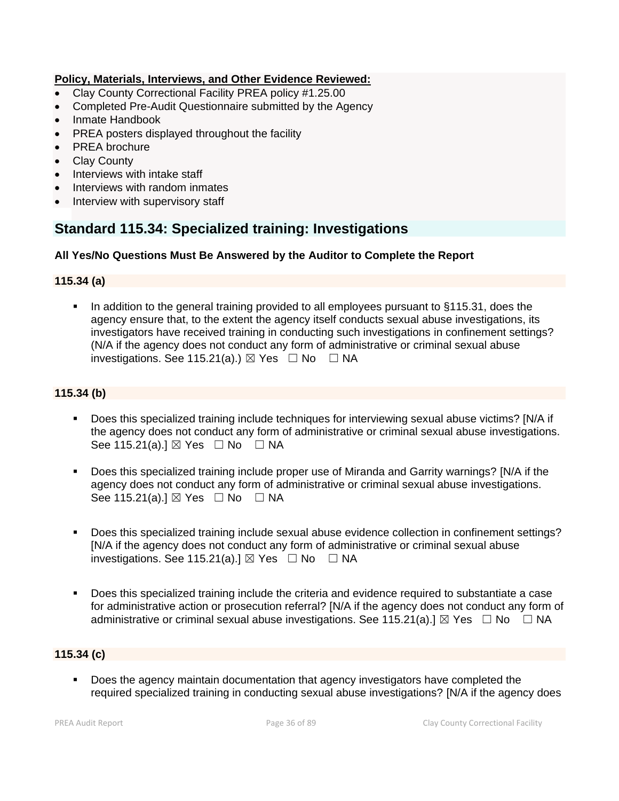#### **Policy, Materials, Interviews, and Other Evidence Reviewed:**

- Clay County Correctional Facility PREA policy #1.25.00
- Completed Pre-Audit Questionnaire submitted by the Agency
- Inmate Handbook
- PREA posters displayed throughout the facility
- PREA brochure
- **Clay County**
- Interviews with intake staff
- Interviews with random inmates
- Interview with supervisory staff

## **Standard 115.34: Specialized training: Investigations**

#### **All Yes/No Questions Must Be Answered by the Auditor to Complete the Report**

#### **115.34 (a)**

■ In addition to the general training provided to all employees pursuant to §115.31, does the agency ensure that, to the extent the agency itself conducts sexual abuse investigations, its investigators have received training in conducting such investigations in confinement settings? (N/A if the agency does not conduct any form of administrative or criminal sexual abuse investigations. See 115.21(a).)  $\boxtimes$  Yes  $\Box$  No  $\Box$  NA

#### **115.34 (b)**

- Does this specialized training include techniques for interviewing sexual abuse victims? [N/A if the agency does not conduct any form of administrative or criminal sexual abuse investigations. See 115.21(a).]  $\boxtimes$  Yes  $\Box$  No  $\Box$  NA
- Does this specialized training include proper use of Miranda and Garrity warnings? [N/A if the agency does not conduct any form of administrative or criminal sexual abuse investigations. See 115.21(a).] ⊠ Yes □ No □ NA
- Does this specialized training include sexual abuse evidence collection in confinement settings? [N/A if the agency does not conduct any form of administrative or criminal sexual abuse investigations. See 115.21(a).]  $\boxtimes$  Yes  $\Box$  No  $\Box$  NA
- Does this specialized training include the criteria and evidence required to substantiate a case for administrative action or prosecution referral? [N/A if the agency does not conduct any form of administrative or criminal sexual abuse investigations. See 115.21(a). $\mathbb{I} \boxtimes \mathbb{Y}$ es  $\Box$  No  $\Box$  NA

#### **115.34 (c)**

Does the agency maintain documentation that agency investigators have completed the required specialized training in conducting sexual abuse investigations? [N/A if the agency does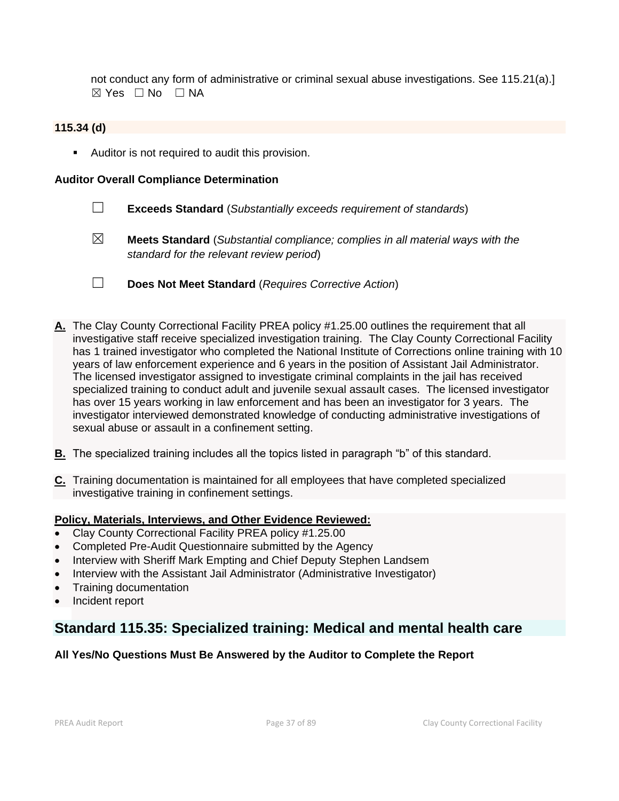not conduct any form of administrative or criminal sexual abuse investigations. See 115.21(a).]  $\boxtimes$  Yes  $\Box$  No  $\Box$  NA

## **115.34 (d)**

■ Auditor is not required to audit this provision.

### **Auditor Overall Compliance Determination**

- ☐ **Exceeds Standard** (*Substantially exceeds requirement of standards*)
- ☒ **Meets Standard** (*Substantial compliance; complies in all material ways with the standard for the relevant review period*)
- ☐ **Does Not Meet Standard** (*Requires Corrective Action*)
- **A.** The Clay County Correctional Facility PREA policy #1.25.00 outlines the requirement that all investigative staff receive specialized investigation training. The Clay County Correctional Facility has 1 trained investigator who completed the National Institute of Corrections online training with 10 years of law enforcement experience and 6 years in the position of Assistant Jail Administrator. The licensed investigator assigned to investigate criminal complaints in the jail has received specialized training to conduct adult and juvenile sexual assault cases. The licensed investigator has over 15 years working in law enforcement and has been an investigator for 3 years. The investigator interviewed demonstrated knowledge of conducting administrative investigations of sexual abuse or assault in a confinement setting.
- **B.** The specialized training includes all the topics listed in paragraph "b" of this standard.
- **C.** Training documentation is maintained for all employees that have completed specialized investigative training in confinement settings.

#### **Policy, Materials, Interviews, and Other Evidence Reviewed:**

- Clay County Correctional Facility PREA policy #1.25.00
- Completed Pre-Audit Questionnaire submitted by the Agency
- Interview with Sheriff Mark Empting and Chief Deputy Stephen Landsem
- Interview with the Assistant Jail Administrator (Administrative Investigator)
- Training documentation
- Incident report

## **Standard 115.35: Specialized training: Medical and mental health care**

## **All Yes/No Questions Must Be Answered by the Auditor to Complete the Report**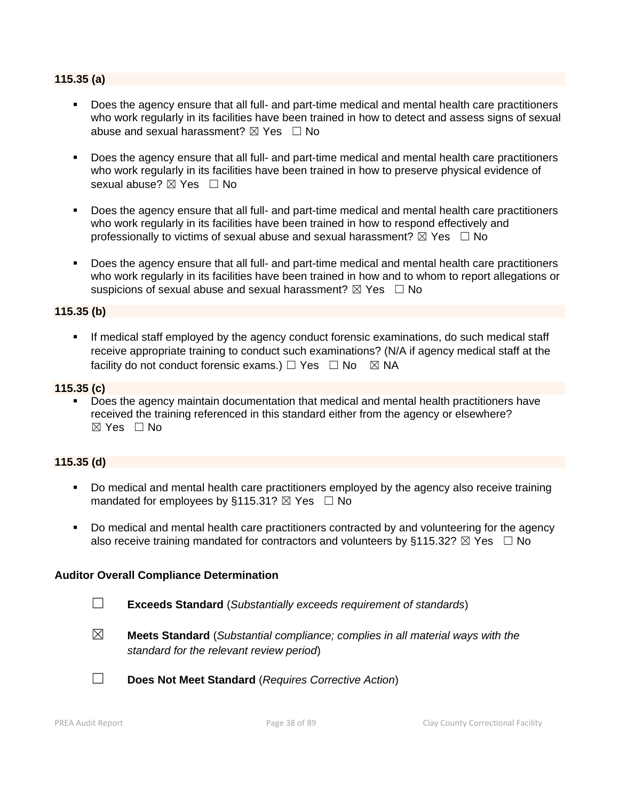#### **115.35 (a)**

- Does the agency ensure that all full- and part-time medical and mental health care practitioners who work regularly in its facilities have been trained in how to detect and assess signs of sexual abuse and sexual harassment?  $\boxtimes$  Yes  $\Box$  No
- Does the agency ensure that all full- and part-time medical and mental health care practitioners who work regularly in its facilities have been trained in how to preserve physical evidence of sexual abuse? ⊠ Yes □ No
- Does the agency ensure that all full- and part-time medical and mental health care practitioners who work regularly in its facilities have been trained in how to respond effectively and professionally to victims of sexual abuse and sexual harassment?  $\boxtimes$  Yes  $\Box$  No
- Does the agency ensure that all full- and part-time medical and mental health care practitioners who work regularly in its facilities have been trained in how and to whom to report allegations or suspicions of sexual abuse and sexual harassment?  $\boxtimes$  Yes  $\Box$  No

### **115.35 (b)**

■ If medical staff employed by the agency conduct forensic examinations, do such medical staff receive appropriate training to conduct such examinations? (N/A if agency medical staff at the facility do not conduct forensic exams.)  $\Box$  Yes  $\Box$  No  $\boxtimes$  NA

#### **115.35 (c)**

▪ Does the agency maintain documentation that medical and mental health practitioners have received the training referenced in this standard either from the agency or elsewhere?  $\boxtimes$  Yes  $\Box$  No

#### **115.35 (d)**

- Do medical and mental health care practitioners employed by the agency also receive training mandated for employees by §115.31?  $\boxtimes$  Yes  $\Box$  No
- Do medical and mental health care practitioners contracted by and volunteering for the agency also receive training mandated for contractors and volunteers by §115.32?  $\boxtimes$  Yes  $\Box$  No

- ☐ **Exceeds Standard** (*Substantially exceeds requirement of standards*)
- ☒ **Meets Standard** (*Substantial compliance; complies in all material ways with the standard for the relevant review period*)
- ☐ **Does Not Meet Standard** (*Requires Corrective Action*)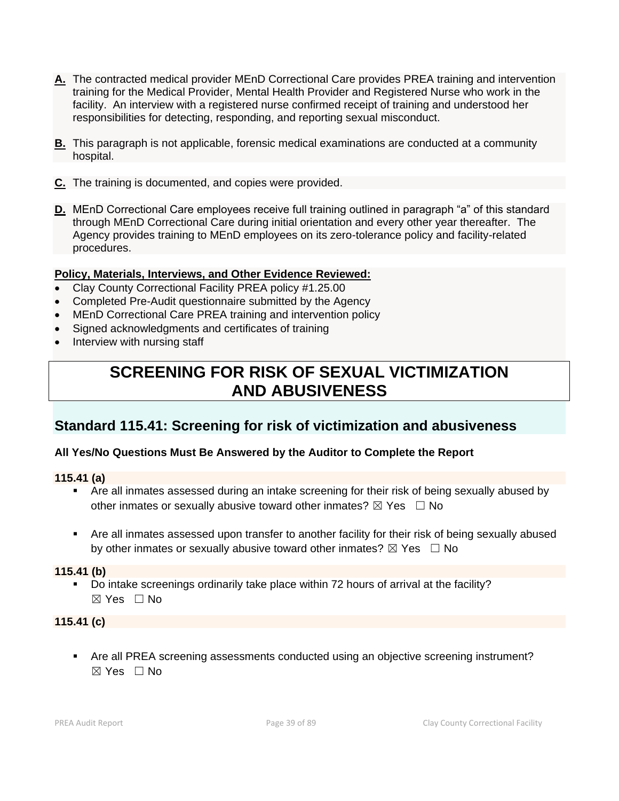- **A.** The contracted medical provider MEnD Correctional Care provides PREA training and intervention training for the Medical Provider, Mental Health Provider and Registered Nurse who work in the facility. An interview with a registered nurse confirmed receipt of training and understood her responsibilities for detecting, responding, and reporting sexual misconduct.
- **B.** This paragraph is not applicable, forensic medical examinations are conducted at a community hospital.
- **C.** The training is documented, and copies were provided.
- **D.** MEnD Correctional Care employees receive full training outlined in paragraph "a" of this standard through MEnD Correctional Care during initial orientation and every other year thereafter. The Agency provides training to MEnD employees on its zero-tolerance policy and facility-related procedures.

## **Policy, Materials, Interviews, and Other Evidence Reviewed:**

- Clay County Correctional Facility PREA policy #1.25.00
- Completed Pre-Audit questionnaire submitted by the Agency
- MEnD Correctional Care PREA training and intervention policy
- Signed acknowledgments and certificates of training
- Interview with nursing staff

# **SCREENING FOR RISK OF SEXUAL VICTIMIZATION AND ABUSIVENESS**

## **Standard 115.41: Screening for risk of victimization and abusiveness**

## **All Yes/No Questions Must Be Answered by the Auditor to Complete the Report**

#### **115.41 (a)**

- Are all inmates assessed during an intake screening for their risk of being sexually abused by other inmates or sexually abusive toward other inmates?  $\boxtimes$  Yes  $\Box$  No
- Are all inmates assessed upon transfer to another facility for their risk of being sexually abused by other inmates or sexually abusive toward other inmates?  $\boxtimes$  Yes  $\Box$  No

#### **115.41 (b)**

▪ Do intake screenings ordinarily take place within 72 hours of arrival at the facility?  $\boxtimes$  Yes  $\Box$  No

#### **115.41 (c)**

■ Are all PREA screening assessments conducted using an objective screening instrument?  $\boxtimes$  Yes  $\Box$  No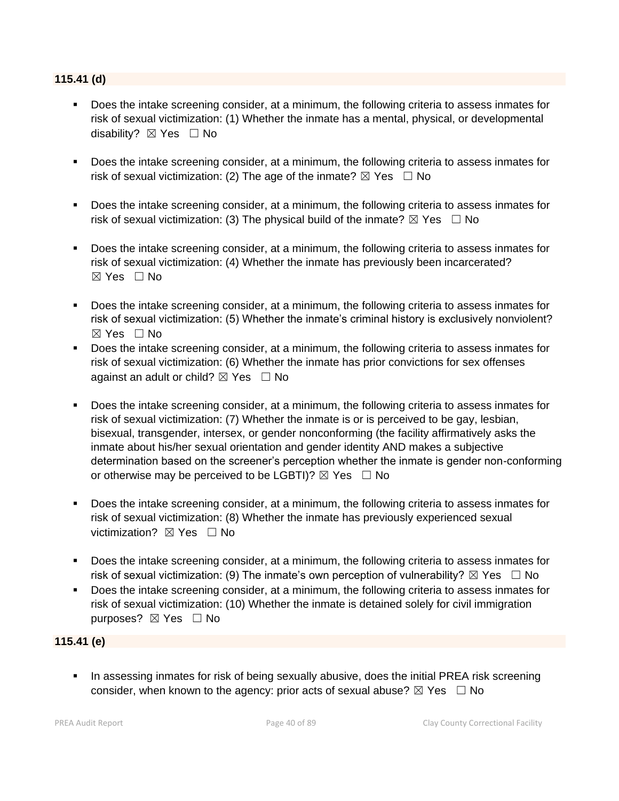### **115.41 (d)**

- Does the intake screening consider, at a minimum, the following criteria to assess inmates for risk of sexual victimization: (1) Whether the inmate has a mental, physical, or developmental disability? ⊠ Yes □ No
- Does the intake screening consider, at a minimum, the following criteria to assess inmates for risk of sexual victimization: (2) The age of the inmate?  $\boxtimes$  Yes  $\Box$  No
- Does the intake screening consider, at a minimum, the following criteria to assess inmates for risk of sexual victimization: (3) The physical build of the inmate?  $\boxtimes$  Yes  $\Box$  No
- Does the intake screening consider, at a minimum, the following criteria to assess inmates for risk of sexual victimization: (4) Whether the inmate has previously been incarcerated?  $\boxtimes$  Yes  $\Box$  No
- **•** Does the intake screening consider, at a minimum, the following criteria to assess inmates for risk of sexual victimization: (5) Whether the inmate's criminal history is exclusively nonviolent? ☒ Yes ☐ No
- Does the intake screening consider, at a minimum, the following criteria to assess inmates for risk of sexual victimization: (6) Whether the inmate has prior convictions for sex offenses against an adult or child?  $\boxtimes$  Yes  $\Box$  No
- Does the intake screening consider, at a minimum, the following criteria to assess inmates for risk of sexual victimization: (7) Whether the inmate is or is perceived to be gay, lesbian, bisexual, transgender, intersex, or gender nonconforming (the facility affirmatively asks the inmate about his/her sexual orientation and gender identity AND makes a subjective determination based on the screener's perception whether the inmate is gender non-conforming or otherwise may be perceived to be LGBTI)?  $\boxtimes$  Yes  $\Box$  No
- Does the intake screening consider, at a minimum, the following criteria to assess inmates for risk of sexual victimization: (8) Whether the inmate has previously experienced sexual victimization?  $\boxtimes$  Yes  $\Box$  No
- Does the intake screening consider, at a minimum, the following criteria to assess inmates for risk of sexual victimization: (9) The inmate's own perception of vulnerability?  $\boxtimes$  Yes  $\Box$  No
- Does the intake screening consider, at a minimum, the following criteria to assess inmates for risk of sexual victimization: (10) Whether the inmate is detained solely for civil immigration purposes? ⊠ Yes □ No

## **115.41 (e)**

■ In assessing inmates for risk of being sexually abusive, does the initial PREA risk screening consider, when known to the agency: prior acts of sexual abuse?  $\boxtimes$  Yes  $\Box$  No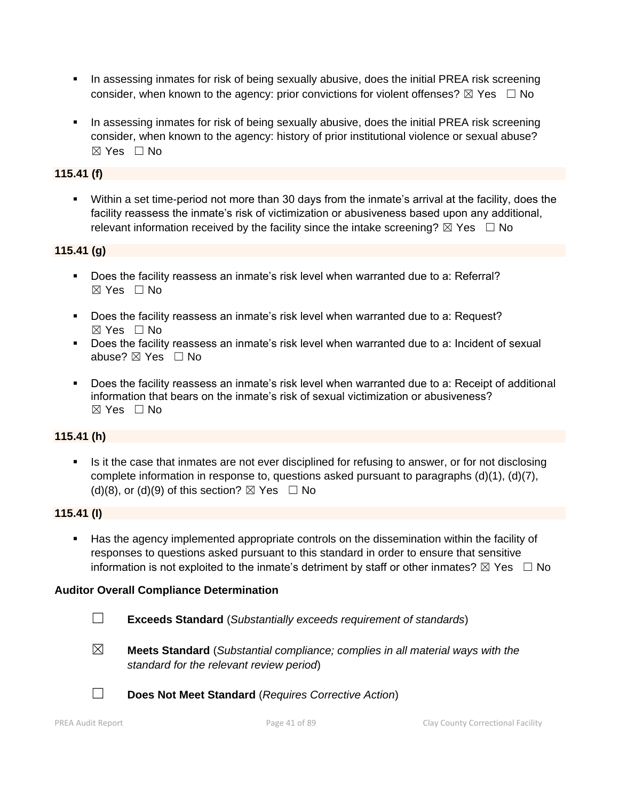- **•** In assessing inmates for risk of being sexually abusive, does the initial PREA risk screening consider, when known to the agency: prior convictions for violent offenses?  $\boxtimes$  Yes  $\Box$  No
- **•** In assessing inmates for risk of being sexually abusive, does the initial PREA risk screening consider, when known to the agency: history of prior institutional violence or sexual abuse?  $\boxtimes$  Yes  $\Box$  No

## **115.41 (f)**

▪ Within a set time-period not more than 30 days from the inmate's arrival at the facility, does the facility reassess the inmate's risk of victimization or abusiveness based upon any additional, relevant information received by the facility since the intake screening?  $\boxtimes$  Yes  $\Box$  No

## **115.41 (g)**

- Does the facility reassess an inmate's risk level when warranted due to a: Referral?  $\boxtimes$  Yes  $\Box$  No
- Does the facility reassess an inmate's risk level when warranted due to a: Request? ☒ Yes ☐ No
- Does the facility reassess an inmate's risk level when warranted due to a: Incident of sexual abuse? ☒ Yes ☐ No
- Does the facility reassess an inmate's risk level when warranted due to a: Receipt of additional information that bears on the inmate's risk of sexual victimization or abusiveness?  $\boxtimes$  Yes  $\Box$  No

## **115.41 (h)**

Is it the case that inmates are not ever disciplined for refusing to answer, or for not disclosing complete information in response to, questions asked pursuant to paragraphs (d)(1), (d)(7), (d)(8), or (d)(9) of this section?  $\boxtimes$  Yes  $\Box$  No

## **115.41 (I)**

▪ Has the agency implemented appropriate controls on the dissemination within the facility of responses to questions asked pursuant to this standard in order to ensure that sensitive information is not exploited to the inmate's detriment by staff or other inmates?  $\boxtimes$  Yes  $\Box$  No

- ☐ **Exceeds Standard** (*Substantially exceeds requirement of standards*)
- 
- ☒ **Meets Standard** (*Substantial compliance; complies in all material ways with the standard for the relevant review period*)
- ☐ **Does Not Meet Standard** (*Requires Corrective Action*)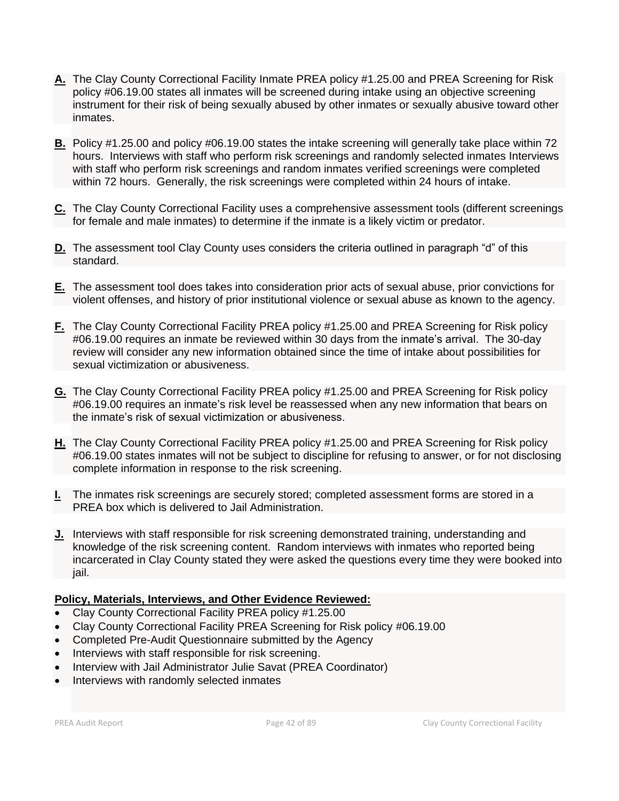- **A.** The Clay County Correctional Facility Inmate PREA policy #1.25.00 and PREA Screening for Risk policy #06.19.00 states all inmates will be screened during intake using an objective screening instrument for their risk of being sexually abused by other inmates or sexually abusive toward other inmates.
- **B.** Policy #1.25.00 and policy #06.19.00 states the intake screening will generally take place within 72 hours. Interviews with staff who perform risk screenings and randomly selected inmates Interviews with staff who perform risk screenings and random inmates verified screenings were completed within 72 hours. Generally, the risk screenings were completed within 24 hours of intake.
- **C.** The Clay County Correctional Facility uses a comprehensive assessment tools (different screenings for female and male inmates) to determine if the inmate is a likely victim or predator.
- **D.** The assessment tool Clay County uses considers the criteria outlined in paragraph "d" of this standard.
- **E.** The assessment tool does takes into consideration prior acts of sexual abuse, prior convictions for violent offenses, and history of prior institutional violence or sexual abuse as known to the agency.
- **F.** The Clay County Correctional Facility PREA policy #1.25.00 and PREA Screening for Risk policy #06.19.00 requires an inmate be reviewed within 30 days from the inmate's arrival. The 30-day review will consider any new information obtained since the time of intake about possibilities for sexual victimization or abusiveness.
- **G.** The Clay County Correctional Facility PREA policy #1.25.00 and PREA Screening for Risk policy #06.19.00 requires an inmate's risk level be reassessed when any new information that bears on the inmate's risk of sexual victimization or abusiveness.
- **H.** The Clay County Correctional Facility PREA policy #1.25.00 and PREA Screening for Risk policy #06.19.00 states inmates will not be subject to discipline for refusing to answer, or for not disclosing complete information in response to the risk screening.
- **I.** The inmates risk screenings are securely stored; completed assessment forms are stored in a PREA box which is delivered to Jail Administration.
- **J.** Interviews with staff responsible for risk screening demonstrated training, understanding and knowledge of the risk screening content. Random interviews with inmates who reported being incarcerated in Clay County stated they were asked the questions every time they were booked into jail.

## **Policy, Materials, Interviews, and Other Evidence Reviewed:**

- Clay County Correctional Facility PREA policy #1.25.00
- Clay County Correctional Facility PREA Screening for Risk policy #06.19.00
- Completed Pre-Audit Questionnaire submitted by the Agency
- Interviews with staff responsible for risk screening.
- Interview with Jail Administrator Julie Savat (PREA Coordinator)
- Interviews with randomly selected inmates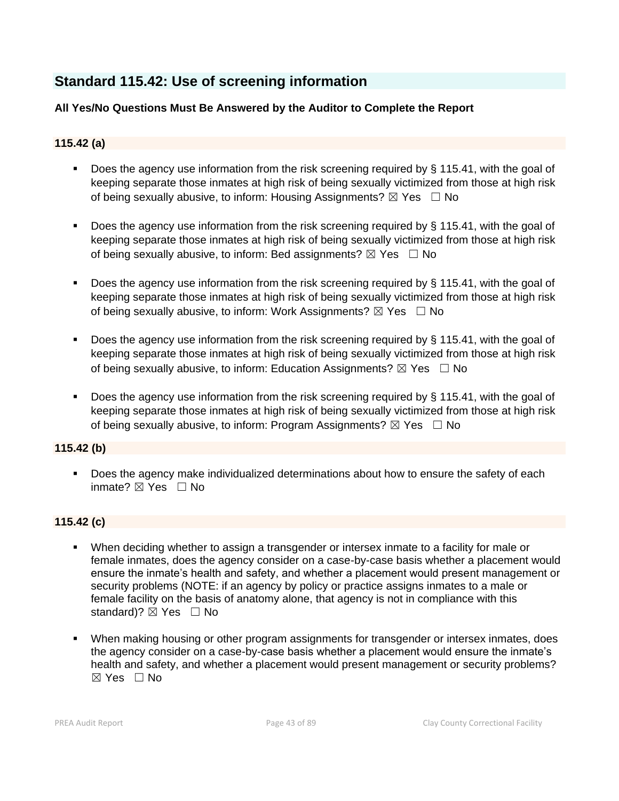## **Standard 115.42: Use of screening information**

## **All Yes/No Questions Must Be Answered by the Auditor to Complete the Report**

## **115.42 (a)**

- Does the agency use information from the risk screening required by § 115.41, with the goal of keeping separate those inmates at high risk of being sexually victimized from those at high risk of being sexually abusive, to inform: Housing Assignments?  $\boxtimes$  Yes  $\Box$  No
- Does the agency use information from the risk screening required by § 115.41, with the goal of keeping separate those inmates at high risk of being sexually victimized from those at high risk of being sexually abusive, to inform: Bed assignments?  $\boxtimes$  Yes  $\Box$  No
- **•** Does the agency use information from the risk screening required by  $\S$  115.41, with the goal of keeping separate those inmates at high risk of being sexually victimized from those at high risk of being sexually abusive, to inform: Work Assignments?  $\boxtimes$  Yes  $\Box$  No
- Does the agency use information from the risk screening required by § 115.41, with the goal of keeping separate those inmates at high risk of being sexually victimized from those at high risk of being sexually abusive, to inform: Education Assignments?  $\boxtimes$  Yes  $\Box$  No
- Does the agency use information from the risk screening required by § 115.41, with the goal of keeping separate those inmates at high risk of being sexually victimized from those at high risk of being sexually abusive, to inform: Program Assignments?  $\boxtimes$  Yes  $\Box$  No

## **115.42 (b)**

■ Does the agency make individualized determinations about how to ensure the safety of each inmate? ☒ Yes ☐ No

## **115.42 (c)**

- When deciding whether to assign a transgender or intersex inmate to a facility for male or female inmates, does the agency consider on a case-by-case basis whether a placement would ensure the inmate's health and safety, and whether a placement would present management or security problems (NOTE: if an agency by policy or practice assigns inmates to a male or female facility on the basis of anatomy alone, that agency is not in compliance with this standard)? ⊠ Yes □ No
- When making housing or other program assignments for transgender or intersex inmates, does the agency consider on a case-by-case basis whether a placement would ensure the inmate's health and safety, and whether a placement would present management or security problems?  $\boxtimes$  Yes  $\Box$  No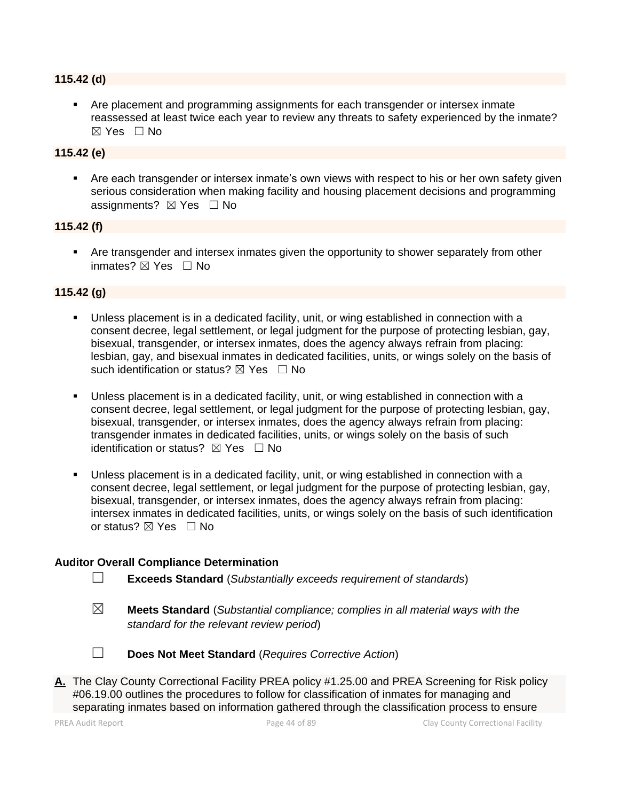#### **115.42 (d)**

▪ Are placement and programming assignments for each transgender or intersex inmate reassessed at least twice each year to review any threats to safety experienced by the inmate?  $\boxtimes$  Yes  $\Box$  No

## **115.42 (e)**

**EXECT** Are each transgender or intersex inmate's own views with respect to his or her own safety given serious consideration when making facility and housing placement decisions and programming assignments? ⊠ Yes □ No

#### **115.42 (f)**

**• Are transgender and intersex inmates given the opportunity to shower separately from other** inmates? ⊠ Yes □ No

#### **115.42 (g)**

- Unless placement is in a dedicated facility, unit, or wing established in connection with a consent decree, legal settlement, or legal judgment for the purpose of protecting lesbian, gay, bisexual, transgender, or intersex inmates, does the agency always refrain from placing: lesbian, gay, and bisexual inmates in dedicated facilities, units, or wings solely on the basis of such identification or status?  $\boxtimes$  Yes  $\Box$  No
- Unless placement is in a dedicated facility, unit, or wing established in connection with a consent decree, legal settlement, or legal judgment for the purpose of protecting lesbian, gay, bisexual, transgender, or intersex inmates, does the agency always refrain from placing: transgender inmates in dedicated facilities, units, or wings solely on the basis of such identification or status?  $\boxtimes$  Yes  $\Box$  No
- Unless placement is in a dedicated facility, unit, or wing established in connection with a consent decree, legal settlement, or legal judgment for the purpose of protecting lesbian, gay, bisexual, transgender, or intersex inmates, does the agency always refrain from placing: intersex inmates in dedicated facilities, units, or wings solely on the basis of such identification or status? ⊠ Yes □ No

- ☐ **Exceeds Standard** (*Substantially exceeds requirement of standards*)
- ☒ **Meets Standard** (*Substantial compliance; complies in all material ways with the standard for the relevant review period*)



- ☐ **Does Not Meet Standard** (*Requires Corrective Action*)
- **A.** The Clay County Correctional Facility PREA policy #1.25.00 and PREA Screening for Risk policy #06.19.00 outlines the procedures to follow for classification of inmates for managing and separating inmates based on information gathered through the classification process to ensure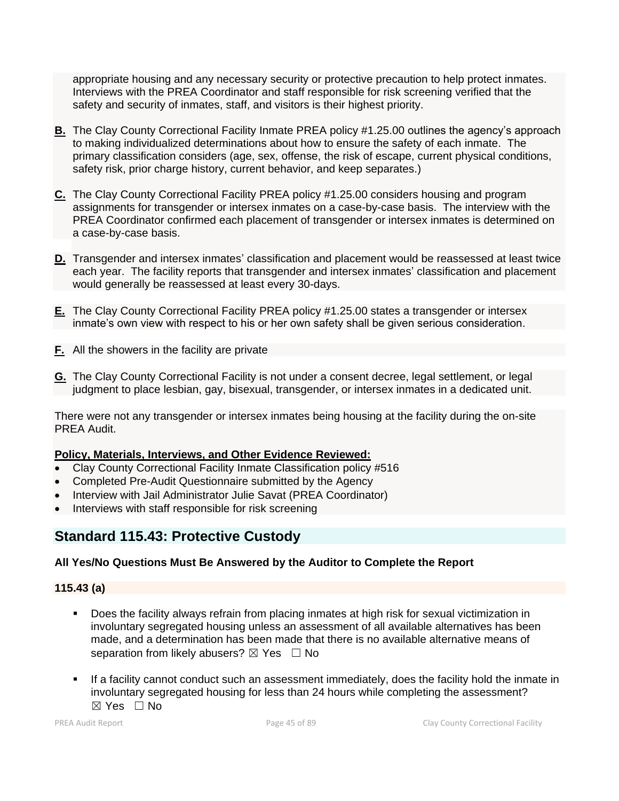appropriate housing and any necessary security or protective precaution to help protect inmates. Interviews with the PREA Coordinator and staff responsible for risk screening verified that the safety and security of inmates, staff, and visitors is their highest priority.

- **B.** The Clay County Correctional Facility Inmate PREA policy #1.25.00 outlines the agency's approach to making individualized determinations about how to ensure the safety of each inmate. The primary classification considers (age, sex, offense, the risk of escape, current physical conditions, safety risk, prior charge history, current behavior, and keep separates.)
- **C.** The Clay County Correctional Facility PREA policy #1.25.00 considers housing and program assignments for transgender or intersex inmates on a case-by-case basis. The interview with the PREA Coordinator confirmed each placement of transgender or intersex inmates is determined on a case-by-case basis.
- **D.** Transgender and intersex inmates' classification and placement would be reassessed at least twice each year. The facility reports that transgender and intersex inmates' classification and placement would generally be reassessed at least every 30-days.
- **E.** The Clay County Correctional Facility PREA policy #1.25.00 states a transgender or intersex inmate's own view with respect to his or her own safety shall be given serious consideration.
- **F.** All the showers in the facility are private
- **G.** The Clay County Correctional Facility is not under a consent decree, legal settlement, or legal judgment to place lesbian, gay, bisexual, transgender, or intersex inmates in a dedicated unit.

There were not any transgender or intersex inmates being housing at the facility during the on-site PREA Audit.

## **Policy, Materials, Interviews, and Other Evidence Reviewed:**

- Clay County Correctional Facility Inmate Classification policy #516
- Completed Pre-Audit Questionnaire submitted by the Agency
- Interview with Jail Administrator Julie Savat (PREA Coordinator)
- Interviews with staff responsible for risk screening

## **Standard 115.43: Protective Custody**

## **All Yes/No Questions Must Be Answered by the Auditor to Complete the Report**

## **115.43 (a)**

- Does the facility always refrain from placing inmates at high risk for sexual victimization in involuntary segregated housing unless an assessment of all available alternatives has been made, and a determination has been made that there is no available alternative means of separation from likely abusers?  $\boxtimes$  Yes  $\Box$  No
- If a facility cannot conduct such an assessment immediately, does the facility hold the inmate in involuntary segregated housing for less than 24 hours while completing the assessment?  $\boxtimes$  Yes  $\Box$  No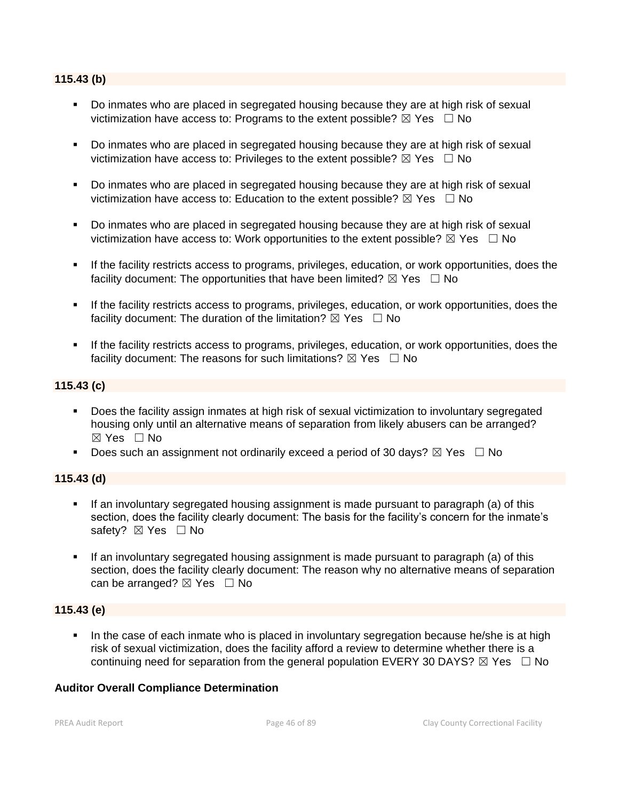#### **115.43 (b)**

- Do inmates who are placed in segregated housing because they are at high risk of sexual victimization have access to: Programs to the extent possible?  $\boxtimes$  Yes  $\Box$  No
- Do inmates who are placed in segregated housing because they are at high risk of sexual victimization have access to: Privileges to the extent possible?  $\boxtimes$  Yes  $\Box$  No
- Do inmates who are placed in segregated housing because they are at high risk of sexual victimization have access to: Education to the extent possible?  $\boxtimes$  Yes  $\Box$  No
- Do inmates who are placed in segregated housing because they are at high risk of sexual victimization have access to: Work opportunities to the extent possible?  $\boxtimes$  Yes  $\Box$  No
- If the facility restricts access to programs, privileges, education, or work opportunities, does the facility document: The opportunities that have been limited?  $\boxtimes$  Yes  $\Box$  No
- **EXECT** If the facility restricts access to programs, privileges, education, or work opportunities, does the facility document: The duration of the limitation?  $\boxtimes$  Yes  $\Box$  No
- **EXECT** If the facility restricts access to programs, privileges, education, or work opportunities, does the facility document: The reasons for such limitations?  $\boxtimes$  Yes  $\Box$  No

## **115.43 (c)**

- Does the facility assign inmates at high risk of sexual victimization to involuntary segregated housing only until an alternative means of separation from likely abusers can be arranged? ☒ Yes ☐ No
- **•** Does such an assignment not ordinarily exceed a period of 30 days?  $\boxtimes$  Yes  $\Box$  No

## **115.43 (d)**

- If an involuntary segregated housing assignment is made pursuant to paragraph (a) of this section, does the facility clearly document: The basis for the facility's concern for the inmate's safety? ⊠ Yes □ No
- If an involuntary segregated housing assignment is made pursuant to paragraph (a) of this section, does the facility clearly document: The reason why no alternative means of separation can be arranged?  $\boxtimes$  Yes  $\Box$  No

## **115.43 (e)**

In the case of each inmate who is placed in involuntary segregation because he/she is at high risk of sexual victimization, does the facility afford a review to determine whether there is a continuing need for separation from the general population EVERY 30 DAYS?  $\boxtimes$  Yes  $\Box$  No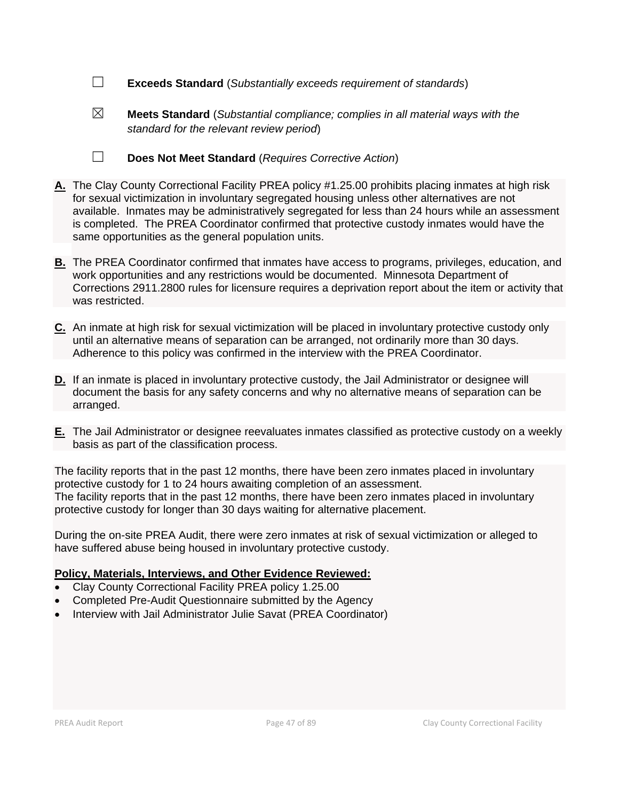- ☐ **Exceeds Standard** (*Substantially exceeds requirement of standards*)
- 

☒ **Meets Standard** (*Substantial compliance; complies in all material ways with the standard for the relevant review period*)

- ☐ **Does Not Meet Standard** (*Requires Corrective Action*)
- **A.** The Clay County Correctional Facility PREA policy #1.25.00 prohibits placing inmates at high risk for sexual victimization in involuntary segregated housing unless other alternatives are not available. Inmates may be administratively segregated for less than 24 hours while an assessment is completed. The PREA Coordinator confirmed that protective custody inmates would have the same opportunities as the general population units.
- **B.** The PREA Coordinator confirmed that inmates have access to programs, privileges, education, and work opportunities and any restrictions would be documented. Minnesota Department of Corrections 2911.2800 rules for licensure requires a deprivation report about the item or activity that was restricted.
- **C.** An inmate at high risk for sexual victimization will be placed in involuntary protective custody only until an alternative means of separation can be arranged, not ordinarily more than 30 days. Adherence to this policy was confirmed in the interview with the PREA Coordinator.
- **D.** If an inmate is placed in involuntary protective custody, the Jail Administrator or designee will document the basis for any safety concerns and why no alternative means of separation can be arranged.
- **E.** The Jail Administrator or designee reevaluates inmates classified as protective custody on a weekly basis as part of the classification process.

The facility reports that in the past 12 months, there have been zero inmates placed in involuntary protective custody for 1 to 24 hours awaiting completion of an assessment. The facility reports that in the past 12 months, there have been zero inmates placed in involuntary protective custody for longer than 30 days waiting for alternative placement.

During the on-site PREA Audit, there were zero inmates at risk of sexual victimization or alleged to have suffered abuse being housed in involuntary protective custody.

## **Policy, Materials, Interviews, and Other Evidence Reviewed:**

- Clay County Correctional Facility PREA policy 1.25.00
- Completed Pre-Audit Questionnaire submitted by the Agency
- Interview with Jail Administrator Julie Savat (PREA Coordinator)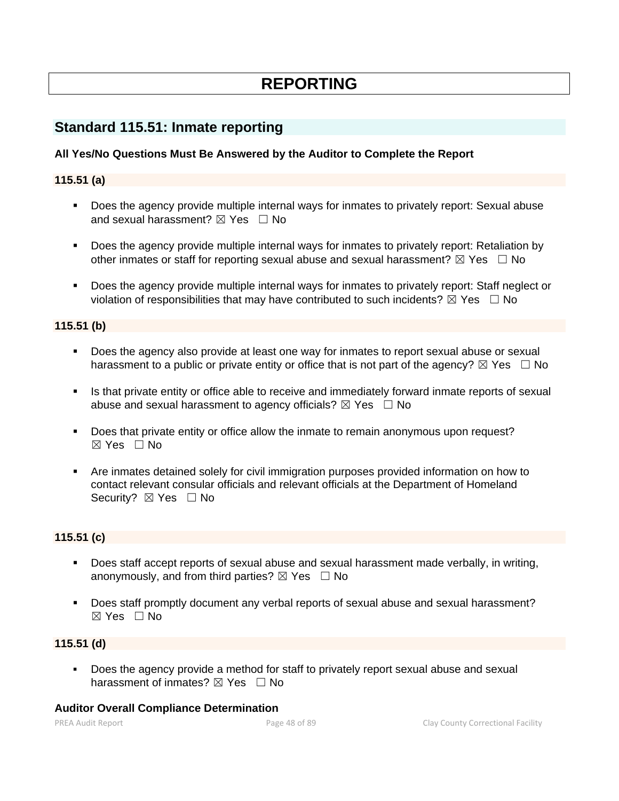# **REPORTING**

## **Standard 115.51: Inmate reporting**

## **All Yes/No Questions Must Be Answered by the Auditor to Complete the Report**

## **115.51 (a)**

- Does the agency provide multiple internal ways for inmates to privately report: Sexual abuse and sexual harassment?  $\boxtimes$  Yes  $\Box$  No
- Does the agency provide multiple internal ways for inmates to privately report: Retaliation by other inmates or staff for reporting sexual abuse and sexual harassment?  $\boxtimes$  Yes  $\Box$  No
- Does the agency provide multiple internal ways for inmates to privately report: Staff neglect or violation of responsibilities that may have contributed to such incidents?  $\boxtimes$  Yes  $\Box$  No

## **115.51 (b)**

- Does the agency also provide at least one way for inmates to report sexual abuse or sexual harassment to a public or private entity or office that is not part of the agency?  $\boxtimes$  Yes  $\Box$  No
- **.** Is that private entity or office able to receive and immediately forward inmate reports of sexual abuse and sexual harassment to agency officials?  $\boxtimes$  Yes  $\Box$  No
- **•** Does that private entity or office allow the inmate to remain anonymous upon request?  $\boxtimes$  Yes  $\Box$  No
- Are inmates detained solely for civil immigration purposes provided information on how to contact relevant consular officials and relevant officials at the Department of Homeland Security? ⊠ Yes □ No

## **115.51 (c)**

- Does staff accept reports of sexual abuse and sexual harassment made verbally, in writing, anonymously, and from third parties?  $\boxtimes$  Yes  $\Box$  No
- Does staff promptly document any verbal reports of sexual abuse and sexual harassment?  $\boxtimes$  Yes  $\Box$  No

## **115.51 (d)**

Does the agency provide a method for staff to privately report sexual abuse and sexual harassment of inmates?  $\boxtimes$  Yes  $\Box$  No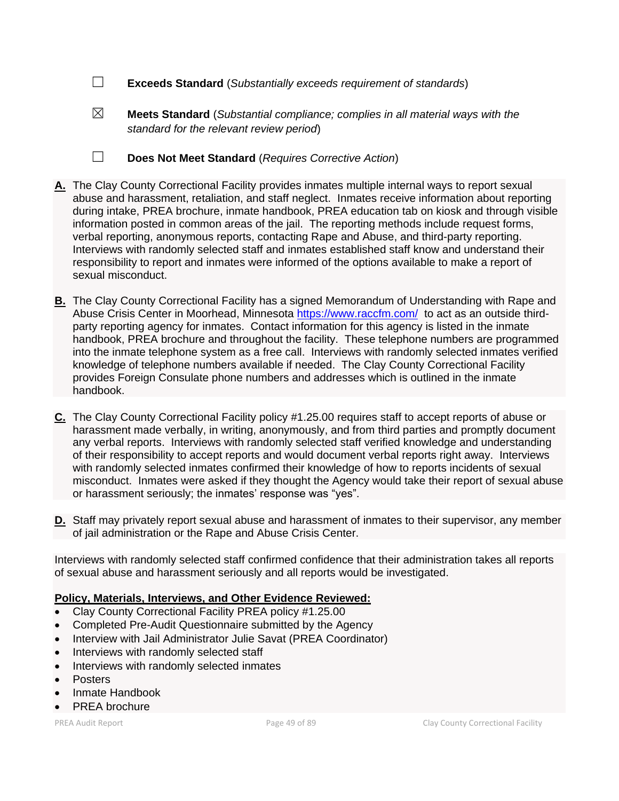- ☐ **Exceeds Standard** (*Substantially exceeds requirement of standards*)
- ☒ **Meets Standard** (*Substantial compliance; complies in all material ways with the standard for the relevant review period*)

☐ **Does Not Meet Standard** (*Requires Corrective Action*)

- **A.** The Clay County Correctional Facility provides inmates multiple internal ways to report sexual abuse and harassment, retaliation, and staff neglect. Inmates receive information about reporting during intake, PREA brochure, inmate handbook, PREA education tab on kiosk and through visible information posted in common areas of the jail. The reporting methods include request forms, verbal reporting, anonymous reports, contacting Rape and Abuse, and third-party reporting. Interviews with randomly selected staff and inmates established staff know and understand their responsibility to report and inmates were informed of the options available to make a report of sexual misconduct.
- **B.** The Clay County Correctional Facility has a signed Memorandum of Understanding with Rape and Abuse Crisis Center in Moorhead, Minnesota <https://www.raccfm.com/> to act as an outside thirdparty reporting agency for inmates. Contact information for this agency is listed in the inmate handbook, PREA brochure and throughout the facility. These telephone numbers are programmed into the inmate telephone system as a free call. Interviews with randomly selected inmates verified knowledge of telephone numbers available if needed. The Clay County Correctional Facility provides Foreign Consulate phone numbers and addresses which is outlined in the inmate handbook.
- **C.** The Clay County Correctional Facility policy #1.25.00 requires staff to accept reports of abuse or harassment made verbally, in writing, anonymously, and from third parties and promptly document any verbal reports. Interviews with randomly selected staff verified knowledge and understanding of their responsibility to accept reports and would document verbal reports right away. Interviews with randomly selected inmates confirmed their knowledge of how to reports incidents of sexual misconduct. Inmates were asked if they thought the Agency would take their report of sexual abuse or harassment seriously; the inmates' response was "yes".
- **D.** Staff may privately report sexual abuse and harassment of inmates to their supervisor, any member of jail administration or the Rape and Abuse Crisis Center.

Interviews with randomly selected staff confirmed confidence that their administration takes all reports of sexual abuse and harassment seriously and all reports would be investigated.

#### **Policy, Materials, Interviews, and Other Evidence Reviewed:**

- Clay County Correctional Facility PREA policy #1.25.00
- Completed Pre-Audit Questionnaire submitted by the Agency
- Interview with Jail Administrator Julie Savat (PREA Coordinator)
- Interviews with randomly selected staff
- Interviews with randomly selected inmates
- Posters
- Inmate Handbook
- PREA brochure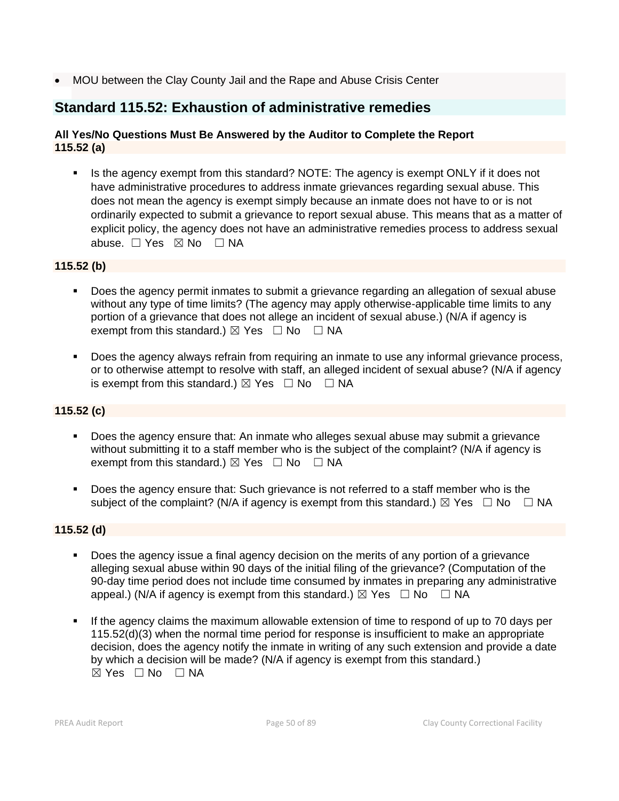• MOU between the Clay County Jail and the Rape and Abuse Crisis Center

## **Standard 115.52: Exhaustion of administrative remedies**

## **All Yes/No Questions Must Be Answered by the Auditor to Complete the Report 115.52 (a)**

■ Is the agency exempt from this standard? NOTE: The agency is exempt ONLY if it does not have administrative procedures to address inmate grievances regarding sexual abuse. This does not mean the agency is exempt simply because an inmate does not have to or is not ordinarily expected to submit a grievance to report sexual abuse. This means that as a matter of explicit policy, the agency does not have an administrative remedies process to address sexual abuse. □ Yes ⊠ No □ NA

## **115.52 (b)**

- Does the agency permit inmates to submit a grievance regarding an allegation of sexual abuse without any type of time limits? (The agency may apply otherwise-applicable time limits to any portion of a grievance that does not allege an incident of sexual abuse.) (N/A if agency is exempt from this standard.)  $\boxtimes$  Yes  $\Box$  No  $\Box$  NA
- Does the agency always refrain from requiring an inmate to use any informal grievance process, or to otherwise attempt to resolve with staff, an alleged incident of sexual abuse? (N/A if agency is exempt from this standard.)  $\boxtimes$  Yes  $\Box$  No  $\Box$  NA

## **115.52 (c)**

- Does the agency ensure that: An inmate who alleges sexual abuse may submit a grievance without submitting it to a staff member who is the subject of the complaint? (N/A if agency is exempt from this standard.)  $\boxtimes$  Yes  $\Box$  No  $\Box$  NA
- Does the agency ensure that: Such grievance is not referred to a staff member who is the subject of the complaint? (N/A if agency is exempt from this standard.)  $\boxtimes$  Yes  $\Box$  No  $\Box$  NA

## **115.52 (d)**

- Does the agency issue a final agency decision on the merits of any portion of a grievance alleging sexual abuse within 90 days of the initial filing of the grievance? (Computation of the 90-day time period does not include time consumed by inmates in preparing any administrative appeal.) (N/A if agency is exempt from this standard.)  $\boxtimes$  Yes  $\Box$  No  $\Box$  NA
- **.** If the agency claims the maximum allowable extension of time to respond of up to 70 days per 115.52(d)(3) when the normal time period for response is insufficient to make an appropriate decision, does the agency notify the inmate in writing of any such extension and provide a date by which a decision will be made? (N/A if agency is exempt from this standard.)  $\boxtimes$  Yes  $\Box$  No  $\Box$  NA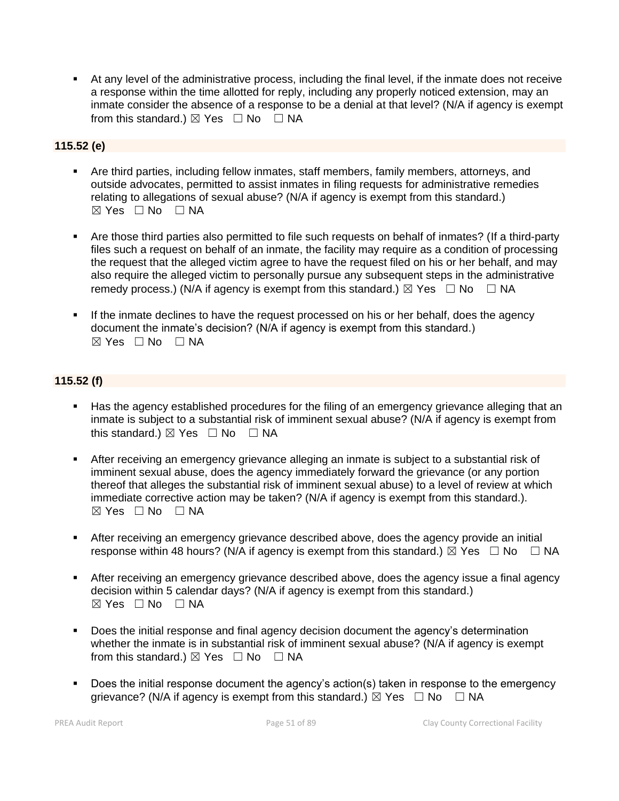▪ At any level of the administrative process, including the final level, if the inmate does not receive a response within the time allotted for reply, including any properly noticed extension, may an inmate consider the absence of a response to be a denial at that level? (N/A if agency is exempt from this standard.)  $\boxtimes$  Yes  $\Box$  No  $\Box$  NA

## **115.52 (e)**

- Are third parties, including fellow inmates, staff members, family members, attorneys, and outside advocates, permitted to assist inmates in filing requests for administrative remedies relating to allegations of sexual abuse? (N/A if agency is exempt from this standard.)  $\boxtimes$  Yes  $\Box$  No  $\Box$  NA
- Are those third parties also permitted to file such requests on behalf of inmates? (If a third-party files such a request on behalf of an inmate, the facility may require as a condition of processing the request that the alleged victim agree to have the request filed on his or her behalf, and may also require the alleged victim to personally pursue any subsequent steps in the administrative remedy process.) (N/A if agency is exempt from this standard.)  $\boxtimes$  Yes  $\Box$  No  $\Box$  NA
- **.** If the inmate declines to have the request processed on his or her behalf, does the agency document the inmate's decision? (N/A if agency is exempt from this standard.)  $\boxtimes$  Yes  $\Box$  No  $\Box$  NA

## **115.52 (f)**

- **■** Has the agency established procedures for the filing of an emergency grievance alleging that an inmate is subject to a substantial risk of imminent sexual abuse? (N/A if agency is exempt from this standard.)  $\boxtimes$  Yes  $\Box$  No  $\Box$  NA
- **EXTER 15 After receiving an emergency grievance alleging an inmate is subject to a substantial risk of** imminent sexual abuse, does the agency immediately forward the grievance (or any portion thereof that alleges the substantial risk of imminent sexual abuse) to a level of review at which immediate corrective action may be taken? (N/A if agency is exempt from this standard.).  $\boxtimes$  Yes  $\Box$  No  $\Box$  NA
- **EXTER 15 After receiving an emergency grievance described above, does the agency provide an initial** response within 48 hours? (N/A if agency is exempt from this standard.)  $\boxtimes$  Yes  $\Box$  No  $\Box$  NA
- After receiving an emergency grievance described above, does the agency issue a final agency decision within 5 calendar days? (N/A if agency is exempt from this standard.)  $\boxtimes$  Yes  $\Box$  No  $\Box$  NA
- Does the initial response and final agency decision document the agency's determination whether the inmate is in substantial risk of imminent sexual abuse? (N/A if agency is exempt from this standard.)  $\boxtimes$  Yes  $\Box$  No  $\Box$  NA
- Does the initial response document the agency's action(s) taken in response to the emergency grievance? (N/A if agency is exempt from this standard.)  $\boxtimes$  Yes  $\Box$  No  $\Box$  NA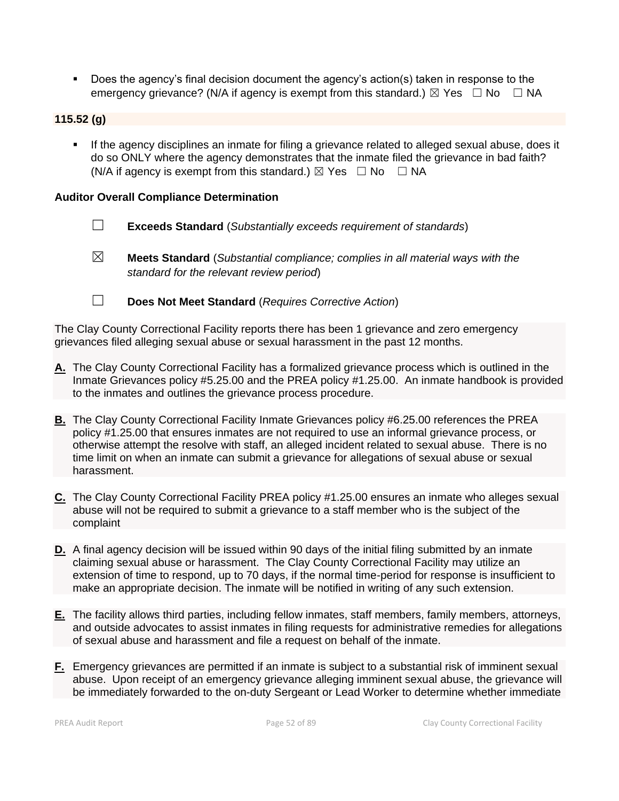■ Does the agency's final decision document the agency's action(s) taken in response to the emergency grievance? (N/A if agency is exempt from this standard.)  $\boxtimes$  Yes  $\Box$  No  $\Box$  NA

## **115.52 (g)**

**■** If the agency disciplines an inmate for filing a grievance related to alleged sexual abuse, does it do so ONLY where the agency demonstrates that the inmate filed the grievance in bad faith? (N/A if agency is exempt from this standard.)  $\boxtimes$  Yes  $\Box$  No  $\Box$  NA

## **Auditor Overall Compliance Determination**

- ☐ **Exceeds Standard** (*Substantially exceeds requirement of standards*)
- ☒ **Meets Standard** (*Substantial compliance; complies in all material ways with the standard for the relevant review period*)
- 

☐ **Does Not Meet Standard** (*Requires Corrective Action*)

The Clay County Correctional Facility reports there has been 1 grievance and zero emergency grievances filed alleging sexual abuse or sexual harassment in the past 12 months.

- **A.** The Clay County Correctional Facility has a formalized grievance process which is outlined in the Inmate Grievances policy #5.25.00 and the PREA policy #1.25.00. An inmate handbook is provided to the inmates and outlines the grievance process procedure.
- **B.** The Clay County Correctional Facility Inmate Grievances policy #6.25.00 references the PREA policy #1.25.00 that ensures inmates are not required to use an informal grievance process, or otherwise attempt the resolve with staff, an alleged incident related to sexual abuse. There is no time limit on when an inmate can submit a grievance for allegations of sexual abuse or sexual harassment.
- **C.** The Clay County Correctional Facility PREA policy #1.25.00 ensures an inmate who alleges sexual abuse will not be required to submit a grievance to a staff member who is the subject of the complaint
- **D.** A final agency decision will be issued within 90 days of the initial filing submitted by an inmate claiming sexual abuse or harassment. The Clay County Correctional Facility may utilize an extension of time to respond, up to 70 days, if the normal time-period for response is insufficient to make an appropriate decision. The inmate will be notified in writing of any such extension.
- **E.** The facility allows third parties, including fellow inmates, staff members, family members, attorneys, and outside advocates to assist inmates in filing requests for administrative remedies for allegations of sexual abuse and harassment and file a request on behalf of the inmate.
- **F.** Emergency grievances are permitted if an inmate is subject to a substantial risk of imminent sexual abuse. Upon receipt of an emergency grievance alleging imminent sexual abuse, the grievance will be immediately forwarded to the on-duty Sergeant or Lead Worker to determine whether immediate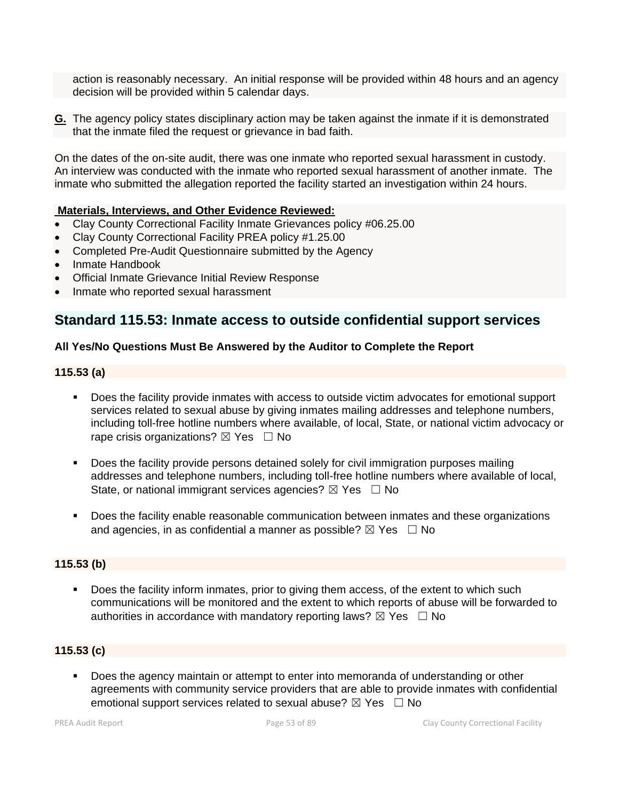action is reasonably necessary. An initial response will be provided within 48 hours and an agency decision will be provided within 5 calendar days.

**G.** The agency policy states disciplinary action may be taken against the inmate if it is demonstrated that the inmate filed the request or grievance in bad faith.

On the dates of the on-site audit, there was one inmate who reported sexual harassment in custody. An interview was conducted with the inmate who reported sexual harassment of another inmate. The inmate who submitted the allegation reported the facility started an investigation within 24 hours.

#### **Materials, Interviews, and Other Evidence Reviewed:**

- Clay County Correctional Facility Inmate Grievances policy #06.25.00
- Clay County Correctional Facility PREA policy #1.25.00
- Completed Pre-Audit Questionnaire submitted by the Agency
- Inmate Handbook
- Official Inmate Grievance Initial Review Response
- Inmate who reported sexual harassment

## **Standard 115.53: Inmate access to outside confidential support services**

#### **All Yes/No Questions Must Be Answered by the Auditor to Complete the Report**

#### **115.53 (a)**

- Does the facility provide inmates with access to outside victim advocates for emotional support services related to sexual abuse by giving inmates mailing addresses and telephone numbers, including toll-free hotline numbers where available, of local, State, or national victim advocacy or rape crisis organizations?  $\boxtimes$  Yes  $\Box$  No
- Does the facility provide persons detained solely for civil immigration purposes mailing addresses and telephone numbers, including toll-free hotline numbers where available of local, State, or national immigrant services agencies?  $\boxtimes$  Yes  $\Box$  No
- **•** Does the facility enable reasonable communication between inmates and these organizations and agencies, in as confidential a manner as possible?  $\boxtimes$  Yes  $\Box$  No

#### **115.53 (b)**

Does the facility inform inmates, prior to giving them access, of the extent to which such communications will be monitored and the extent to which reports of abuse will be forwarded to authorities in accordance with mandatory reporting laws?  $\boxtimes$  Yes  $\Box$  No

## **115.53 (c)**

Does the agency maintain or attempt to enter into memoranda of understanding or other agreements with community service providers that are able to provide inmates with confidential emotional support services related to sexual abuse?  $\boxtimes$  Yes  $\Box$  No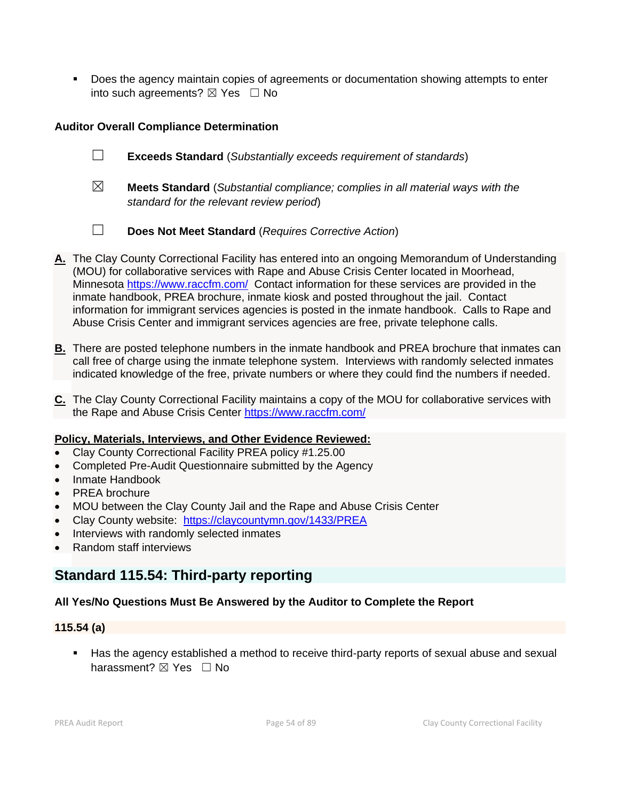▪ Does the agency maintain copies of agreements or documentation showing attempts to enter into such agreements?  $\boxtimes$  Yes  $\Box$  No

## **Auditor Overall Compliance Determination**

- ☐ **Exceeds Standard** (*Substantially exceeds requirement of standards*)
- ☒ **Meets Standard** (*Substantial compliance; complies in all material ways with the standard for the relevant review period*)
- ☐ **Does Not Meet Standard** (*Requires Corrective Action*)
- **A.** The Clay County Correctional Facility has entered into an ongoing Memorandum of Understanding (MOU) for collaborative services with Rape and Abuse Crisis Center located in Moorhead, Minnesota <https://www.raccfm.com/>Contact information for these services are provided in the inmate handbook, PREA brochure, inmate kiosk and posted throughout the jail. Contact information for immigrant services agencies is posted in the inmate handbook. Calls to Rape and Abuse Crisis Center and immigrant services agencies are free, private telephone calls.
- **B.** There are posted telephone numbers in the inmate handbook and PREA brochure that inmates can call free of charge using the inmate telephone system. Interviews with randomly selected inmates indicated knowledge of the free, private numbers or where they could find the numbers if needed.
- **C.** The Clay County Correctional Facility maintains a copy of the MOU for collaborative services with the Rape and Abuse Crisis Center<https://www.raccfm.com/>

## **Policy, Materials, Interviews, and Other Evidence Reviewed:**

- Clay County Correctional Facility PREA policy #1.25.00
- Completed Pre-Audit Questionnaire submitted by the Agency
- Inmate Handbook
- PREA brochure
- MOU between the Clay County Jail and the Rape and Abuse Crisis Center
- Clay County website: <https://claycountymn.gov/1433/PREA>
- Interviews with randomly selected inmates
- Random staff interviews

## **Standard 115.54: Third-party reporting**

## **All Yes/No Questions Must Be Answered by the Auditor to Complete the Report**

## **115.54 (a)**

■ Has the agency established a method to receive third-party reports of sexual abuse and sexual harassment? **⊠** Yes □ No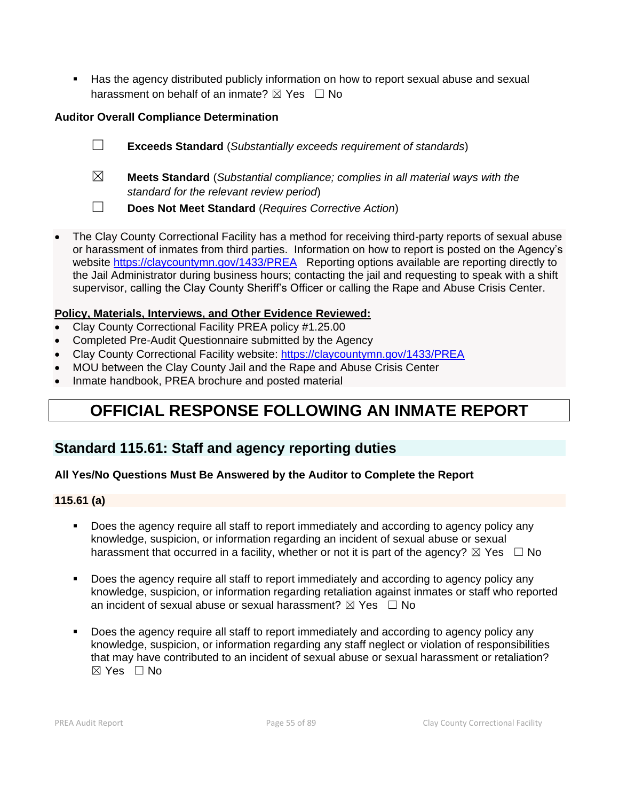■ Has the agency distributed publicly information on how to report sexual abuse and sexual harassment on behalf of an inmate?  $\boxtimes$  Yes  $\Box$  No

## **Auditor Overall Compliance Determination**

- ☐ **Exceeds Standard** (*Substantially exceeds requirement of standards*)
- ☒ **Meets Standard** (*Substantial compliance; complies in all material ways with the standard for the relevant review period*)
- ☐ **Does Not Meet Standard** (*Requires Corrective Action*)
- The Clay County Correctional Facility has a method for receiving third-party reports of sexual abuse or harassment of inmates from third parties. Information on how to report is posted on the Agency's website <https://claycountymn.gov/1433/PREA> Reporting options available are reporting directly to the Jail Administrator during business hours; contacting the jail and requesting to speak with a shift supervisor, calling the Clay County Sheriff's Officer or calling the Rape and Abuse Crisis Center.

## **Policy, Materials, Interviews, and Other Evidence Reviewed:**

- Clay County Correctional Facility PREA policy #1.25.00
- Completed Pre-Audit Questionnaire submitted by the Agency
- Clay County Correctional Facility website: <https://claycountymn.gov/1433/PREA>
- MOU between the Clay County Jail and the Rape and Abuse Crisis Center
- Inmate handbook, PREA brochure and posted material

# **OFFICIAL RESPONSE FOLLOWING AN INMATE REPORT**

## **Standard 115.61: Staff and agency reporting duties**

## **All Yes/No Questions Must Be Answered by the Auditor to Complete the Report**

## **115.61 (a)**

- Does the agency require all staff to report immediately and according to agency policy any knowledge, suspicion, or information regarding an incident of sexual abuse or sexual harassment that occurred in a facility, whether or not it is part of the agency?  $\boxtimes$  Yes  $\Box$  No
- Does the agency require all staff to report immediately and according to agency policy any knowledge, suspicion, or information regarding retaliation against inmates or staff who reported an incident of sexual abuse or sexual harassment?  $\boxtimes$  Yes  $\Box$  No
- Does the agency require all staff to report immediately and according to agency policy any knowledge, suspicion, or information regarding any staff neglect or violation of responsibilities that may have contributed to an incident of sexual abuse or sexual harassment or retaliation?  $\boxtimes$  Yes  $\Box$  No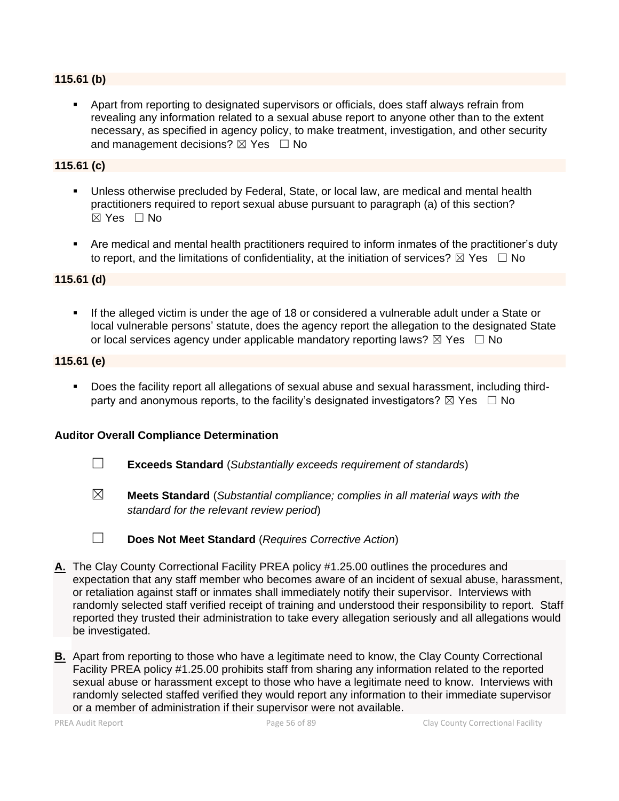#### **115.61 (b)**

▪ Apart from reporting to designated supervisors or officials, does staff always refrain from revealing any information related to a sexual abuse report to anyone other than to the extent necessary, as specified in agency policy, to make treatment, investigation, and other security and management decisions?  $\boxtimes$  Yes  $\Box$  No

#### **115.61 (c)**

- Unless otherwise precluded by Federal, State, or local law, are medical and mental health practitioners required to report sexual abuse pursuant to paragraph (a) of this section?  $\boxtimes$  Yes  $\Box$  No
- Are medical and mental health practitioners required to inform inmates of the practitioner's duty to report, and the limitations of confidentiality, at the initiation of services?  $\boxtimes$  Yes  $\Box$  No

## **115.61 (d)**

**.** If the alleged victim is under the age of 18 or considered a vulnerable adult under a State or local vulnerable persons' statute, does the agency report the allegation to the designated State or local services agency under applicable mandatory reporting laws?  $\boxtimes$  Yes  $\Box$  No

#### **115.61 (e)**

▪ Does the facility report all allegations of sexual abuse and sexual harassment, including thirdparty and anonymous reports, to the facility's designated investigators?  $\boxtimes$  Yes  $\Box$  No

- ☐ **Exceeds Standard** (*Substantially exceeds requirement of standards*)
- ☒ **Meets Standard** (*Substantial compliance; complies in all material ways with the standard for the relevant review period*)

- ☐ **Does Not Meet Standard** (*Requires Corrective Action*)
- **A.** The Clay County Correctional Facility PREA policy #1.25.00 outlines the procedures and expectation that any staff member who becomes aware of an incident of sexual abuse, harassment, or retaliation against staff or inmates shall immediately notify their supervisor. Interviews with randomly selected staff verified receipt of training and understood their responsibility to report. Staff reported they trusted their administration to take every allegation seriously and all allegations would be investigated.
- **B.** Apart from reporting to those who have a legitimate need to know, the Clay County Correctional Facility PREA policy #1.25.00 prohibits staff from sharing any information related to the reported sexual abuse or harassment except to those who have a legitimate need to know. Interviews with randomly selected staffed verified they would report any information to their immediate supervisor or a member of administration if their supervisor were not available.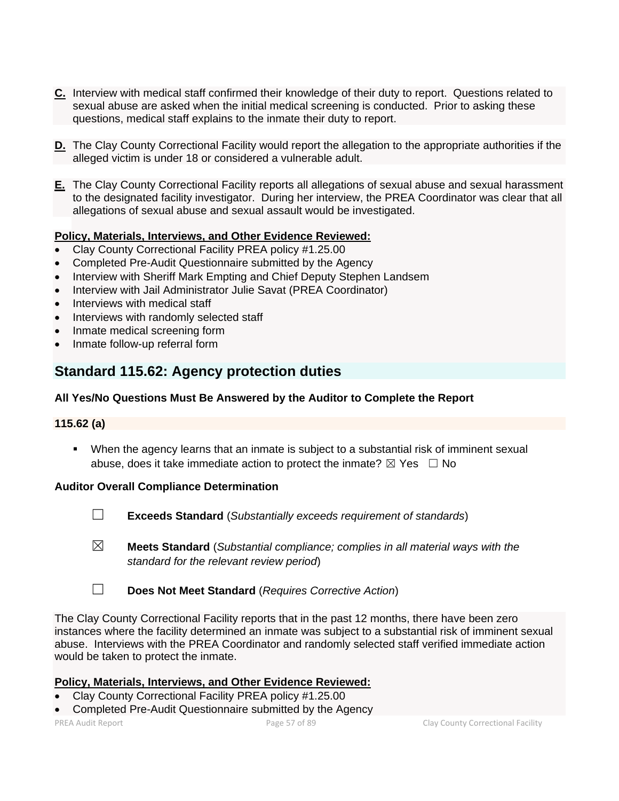- **C.** Interview with medical staff confirmed their knowledge of their duty to report. Questions related to sexual abuse are asked when the initial medical screening is conducted. Prior to asking these questions, medical staff explains to the inmate their duty to report.
- **D.** The Clay County Correctional Facility would report the allegation to the appropriate authorities if the alleged victim is under 18 or considered a vulnerable adult.
- **E.** The Clay County Correctional Facility reports all allegations of sexual abuse and sexual harassment to the designated facility investigator. During her interview, the PREA Coordinator was clear that all allegations of sexual abuse and sexual assault would be investigated.

## **Policy, Materials, Interviews, and Other Evidence Reviewed:**

- Clay County Correctional Facility PREA policy #1.25.00
- Completed Pre-Audit Questionnaire submitted by the Agency
- Interview with Sheriff Mark Empting and Chief Deputy Stephen Landsem
- Interview with Jail Administrator Julie Savat (PREA Coordinator)
- Interviews with medical staff
- Interviews with randomly selected staff
- Inmate medical screening form
- Inmate follow-up referral form

## **Standard 115.62: Agency protection duties**

## **All Yes/No Questions Must Be Answered by the Auditor to Complete the Report**

## **115.62 (a)**

▪ When the agency learns that an inmate is subject to a substantial risk of imminent sexual abuse, does it take immediate action to protect the inmate?  $\boxtimes$  Yes  $\Box$  No

## **Auditor Overall Compliance Determination**

- 
- ☐ **Exceeds Standard** (*Substantially exceeds requirement of standards*)
- ☒ **Meets Standard** (*Substantial compliance; complies in all material ways with the standard for the relevant review period*)
- ☐ **Does Not Meet Standard** (*Requires Corrective Action*)

The Clay County Correctional Facility reports that in the past 12 months, there have been zero instances where the facility determined an inmate was subject to a substantial risk of imminent sexual abuse. Interviews with the PREA Coordinator and randomly selected staff verified immediate action would be taken to protect the inmate.

## **Policy, Materials, Interviews, and Other Evidence Reviewed:**

- Clay County Correctional Facility PREA policy #1.25.00
- Completed Pre-Audit Questionnaire submitted by the Agency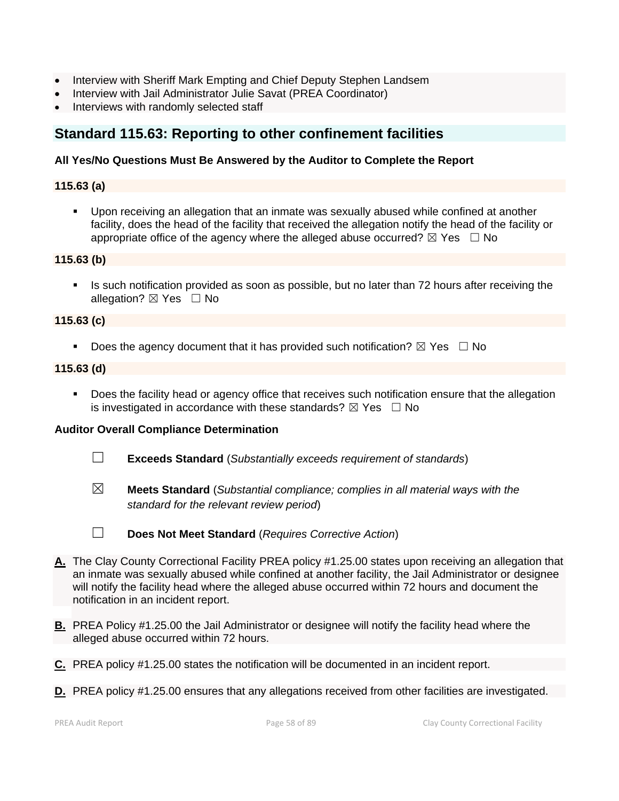- Interview with Sheriff Mark Empting and Chief Deputy Stephen Landsem
- Interview with Jail Administrator Julie Savat (PREA Coordinator)
- Interviews with randomly selected staff

## **Standard 115.63: Reporting to other confinement facilities**

### **All Yes/No Questions Must Be Answered by the Auditor to Complete the Report**

## **115.63 (a)**

Upon receiving an allegation that an inmate was sexually abused while confined at another facility, does the head of the facility that received the allegation notify the head of the facility or appropriate office of the agency where the alleged abuse occurred?  $\boxtimes$  Yes  $\Box$  No

#### **115.63 (b)**

**EXT** Is such notification provided as soon as possible, but no later than 72 hours after receiving the allegation?  $\boxtimes$  Yes  $\Box$  No

#### **115.63 (c)**

**•** Does the agency document that it has provided such notification?  $\boxtimes$  Yes  $\Box$  No

#### **115.63 (d)**

**•** Does the facility head or agency office that receives such notification ensure that the allegation is investigated in accordance with these standards?  $\boxtimes$  Yes  $\Box$  No

- ☐ **Exceeds Standard** (*Substantially exceeds requirement of standards*)
- ☒ **Meets Standard** (*Substantial compliance; complies in all material ways with the standard for the relevant review period*)
- 
- ☐ **Does Not Meet Standard** (*Requires Corrective Action*)
- **A.** The Clay County Correctional Facility PREA policy #1.25.00 states upon receiving an allegation that an inmate was sexually abused while confined at another facility, the Jail Administrator or designee will notify the facility head where the alleged abuse occurred within 72 hours and document the notification in an incident report.
- **B.** PREA Policy #1.25.00 the Jail Administrator or designee will notify the facility head where the alleged abuse occurred within 72 hours.
- **C.** PREA policy #1.25.00 states the notification will be documented in an incident report.
- **D.** PREA policy #1.25.00 ensures that any allegations received from other facilities are investigated.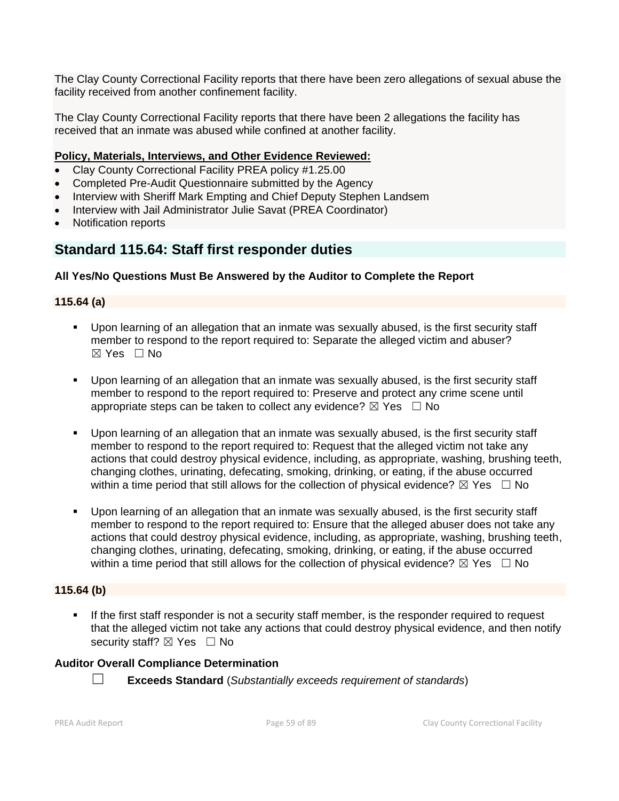The Clay County Correctional Facility reports that there have been zero allegations of sexual abuse the facility received from another confinement facility.

The Clay County Correctional Facility reports that there have been 2 allegations the facility has received that an inmate was abused while confined at another facility.

## **Policy, Materials, Interviews, and Other Evidence Reviewed:**

- Clay County Correctional Facility PREA policy #1.25.00
- Completed Pre-Audit Questionnaire submitted by the Agency
- Interview with Sheriff Mark Empting and Chief Deputy Stephen Landsem
- Interview with Jail Administrator Julie Savat (PREA Coordinator)
- Notification reports

## **Standard 115.64: Staff first responder duties**

## **All Yes/No Questions Must Be Answered by the Auditor to Complete the Report**

## **115.64 (a)**

- Upon learning of an allegation that an inmate was sexually abused, is the first security staff member to respond to the report required to: Separate the alleged victim and abuser?  $\boxtimes$  Yes  $\Box$  No
- Upon learning of an allegation that an inmate was sexually abused, is the first security staff member to respond to the report required to: Preserve and protect any crime scene until appropriate steps can be taken to collect any evidence?  $\boxtimes$  Yes  $\Box$  No
- Upon learning of an allegation that an inmate was sexually abused, is the first security staff member to respond to the report required to: Request that the alleged victim not take any actions that could destroy physical evidence, including, as appropriate, washing, brushing teeth, changing clothes, urinating, defecating, smoking, drinking, or eating, if the abuse occurred within a time period that still allows for the collection of physical evidence?  $\boxtimes$  Yes  $\Box$  No
- Upon learning of an allegation that an inmate was sexually abused, is the first security staff member to respond to the report required to: Ensure that the alleged abuser does not take any actions that could destroy physical evidence, including, as appropriate, washing, brushing teeth, changing clothes, urinating, defecating, smoking, drinking, or eating, if the abuse occurred within a time period that still allows for the collection of physical evidence?  $\boxtimes$  Yes  $\Box$  No

## **115.64 (b)**

If the first staff responder is not a security staff member, is the responder required to request that the alleged victim not take any actions that could destroy physical evidence, and then notify security staff? ⊠ Yes □ No

## **Auditor Overall Compliance Determination**

☐ **Exceeds Standard** (*Substantially exceeds requirement of standards*)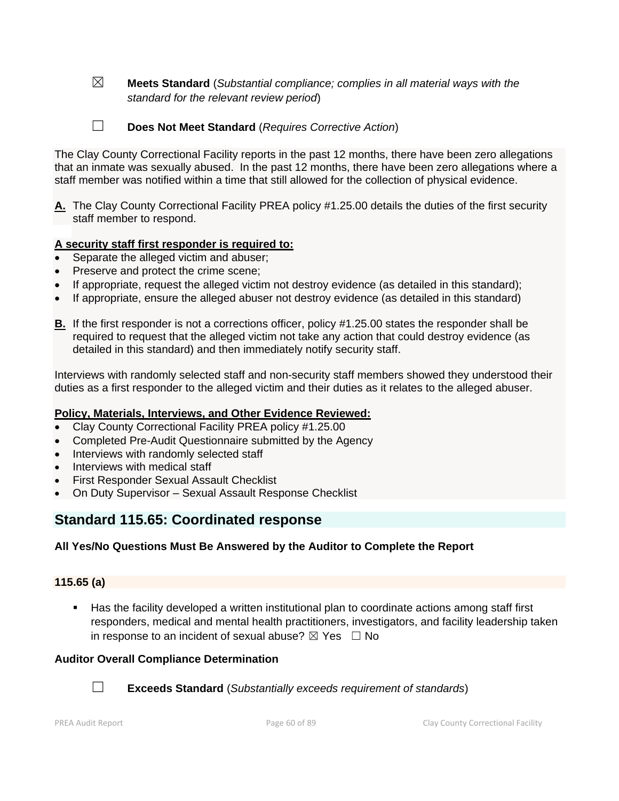- ☒ **Meets Standard** (*Substantial compliance; complies in all material ways with the standard for the relevant review period*)
- 
- ☐ **Does Not Meet Standard** (*Requires Corrective Action*)

The Clay County Correctional Facility reports in the past 12 months, there have been zero allegations that an inmate was sexually abused. In the past 12 months, there have been zero allegations where a staff member was notified within a time that still allowed for the collection of physical evidence.

**A.** The Clay County Correctional Facility PREA policy #1.25.00 details the duties of the first security staff member to respond.

#### **A security staff first responder is required to:**

- Separate the alleged victim and abuser;
- Preserve and protect the crime scene;
- If appropriate, request the alleged victim not destroy evidence (as detailed in this standard);
- If appropriate, ensure the alleged abuser not destroy evidence (as detailed in this standard)
- **B.** If the first responder is not a corrections officer, policy #1.25.00 states the responder shall be required to request that the alleged victim not take any action that could destroy evidence (as detailed in this standard) and then immediately notify security staff.

Interviews with randomly selected staff and non-security staff members showed they understood their duties as a first responder to the alleged victim and their duties as it relates to the alleged abuser.

#### **Policy, Materials, Interviews, and Other Evidence Reviewed:**

- Clay County Correctional Facility PREA policy #1.25.00
- Completed Pre-Audit Questionnaire submitted by the Agency
- Interviews with randomly selected staff
- Interviews with medical staff
- First Responder Sexual Assault Checklist
- On Duty Supervisor Sexual Assault Response Checklist

## **Standard 115.65: Coordinated response**

#### **All Yes/No Questions Must Be Answered by the Auditor to Complete the Report**

#### **115.65 (a)**

Has the facility developed a written institutional plan to coordinate actions among staff first responders, medical and mental health practitioners, investigators, and facility leadership taken in response to an incident of sexual abuse?  $\boxtimes$  Yes  $\Box$  No

#### **Auditor Overall Compliance Determination**



☐ **Exceeds Standard** (*Substantially exceeds requirement of standards*)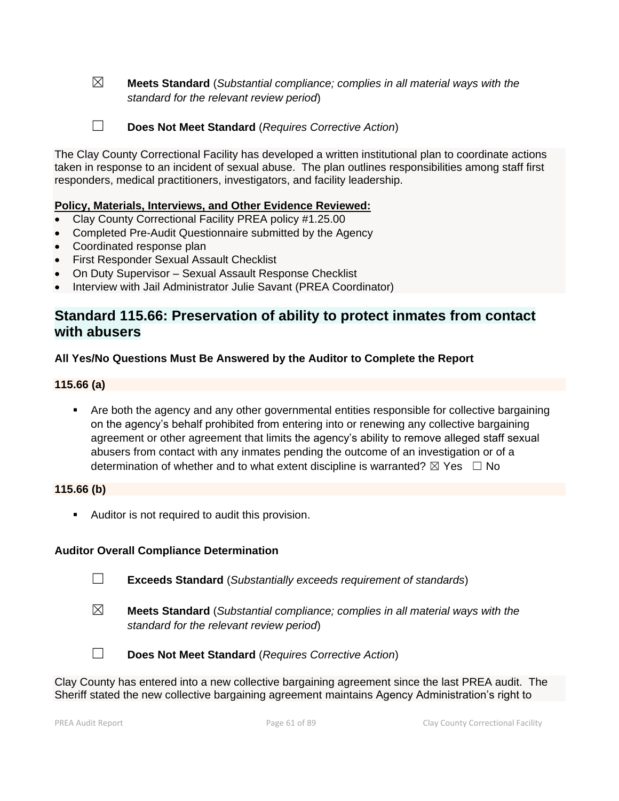☒ **Meets Standard** (*Substantial compliance; complies in all material ways with the standard for the relevant review period*)

☐ **Does Not Meet Standard** (*Requires Corrective Action*)

The Clay County Correctional Facility has developed a written institutional plan to coordinate actions taken in response to an incident of sexual abuse. The plan outlines responsibilities among staff first responders, medical practitioners, investigators, and facility leadership.

#### **Policy, Materials, Interviews, and Other Evidence Reviewed:**

- Clay County Correctional Facility PREA policy #1.25.00
- Completed Pre-Audit Questionnaire submitted by the Agency
- Coordinated response plan
- First Responder Sexual Assault Checklist
- On Duty Supervisor Sexual Assault Response Checklist
- Interview with Jail Administrator Julie Savant (PREA Coordinator)

## **Standard 115.66: Preservation of ability to protect inmates from contact with abusers**

#### **All Yes/No Questions Must Be Answered by the Auditor to Complete the Report**

#### **115.66 (a)**

■ Are both the agency and any other governmental entities responsible for collective bargaining on the agency's behalf prohibited from entering into or renewing any collective bargaining agreement or other agreement that limits the agency's ability to remove alleged staff sexual abusers from contact with any inmates pending the outcome of an investigation or of a determination of whether and to what extent discipline is warranted?  $\boxtimes$  Yes  $\Box$  No

#### **115.66 (b)**

■ Auditor is not required to audit this provision.

## **Auditor Overall Compliance Determination**

☐ **Exceeds Standard** (*Substantially exceeds requirement of standards*)

☒ **Meets Standard** (*Substantial compliance; complies in all material ways with the standard for the relevant review period*)



☐ **Does Not Meet Standard** (*Requires Corrective Action*)

Clay County has entered into a new collective bargaining agreement since the last PREA audit. The Sheriff stated the new collective bargaining agreement maintains Agency Administration's right to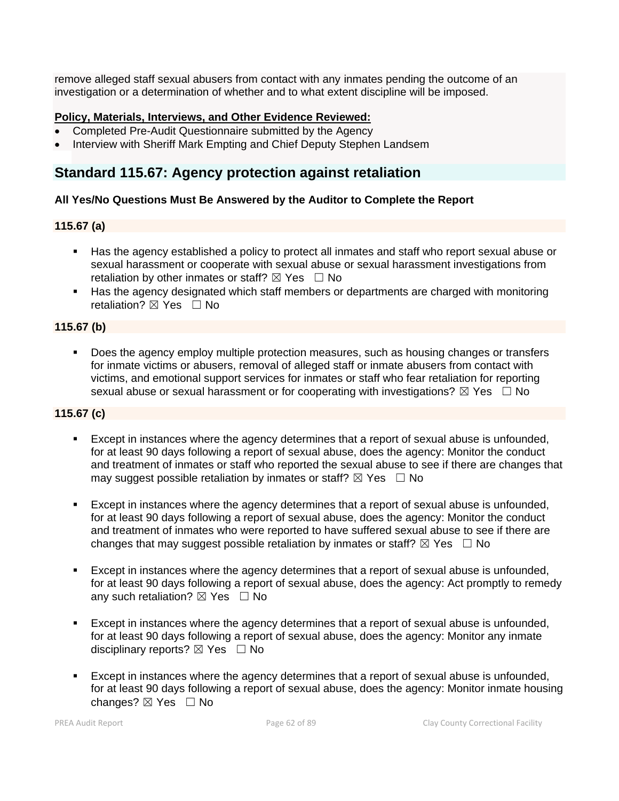remove alleged staff sexual abusers from contact with any inmates pending the outcome of an investigation or a determination of whether and to what extent discipline will be imposed.

## **Policy, Materials, Interviews, and Other Evidence Reviewed:**

- Completed Pre-Audit Questionnaire submitted by the Agency
- Interview with Sheriff Mark Empting and Chief Deputy Stephen Landsem

## **Standard 115.67: Agency protection against retaliation**

## **All Yes/No Questions Must Be Answered by the Auditor to Complete the Report**

## **115.67 (a)**

- Has the agency established a policy to protect all inmates and staff who report sexual abuse or sexual harassment or cooperate with sexual abuse or sexual harassment investigations from retaliation by other inmates or staff?  $\boxtimes$  Yes  $\Box$  No
- Has the agency designated which staff members or departments are charged with monitoring retaliation? ⊠ Yes □ No

## **115.67 (b)**

Does the agency employ multiple protection measures, such as housing changes or transfers for inmate victims or abusers, removal of alleged staff or inmate abusers from contact with victims, and emotional support services for inmates or staff who fear retaliation for reporting sexual abuse or sexual harassment or for cooperating with investigations?  $\boxtimes$  Yes  $\Box$  No

## **115.67 (c)**

- Except in instances where the agency determines that a report of sexual abuse is unfounded, for at least 90 days following a report of sexual abuse, does the agency: Monitor the conduct and treatment of inmates or staff who reported the sexual abuse to see if there are changes that may suggest possible retaliation by inmates or staff?  $\boxtimes$  Yes  $\Box$  No
- Except in instances where the agency determines that a report of sexual abuse is unfounded, for at least 90 days following a report of sexual abuse, does the agency: Monitor the conduct and treatment of inmates who were reported to have suffered sexual abuse to see if there are changes that may suggest possible retaliation by inmates or staff?  $\boxtimes$  Yes  $\Box$  No
- Except in instances where the agency determines that a report of sexual abuse is unfounded, for at least 90 days following a report of sexual abuse, does the agency: Act promptly to remedy any such retaliation?  $\boxtimes$  Yes  $\Box$  No
- Except in instances where the agency determines that a report of sexual abuse is unfounded, for at least 90 days following a report of sexual abuse, does the agency: Monitor any inmate disciplinary reports?  $\boxtimes$  Yes  $\Box$  No
- Except in instances where the agency determines that a report of sexual abuse is unfounded, for at least 90 days following a report of sexual abuse, does the agency: Monitor inmate housing changes? ☒ Yes ☐ No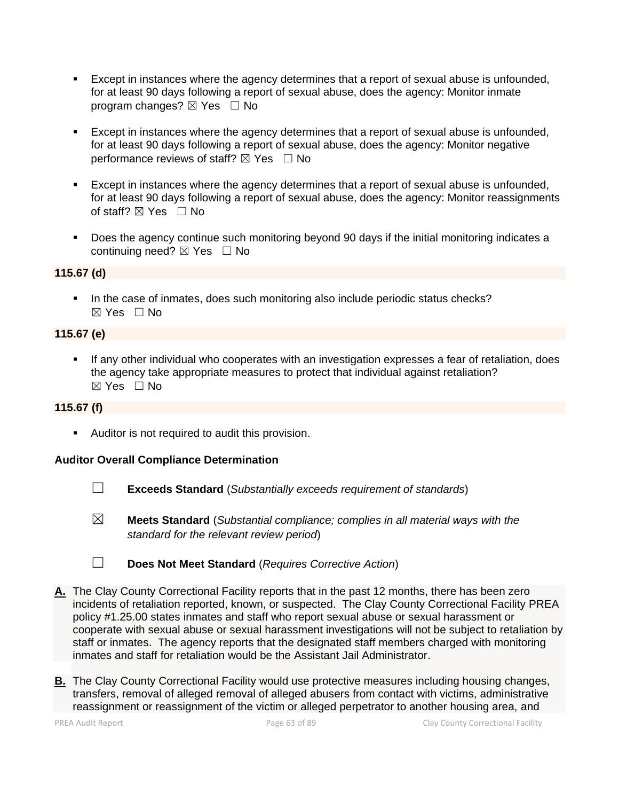- Except in instances where the agency determines that a report of sexual abuse is unfounded, for at least 90 days following a report of sexual abuse, does the agency: Monitor inmate program changes?  $\boxtimes$  Yes  $\Box$  No
- Except in instances where the agency determines that a report of sexual abuse is unfounded, for at least 90 days following a report of sexual abuse, does the agency: Monitor negative performance reviews of staff?  $\boxtimes$  Yes  $\Box$  No
- Except in instances where the agency determines that a report of sexual abuse is unfounded, for at least 90 days following a report of sexual abuse, does the agency: Monitor reassignments of staff?  $\boxtimes$  Yes  $\Box$  No
- Does the agency continue such monitoring beyond 90 days if the initial monitoring indicates a continuing need?  $\boxtimes$  Yes  $\Box$  No

## **115.67 (d)**

▪ In the case of inmates, does such monitoring also include periodic status checks? ☒ Yes ☐ No

## **115.67 (e)**

If any other individual who cooperates with an investigation expresses a fear of retaliation, does the agency take appropriate measures to protect that individual against retaliation?  $\boxtimes$  Yes  $\Box$  No

## **115.67 (f)**

■ Auditor is not required to audit this provision.

- ☐ **Exceeds Standard** (*Substantially exceeds requirement of standards*)
- ☒ **Meets Standard** (*Substantial compliance; complies in all material ways with the standard for the relevant review period*)
- ☐ **Does Not Meet Standard** (*Requires Corrective Action*)
- **A.** The Clay County Correctional Facility reports that in the past 12 months, there has been zero incidents of retaliation reported, known, or suspected. The Clay County Correctional Facility PREA policy #1.25.00 states inmates and staff who report sexual abuse or sexual harassment or cooperate with sexual abuse or sexual harassment investigations will not be subject to retaliation by staff or inmates. The agency reports that the designated staff members charged with monitoring inmates and staff for retaliation would be the Assistant Jail Administrator.
- **B.** The Clay County Correctional Facility would use protective measures including housing changes, transfers, removal of alleged removal of alleged abusers from contact with victims, administrative reassignment or reassignment of the victim or alleged perpetrator to another housing area, and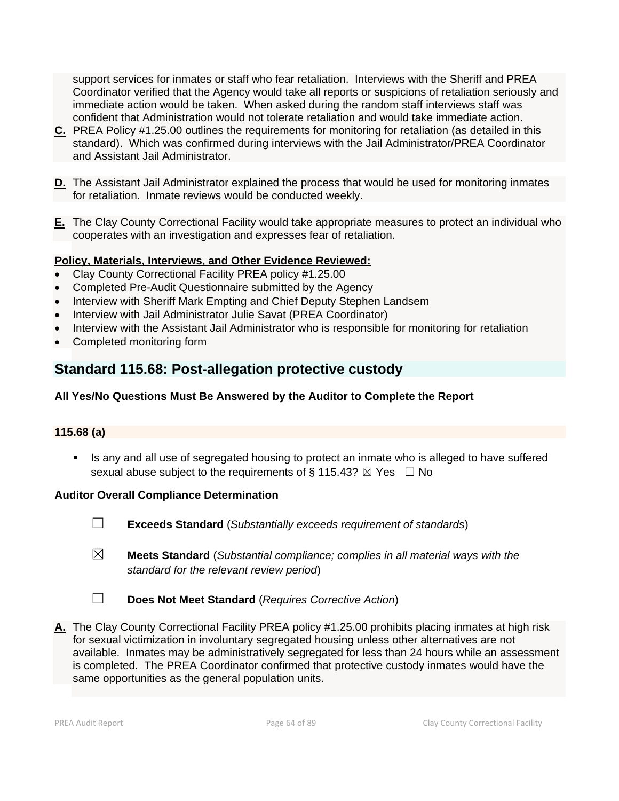support services for inmates or staff who fear retaliation. Interviews with the Sheriff and PREA Coordinator verified that the Agency would take all reports or suspicions of retaliation seriously and immediate action would be taken. When asked during the random staff interviews staff was confident that Administration would not tolerate retaliation and would take immediate action.

- **C.** PREA Policy #1.25.00 outlines the requirements for monitoring for retaliation (as detailed in this standard). Which was confirmed during interviews with the Jail Administrator/PREA Coordinator and Assistant Jail Administrator.
- **D.** The Assistant Jail Administrator explained the process that would be used for monitoring inmates for retaliation. Inmate reviews would be conducted weekly.
- **E.** The Clay County Correctional Facility would take appropriate measures to protect an individual who cooperates with an investigation and expresses fear of retaliation.

## **Policy, Materials, Interviews, and Other Evidence Reviewed:**

- Clay County Correctional Facility PREA policy #1.25.00
- Completed Pre-Audit Questionnaire submitted by the Agency
- Interview with Sheriff Mark Empting and Chief Deputy Stephen Landsem
- Interview with Jail Administrator Julie Savat (PREA Coordinator)
- Interview with the Assistant Jail Administrator who is responsible for monitoring for retaliation
- Completed monitoring form

## **Standard 115.68: Post-allegation protective custody**

## **All Yes/No Questions Must Be Answered by the Auditor to Complete the Report**

## **115.68 (a)**

Is any and all use of segregated housing to protect an inmate who is alleged to have suffered sexual abuse subject to the requirements of § 115.43?  $\boxtimes$  Yes  $\Box$  No

- ☐ **Exceeds Standard** (*Substantially exceeds requirement of standards*)
- ☒ **Meets Standard** (*Substantial compliance; complies in all material ways with the standard for the relevant review period*)
- ☐ **Does Not Meet Standard** (*Requires Corrective Action*)
- **A.** The Clay County Correctional Facility PREA policy #1.25.00 prohibits placing inmates at high risk for sexual victimization in involuntary segregated housing unless other alternatives are not available. Inmates may be administratively segregated for less than 24 hours while an assessment is completed. The PREA Coordinator confirmed that protective custody inmates would have the same opportunities as the general population units.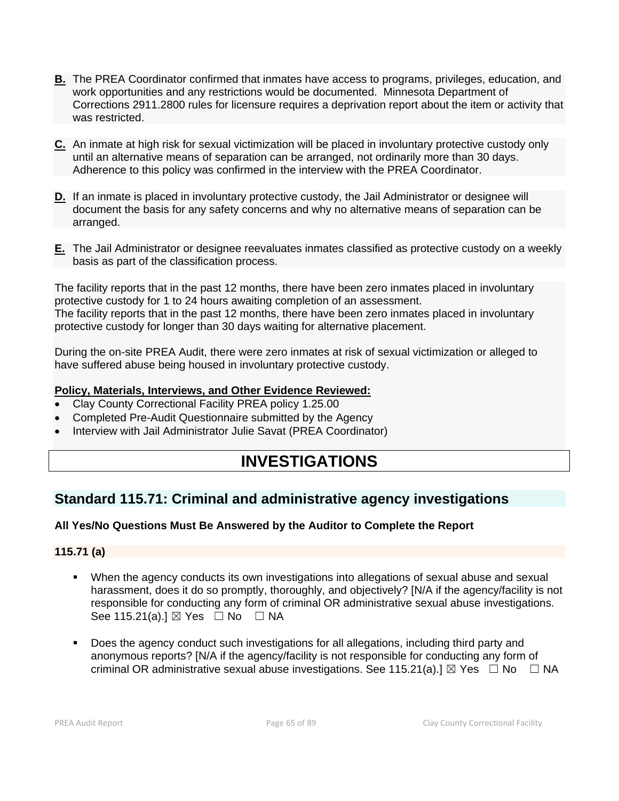- **B.** The PREA Coordinator confirmed that inmates have access to programs, privileges, education, and work opportunities and any restrictions would be documented. Minnesota Department of Corrections 2911.2800 rules for licensure requires a deprivation report about the item or activity that was restricted.
- **C.** An inmate at high risk for sexual victimization will be placed in involuntary protective custody only until an alternative means of separation can be arranged, not ordinarily more than 30 days. Adherence to this policy was confirmed in the interview with the PREA Coordinator.
- **D.** If an inmate is placed in involuntary protective custody, the Jail Administrator or designee will document the basis for any safety concerns and why no alternative means of separation can be arranged.
- **E.** The Jail Administrator or designee reevaluates inmates classified as protective custody on a weekly basis as part of the classification process.

The facility reports that in the past 12 months, there have been zero inmates placed in involuntary protective custody for 1 to 24 hours awaiting completion of an assessment. The facility reports that in the past 12 months, there have been zero inmates placed in involuntary protective custody for longer than 30 days waiting for alternative placement.

During the on-site PREA Audit, there were zero inmates at risk of sexual victimization or alleged to have suffered abuse being housed in involuntary protective custody.

#### **Policy, Materials, Interviews, and Other Evidence Reviewed:**

- Clay County Correctional Facility PREA policy 1.25.00
- Completed Pre-Audit Questionnaire submitted by the Agency
- Interview with Jail Administrator Julie Savat (PREA Coordinator)

# **INVESTIGATIONS**

## **Standard 115.71: Criminal and administrative agency investigations**

## **All Yes/No Questions Must Be Answered by the Auditor to Complete the Report**

## **115.71 (a)**

- When the agency conducts its own investigations into allegations of sexual abuse and sexual harassment, does it do so promptly, thoroughly, and objectively? [N/A if the agency/facility is not responsible for conducting any form of criminal OR administrative sexual abuse investigations. See 115.21(a).]  $\boxtimes$  Yes  $\Box$  No  $\Box$  NA
- Does the agency conduct such investigations for all allegations, including third party and anonymous reports? [N/A if the agency/facility is not responsible for conducting any form of criminal OR administrative sexual abuse investigations. See 115.21(a).]  $\boxtimes$  Yes  $\Box$  No  $\Box$  NA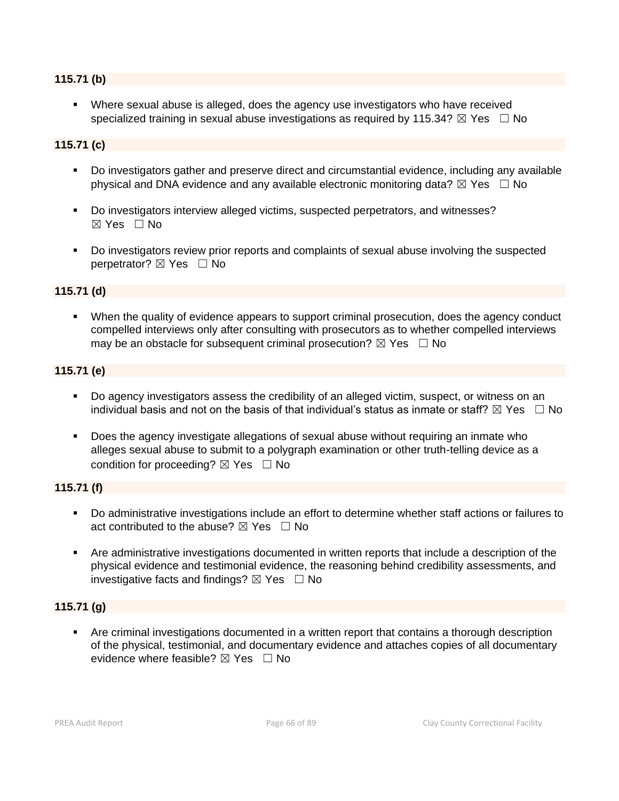#### **115.71 (b)**

**•** Where sexual abuse is alleged, does the agency use investigators who have received specialized training in sexual abuse investigations as required by 115.34?  $\boxtimes$  Yes  $\Box$  No

### **115.71 (c)**

- Do investigators gather and preserve direct and circumstantial evidence, including any available physical and DNA evidence and any available electronic monitoring data?  $\boxtimes$  Yes  $\Box$  No
- Do investigators interview alleged victims, suspected perpetrators, and witnesses? ☒ Yes ☐ No
- Do investigators review prior reports and complaints of sexual abuse involving the suspected perpetrator? **⊠** Yes □ No

### **115.71 (d)**

▪ When the quality of evidence appears to support criminal prosecution, does the agency conduct compelled interviews only after consulting with prosecutors as to whether compelled interviews may be an obstacle for subsequent criminal prosecution?  $\boxtimes$  Yes  $\Box$  No

#### **115.71 (e)**

- Do agency investigators assess the credibility of an alleged victim, suspect, or witness on an individual basis and not on the basis of that individual's status as inmate or staff?  $\boxtimes$  Yes  $\Box$  No
- Does the agency investigate allegations of sexual abuse without requiring an inmate who alleges sexual abuse to submit to a polygraph examination or other truth-telling device as a condition for proceeding?  $\boxtimes$  Yes  $\Box$  No

### **115.71 (f)**

- Do administrative investigations include an effort to determine whether staff actions or failures to act contributed to the abuse?  $\boxtimes$  Yes  $\Box$  No
- Are administrative investigations documented in written reports that include a description of the physical evidence and testimonial evidence, the reasoning behind credibility assessments, and investigative facts and findings?  $\boxtimes$  Yes  $\Box$  No

## **115.71 (g)**

Are criminal investigations documented in a written report that contains a thorough description of the physical, testimonial, and documentary evidence and attaches copies of all documentary evidence where feasible?  $\boxtimes$  Yes  $\Box$  No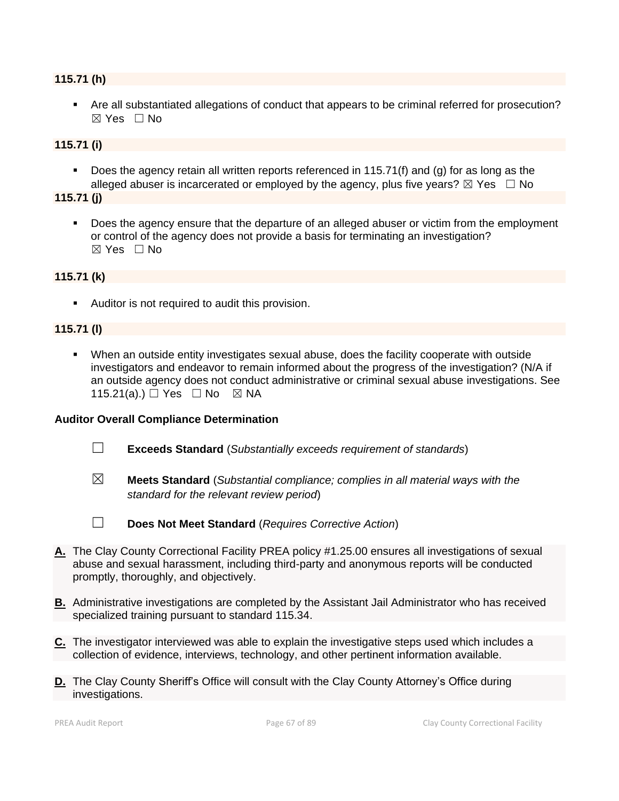## **115.71 (h)**

▪ Are all substantiated allegations of conduct that appears to be criminal referred for prosecution?  $\boxtimes$  Yes  $\Box$  No

### **115.71 (i)**

Does the agency retain all written reports referenced in 115.71(f) and (g) for as long as the alleged abuser is incarcerated or employed by the agency, plus five years?  $\boxtimes$  Yes  $\Box$  No

#### **115.71 (j)**

Does the agency ensure that the departure of an alleged abuser or victim from the employment or control of the agency does not provide a basis for terminating an investigation?  $\boxtimes$  Yes  $\Box$  No

#### **115.71 (k)**

■ Auditor is not required to audit this provision.

#### **115.71 (l)**

▪ When an outside entity investigates sexual abuse, does the facility cooperate with outside investigators and endeavor to remain informed about the progress of the investigation? (N/A if an outside agency does not conduct administrative or criminal sexual abuse investigations. See 115.21(a).) □ Yes □ No ⊠ NA

- ☐ **Exceeds Standard** (*Substantially exceeds requirement of standards*)
- 
- ☒ **Meets Standard** (*Substantial compliance; complies in all material ways with the standard for the relevant review period*)
- 
- ☐ **Does Not Meet Standard** (*Requires Corrective Action*)
- **A.** The Clay County Correctional Facility PREA policy #1.25.00 ensures all investigations of sexual abuse and sexual harassment, including third-party and anonymous reports will be conducted promptly, thoroughly, and objectively.
- **B.** Administrative investigations are completed by the Assistant Jail Administrator who has received specialized training pursuant to standard 115.34.
- **C.** The investigator interviewed was able to explain the investigative steps used which includes a collection of evidence, interviews, technology, and other pertinent information available.
- **D.** The Clay County Sheriff's Office will consult with the Clay County Attorney's Office during investigations.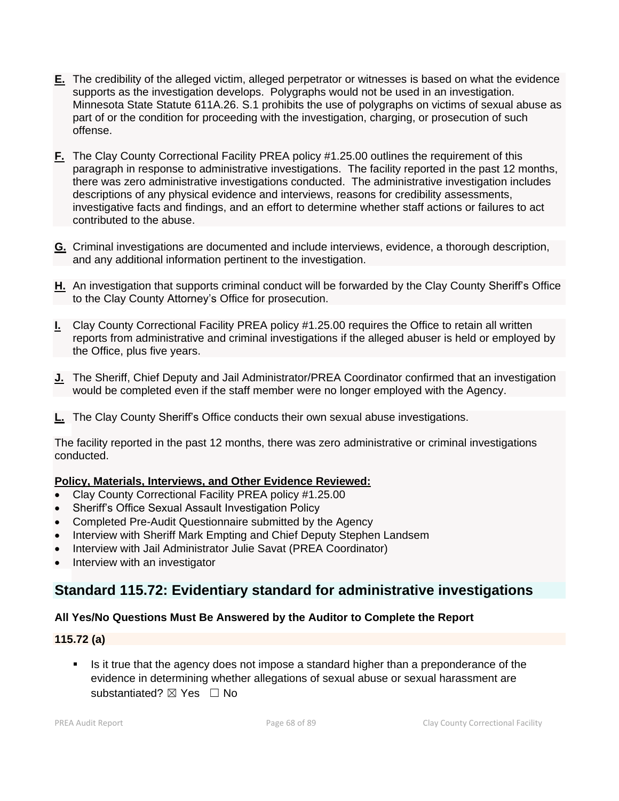- **E.** The credibility of the alleged victim, alleged perpetrator or witnesses is based on what the evidence supports as the investigation develops. Polygraphs would not be used in an investigation. Minnesota State Statute 611A.26. S.1 prohibits the use of polygraphs on victims of sexual abuse as part of or the condition for proceeding with the investigation, charging, or prosecution of such offense.
- **F.** The Clay County Correctional Facility PREA policy #1.25.00 outlines the requirement of this paragraph in response to administrative investigations. The facility reported in the past 12 months, there was zero administrative investigations conducted. The administrative investigation includes descriptions of any physical evidence and interviews, reasons for credibility assessments, investigative facts and findings, and an effort to determine whether staff actions or failures to act contributed to the abuse.
- **G.** Criminal investigations are documented and include interviews, evidence, a thorough description, and any additional information pertinent to the investigation.
- **H.** An investigation that supports criminal conduct will be forwarded by the Clay County Sheriff's Office to the Clay County Attorney's Office for prosecution.
- **I.** Clay County Correctional Facility PREA policy #1.25.00 requires the Office to retain all written reports from administrative and criminal investigations if the alleged abuser is held or employed by the Office, plus five years.
- **J.** The Sheriff, Chief Deputy and Jail Administrator/PREA Coordinator confirmed that an investigation would be completed even if the staff member were no longer employed with the Agency.
- **L.** The Clay County Sheriff's Office conducts their own sexual abuse investigations.

The facility reported in the past 12 months, there was zero administrative or criminal investigations conducted.

#### **Policy, Materials, Interviews, and Other Evidence Reviewed:**

- Clay County Correctional Facility PREA policy #1.25.00
- Sheriff's Office Sexual Assault Investigation Policy
- Completed Pre-Audit Questionnaire submitted by the Agency
- Interview with Sheriff Mark Empting and Chief Deputy Stephen Landsem
- Interview with Jail Administrator Julie Savat (PREA Coordinator)
- Interview with an investigator

## **Standard 115.72: Evidentiary standard for administrative investigations**

#### **All Yes/No Questions Must Be Answered by the Auditor to Complete the Report**

#### **115.72 (a)**

▪ Is it true that the agency does not impose a standard higher than a preponderance of the evidence in determining whether allegations of sexual abuse or sexual harassment are substantiated?  $\boxtimes$  Yes  $\Box$  No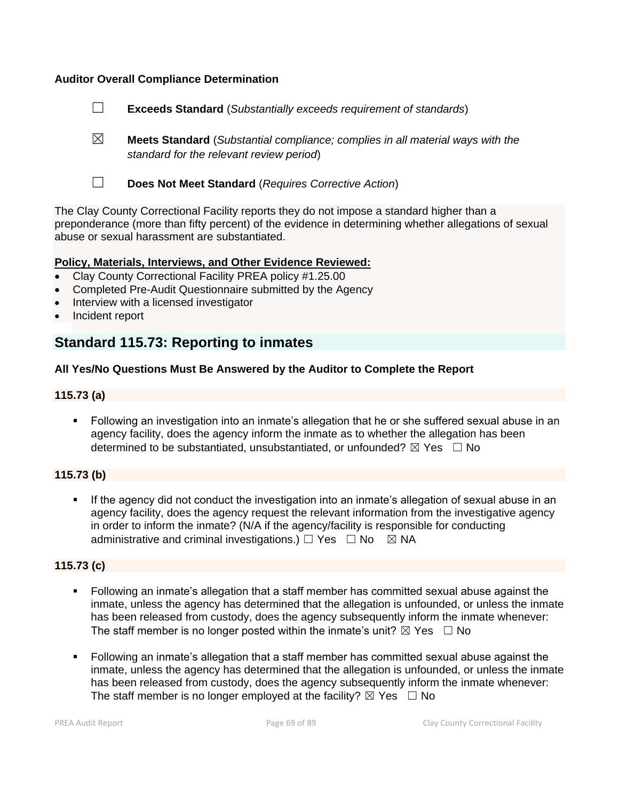### **Auditor Overall Compliance Determination**

- ☐ **Exceeds Standard** (*Substantially exceeds requirement of standards*)
- ☒ **Meets Standard** (*Substantial compliance; complies in all material ways with the standard for the relevant review period*)
- 
- ☐ **Does Not Meet Standard** (*Requires Corrective Action*)

The Clay County Correctional Facility reports they do not impose a standard higher than a preponderance (more than fifty percent) of the evidence in determining whether allegations of sexual abuse or sexual harassment are substantiated.

#### **Policy, Materials, Interviews, and Other Evidence Reviewed:**

- Clay County Correctional Facility PREA policy #1.25.00
- Completed Pre-Audit Questionnaire submitted by the Agency
- Interview with a licensed investigator
- Incident report

## **Standard 115.73: Reporting to inmates**

#### **All Yes/No Questions Must Be Answered by the Auditor to Complete the Report**

#### **115.73 (a)**

■ Following an investigation into an inmate's allegation that he or she suffered sexual abuse in an agency facility, does the agency inform the inmate as to whether the allegation has been determined to be substantiated, unsubstantiated, or unfounded?  $\boxtimes$  Yes  $\Box$  No

#### **115.73 (b)**

If the agency did not conduct the investigation into an inmate's allegation of sexual abuse in an agency facility, does the agency request the relevant information from the investigative agency in order to inform the inmate? (N/A if the agency/facility is responsible for conducting administrative and criminal investigations.)  $\Box$  Yes  $\Box$  No  $\boxtimes$  NA

#### **115.73 (c)**

- Following an inmate's allegation that a staff member has committed sexual abuse against the inmate, unless the agency has determined that the allegation is unfounded, or unless the inmate has been released from custody, does the agency subsequently inform the inmate whenever: The staff member is no longer posted within the inmate's unit?  $\boxtimes$  Yes  $\Box$  No
- Following an inmate's allegation that a staff member has committed sexual abuse against the inmate, unless the agency has determined that the allegation is unfounded, or unless the inmate has been released from custody, does the agency subsequently inform the inmate whenever: The staff member is no longer employed at the facility?  $\boxtimes$  Yes  $\Box$  No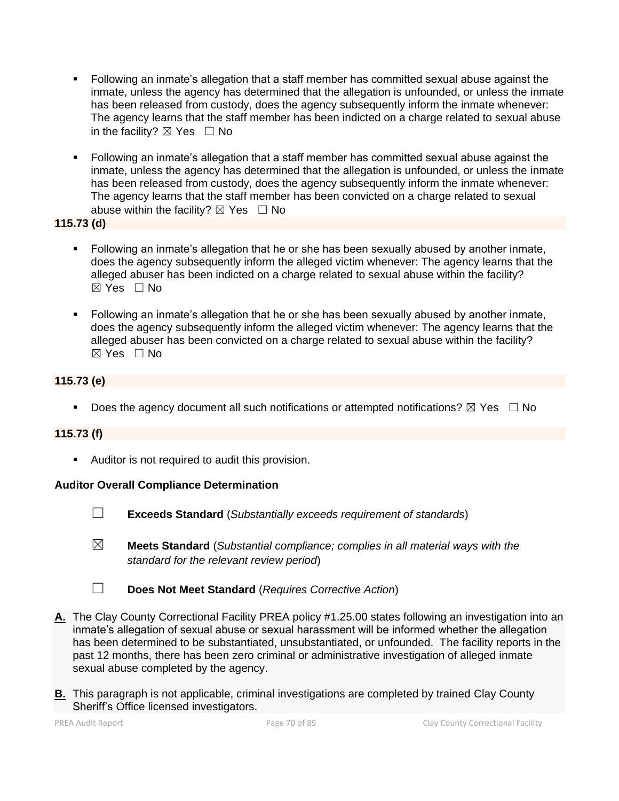- Following an inmate's allegation that a staff member has committed sexual abuse against the inmate, unless the agency has determined that the allegation is unfounded, or unless the inmate has been released from custody, does the agency subsequently inform the inmate whenever: The agency learns that the staff member has been indicted on a charge related to sexual abuse in the facility?  $\boxtimes$  Yes  $\Box$  No
- Following an inmate's allegation that a staff member has committed sexual abuse against the inmate, unless the agency has determined that the allegation is unfounded, or unless the inmate has been released from custody, does the agency subsequently inform the inmate whenever: The agency learns that the staff member has been convicted on a charge related to sexual abuse within the facility?  $\boxtimes$  Yes  $\Box$  No

**115.73 (d)**

- Following an inmate's allegation that he or she has been sexually abused by another inmate, does the agency subsequently inform the alleged victim whenever: The agency learns that the alleged abuser has been indicted on a charge related to sexual abuse within the facility? ☒ Yes ☐ No
- Following an inmate's allegation that he or she has been sexually abused by another inmate, does the agency subsequently inform the alleged victim whenever: The agency learns that the alleged abuser has been convicted on a charge related to sexual abuse within the facility?  $\boxtimes$  Yes  $\Box$  No

## **115.73 (e)**

**•** Does the agency document all such notifications or attempted notifications?  $\boxtimes$  Yes  $\Box$  No

## **115.73 (f)**

■ Auditor is not required to audit this provision.

## **Auditor Overall Compliance Determination**



☐ **Exceeds Standard** (*Substantially exceeds requirement of standards*)

- ☒ **Meets Standard** (*Substantial compliance; complies in all material ways with the standard for the relevant review period*)
- ☐ **Does Not Meet Standard** (*Requires Corrective Action*)
- **A.** The Clay County Correctional Facility PREA policy #1.25.00 states following an investigation into an inmate's allegation of sexual abuse or sexual harassment will be informed whether the allegation has been determined to be substantiated, unsubstantiated, or unfounded. The facility reports in the past 12 months, there has been zero criminal or administrative investigation of alleged inmate sexual abuse completed by the agency.
- **B.** This paragraph is not applicable, criminal investigations are completed by trained Clay County Sheriff's Office licensed investigators.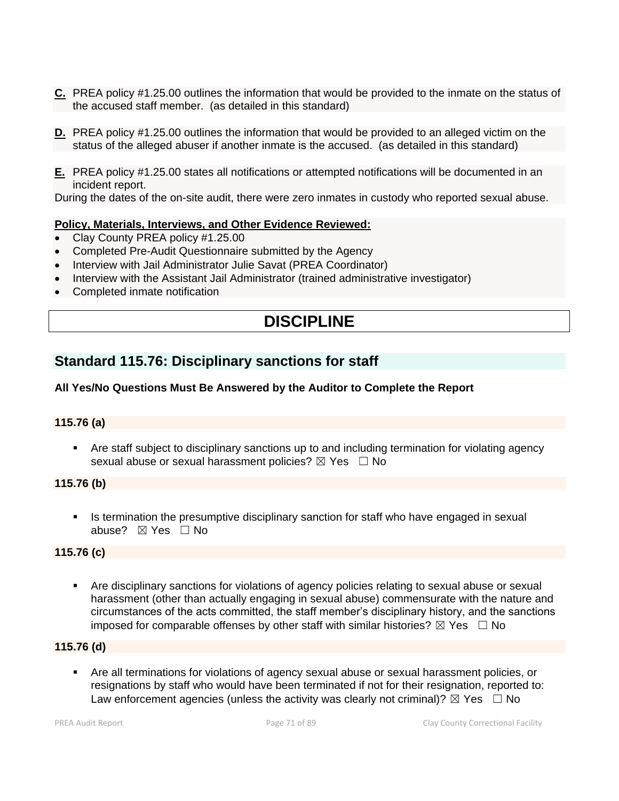- **C.** PREA policy #1.25.00 outlines the information that would be provided to the inmate on the status of the accused staff member. (as detailed in this standard)
- **D.** PREA policy #1.25.00 outlines the information that would be provided to an alleged victim on the status of the alleged abuser if another inmate is the accused. (as detailed in this standard)
- **E.** PREA policy #1.25.00 states all notifications or attempted notifications will be documented in an incident report.

During the dates of the on-site audit, there were zero inmates in custody who reported sexual abuse.

#### **Policy, Materials, Interviews, and Other Evidence Reviewed:**

- Clay County PREA policy #1.25.00
- Completed Pre-Audit Questionnaire submitted by the Agency
- Interview with Jail Administrator Julie Savat (PREA Coordinator)
- Interview with the Assistant Jail Administrator (trained administrative investigator)
- Completed inmate notification

# **DISCIPLINE**

## **Standard 115.76: Disciplinary sanctions for staff**

## **All Yes/No Questions Must Be Answered by the Auditor to Complete the Report**

#### **115.76 (a)**

Are staff subject to disciplinary sanctions up to and including termination for violating agency sexual abuse or sexual harassment policies?  $\boxtimes$  Yes  $\Box$  No

#### **115.76 (b)**

**■** Is termination the presumptive disciplinary sanction for staff who have engaged in sexual abuse? ☒ Yes ☐ No

#### **115.76 (c)**

Are disciplinary sanctions for violations of agency policies relating to sexual abuse or sexual harassment (other than actually engaging in sexual abuse) commensurate with the nature and circumstances of the acts committed, the staff member's disciplinary history, and the sanctions imposed for comparable offenses by other staff with similar histories?  $\boxtimes$  Yes  $\Box$  No

### **115.76 (d)**

Are all terminations for violations of agency sexual abuse or sexual harassment policies, or resignations by staff who would have been terminated if not for their resignation, reported to: Law enforcement agencies (unless the activity was clearly not criminal)?  $\boxtimes$  Yes  $\Box$  No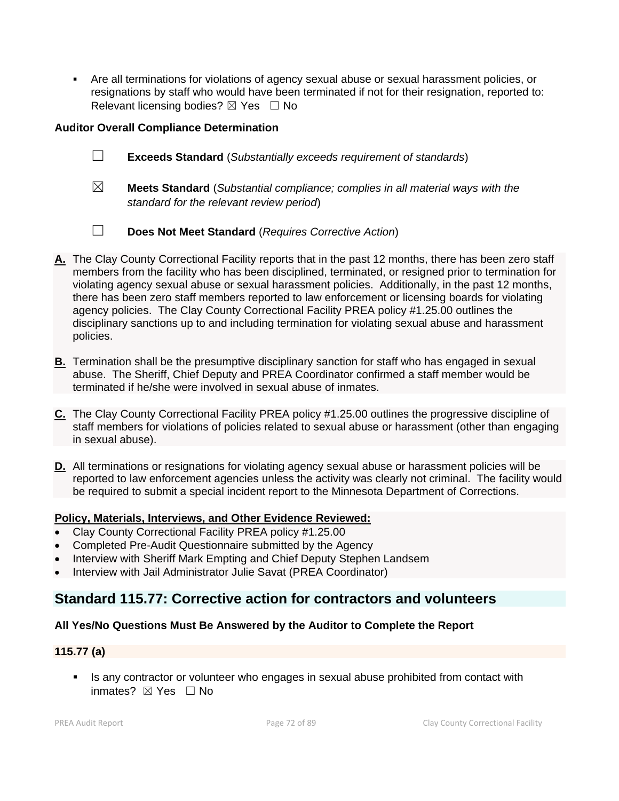▪ Are all terminations for violations of agency sexual abuse or sexual harassment policies, or resignations by staff who would have been terminated if not for their resignation, reported to: Relevant licensing bodies?  $\boxtimes$  Yes  $\Box$  No

## **Auditor Overall Compliance Determination**

- ☐ **Exceeds Standard** (*Substantially exceeds requirement of standards*)
- ☒ **Meets Standard** (*Substantial compliance; complies in all material ways with the standard for the relevant review period*)
- ☐ **Does Not Meet Standard** (*Requires Corrective Action*)
- **A.** The Clay County Correctional Facility reports that in the past 12 months, there has been zero staff members from the facility who has been disciplined, terminated, or resigned prior to termination for violating agency sexual abuse or sexual harassment policies. Additionally, in the past 12 months, there has been zero staff members reported to law enforcement or licensing boards for violating agency policies. The Clay County Correctional Facility PREA policy #1.25.00 outlines the disciplinary sanctions up to and including termination for violating sexual abuse and harassment policies.
- **B.** Termination shall be the presumptive disciplinary sanction for staff who has engaged in sexual abuse. The Sheriff, Chief Deputy and PREA Coordinator confirmed a staff member would be terminated if he/she were involved in sexual abuse of inmates.
- **C.** The Clay County Correctional Facility PREA policy #1.25.00 outlines the progressive discipline of staff members for violations of policies related to sexual abuse or harassment (other than engaging in sexual abuse).
- **D.** All terminations or resignations for violating agency sexual abuse or harassment policies will be reported to law enforcement agencies unless the activity was clearly not criminal. The facility would be required to submit a special incident report to the Minnesota Department of Corrections.

## **Policy, Materials, Interviews, and Other Evidence Reviewed:**

- Clay County Correctional Facility PREA policy #1.25.00
- Completed Pre-Audit Questionnaire submitted by the Agency
- Interview with Sheriff Mark Empting and Chief Deputy Stephen Landsem
- Interview with Jail Administrator Julie Savat (PREA Coordinator)

## **Standard 115.77: Corrective action for contractors and volunteers**

## **All Yes/No Questions Must Be Answered by the Auditor to Complete the Report**

## **115.77 (a)**

**EXECT** Is any contractor or volunteer who engages in sexual abuse prohibited from contact with inmates? ☒ Yes ☐ No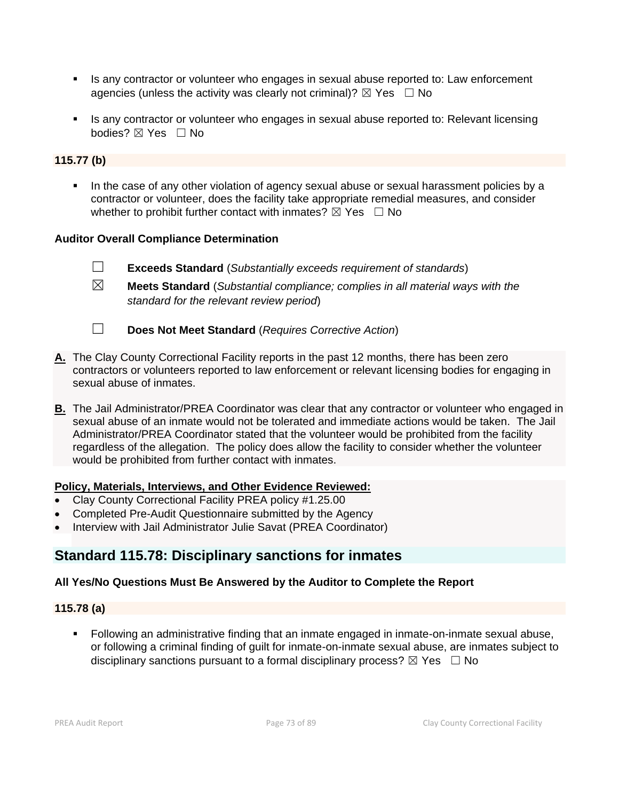- Is any contractor or volunteer who engages in sexual abuse reported to: Law enforcement agencies (unless the activity was clearly not criminal)?  $\boxtimes$  Yes  $\Box$  No
- Is any contractor or volunteer who engages in sexual abuse reported to: Relevant licensing bodies? ⊠ Yes □ No

### **115.77 (b)**

**.** In the case of any other violation of agency sexual abuse or sexual harassment policies by a contractor or volunteer, does the facility take appropriate remedial measures, and consider whether to prohibit further contact with inmates?  $\boxtimes$  Yes  $\Box$  No

### **Auditor Overall Compliance Determination**

- ☐ **Exceeds Standard** (*Substantially exceeds requirement of standards*)
- ☒ **Meets Standard** (*Substantial compliance; complies in all material ways with the standard for the relevant review period*)
- ☐ **Does Not Meet Standard** (*Requires Corrective Action*)
- **A.** The Clay County Correctional Facility reports in the past 12 months, there has been zero contractors or volunteers reported to law enforcement or relevant licensing bodies for engaging in sexual abuse of inmates.
- **B.** The Jail Administrator/PREA Coordinator was clear that any contractor or volunteer who engaged in sexual abuse of an inmate would not be tolerated and immediate actions would be taken. The Jail Administrator/PREA Coordinator stated that the volunteer would be prohibited from the facility regardless of the allegation. The policy does allow the facility to consider whether the volunteer would be prohibited from further contact with inmates.

### **Policy, Materials, Interviews, and Other Evidence Reviewed:**

- Clay County Correctional Facility PREA policy #1.25.00
- Completed Pre-Audit Questionnaire submitted by the Agency
- Interview with Jail Administrator Julie Savat (PREA Coordinator)

# **Standard 115.78: Disciplinary sanctions for inmates**

### **All Yes/No Questions Must Be Answered by the Auditor to Complete the Report**

### **115.78 (a)**

▪ Following an administrative finding that an inmate engaged in inmate-on-inmate sexual abuse, or following a criminal finding of guilt for inmate-on-inmate sexual abuse, are inmates subject to disciplinary sanctions pursuant to a formal disciplinary process?  $\boxtimes$  Yes  $\Box$  No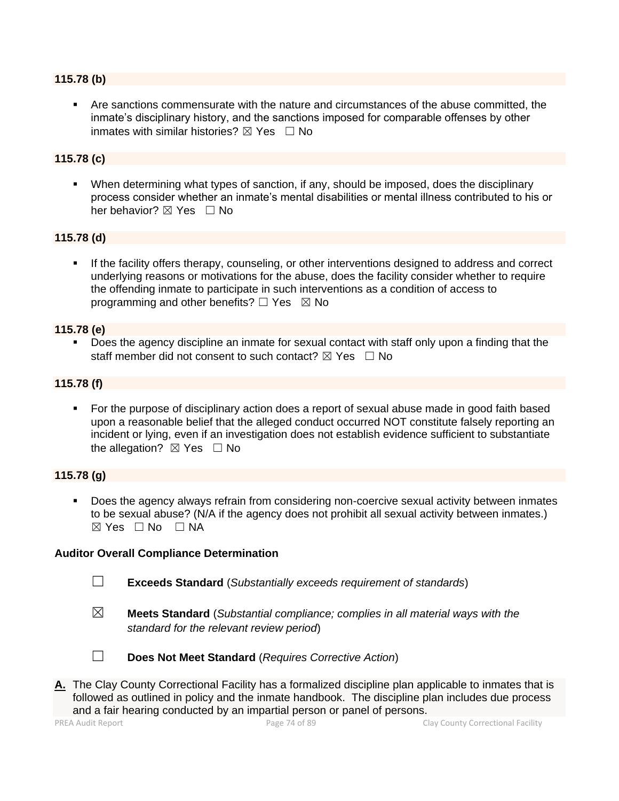#### **115.78 (b)**

Are sanctions commensurate with the nature and circumstances of the abuse committed, the inmate's disciplinary history, and the sanctions imposed for comparable offenses by other inmates with similar histories?  $\boxtimes$  Yes  $\Box$  No

### **115.78 (c)**

▪ When determining what types of sanction, if any, should be imposed, does the disciplinary process consider whether an inmate's mental disabilities or mental illness contributed to his or her behavior? ⊠ Yes □ No

#### **115.78 (d)**

If the facility offers therapy, counseling, or other interventions designed to address and correct underlying reasons or motivations for the abuse, does the facility consider whether to require the offending inmate to participate in such interventions as a condition of access to programming and other benefits?  $\Box$  Yes  $\boxtimes$  No

#### **115.78 (e)**

Does the agency discipline an inmate for sexual contact with staff only upon a finding that the staff member did not consent to such contact?  $\boxtimes$  Yes  $\Box$  No

#### **115.78 (f)**

■ For the purpose of disciplinary action does a report of sexual abuse made in good faith based upon a reasonable belief that the alleged conduct occurred NOT constitute falsely reporting an incident or lying, even if an investigation does not establish evidence sufficient to substantiate the allegation?  $\boxtimes$  Yes  $\Box$  No

#### **115.78 (g)**

Does the agency always refrain from considering non-coercive sexual activity between inmates to be sexual abuse? (N/A if the agency does not prohibit all sexual activity between inmates.)  $\boxtimes$  Yes  $\Box$  No  $\Box$  NA

#### **Auditor Overall Compliance Determination**

- ☐ **Exceeds Standard** (*Substantially exceeds requirement of standards*)
- 

☒ **Meets Standard** (*Substantial compliance; complies in all material ways with the standard for the relevant review period*)



- ☐ **Does Not Meet Standard** (*Requires Corrective Action*)
- **A.** The Clay County Correctional Facility has a formalized discipline plan applicable to inmates that is followed as outlined in policy and the inmate handbook. The discipline plan includes due process and a fair hearing conducted by an impartial person or panel of persons.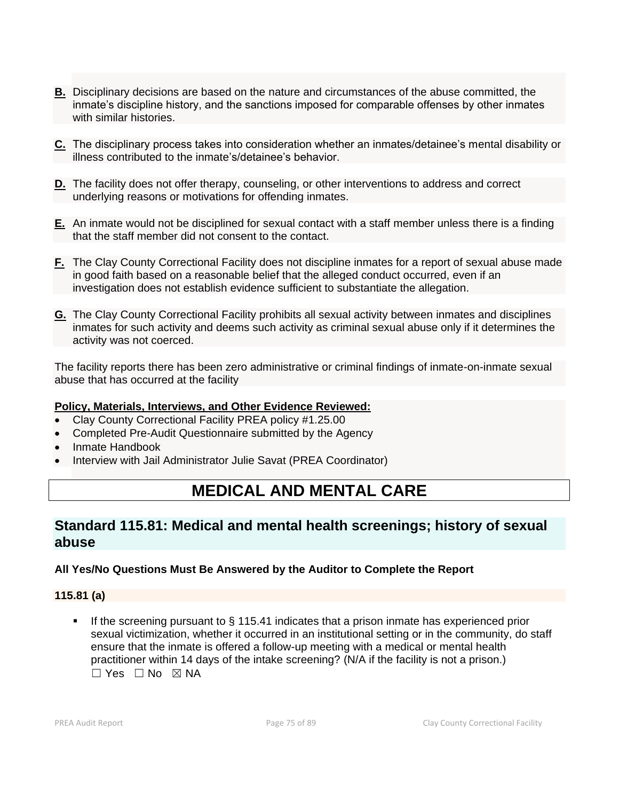- **B.** Disciplinary decisions are based on the nature and circumstances of the abuse committed, the inmate's discipline history, and the sanctions imposed for comparable offenses by other inmates with similar histories.
- **C.** The disciplinary process takes into consideration whether an inmates/detainee's mental disability or illness contributed to the inmate's/detainee's behavior.
- **D.** The facility does not offer therapy, counseling, or other interventions to address and correct underlying reasons or motivations for offending inmates.
- **E.** An inmate would not be disciplined for sexual contact with a staff member unless there is a finding that the staff member did not consent to the contact.
- **F.** The Clay County Correctional Facility does not discipline inmates for a report of sexual abuse made in good faith based on a reasonable belief that the alleged conduct occurred, even if an investigation does not establish evidence sufficient to substantiate the allegation.
- **G.** The Clay County Correctional Facility prohibits all sexual activity between inmates and disciplines inmates for such activity and deems such activity as criminal sexual abuse only if it determines the activity was not coerced.

The facility reports there has been zero administrative or criminal findings of inmate-on-inmate sexual abuse that has occurred at the facility

### **Policy, Materials, Interviews, and Other Evidence Reviewed:**

- Clay County Correctional Facility PREA policy #1.25.00
- Completed Pre-Audit Questionnaire submitted by the Agency
- Inmate Handbook
- Interview with Jail Administrator Julie Savat (PREA Coordinator)

# **MEDICAL AND MENTAL CARE**

# **Standard 115.81: Medical and mental health screenings; history of sexual abuse**

### **All Yes/No Questions Must Be Answered by the Auditor to Complete the Report**

### **115.81 (a)**

■ If the screening pursuant to § 115.41 indicates that a prison inmate has experienced prior sexual victimization, whether it occurred in an institutional setting or in the community, do staff ensure that the inmate is offered a follow-up meeting with a medical or mental health practitioner within 14 days of the intake screening? (N/A if the facility is not a prison.)  $\Box$  Yes  $\Box$  No  $\boxtimes$  NA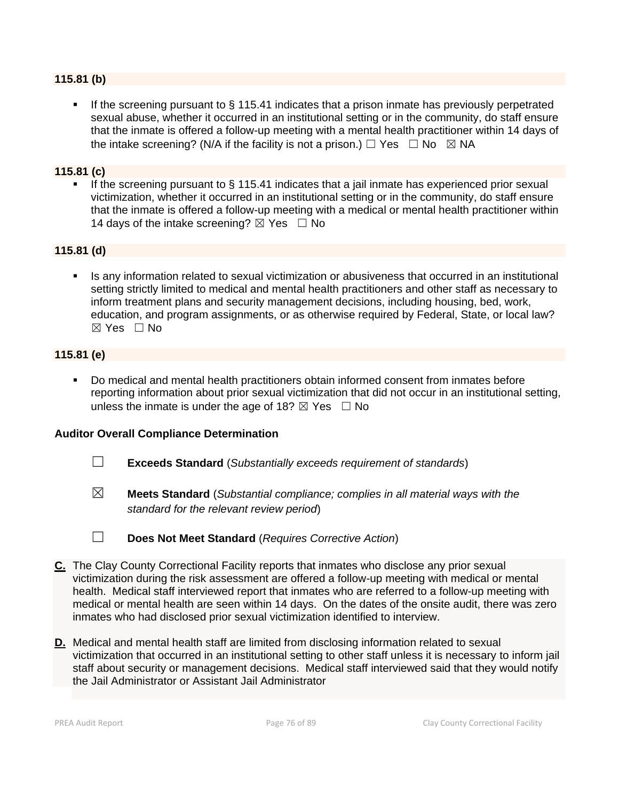### **115.81 (b)**

If the screening pursuant to  $\S$  115.41 indicates that a prison inmate has previously perpetrated sexual abuse, whether it occurred in an institutional setting or in the community, do staff ensure that the inmate is offered a follow-up meeting with a mental health practitioner within 14 days of the intake screening? (N/A if the facility is not a prison.)  $\Box$  Yes  $\Box$  No  $\boxtimes$  NA

#### **115.81 (c)**

**•** If the screening pursuant to § 115.41 indicates that a jail inmate has experienced prior sexual victimization, whether it occurred in an institutional setting or in the community, do staff ensure that the inmate is offered a follow-up meeting with a medical or mental health practitioner within 14 days of the intake screening?  $\boxtimes$  Yes  $\Box$  No

### **115.81 (d)**

Is any information related to sexual victimization or abusiveness that occurred in an institutional setting strictly limited to medical and mental health practitioners and other staff as necessary to inform treatment plans and security management decisions, including housing, bed, work, education, and program assignments, or as otherwise required by Federal, State, or local law? ☒ Yes ☐ No

#### **115.81 (e)**

Do medical and mental health practitioners obtain informed consent from inmates before reporting information about prior sexual victimization that did not occur in an institutional setting, unless the inmate is under the age of 18?  $\boxtimes$  Yes  $\Box$  No

- ☐ **Exceeds Standard** (*Substantially exceeds requirement of standards*)
- ☒ **Meets Standard** (*Substantial compliance; complies in all material ways with the standard for the relevant review period*)

☐ **Does Not Meet Standard** (*Requires Corrective Action*)

- **C.** The Clay County Correctional Facility reports that inmates who disclose any prior sexual victimization during the risk assessment are offered a follow-up meeting with medical or mental health. Medical staff interviewed report that inmates who are referred to a follow-up meeting with medical or mental health are seen within 14 days. On the dates of the onsite audit, there was zero inmates who had disclosed prior sexual victimization identified to interview.
- **D.** Medical and mental health staff are limited from disclosing information related to sexual victimization that occurred in an institutional setting to other staff unless it is necessary to inform jail staff about security or management decisions. Medical staff interviewed said that they would notify the Jail Administrator or Assistant Jail Administrator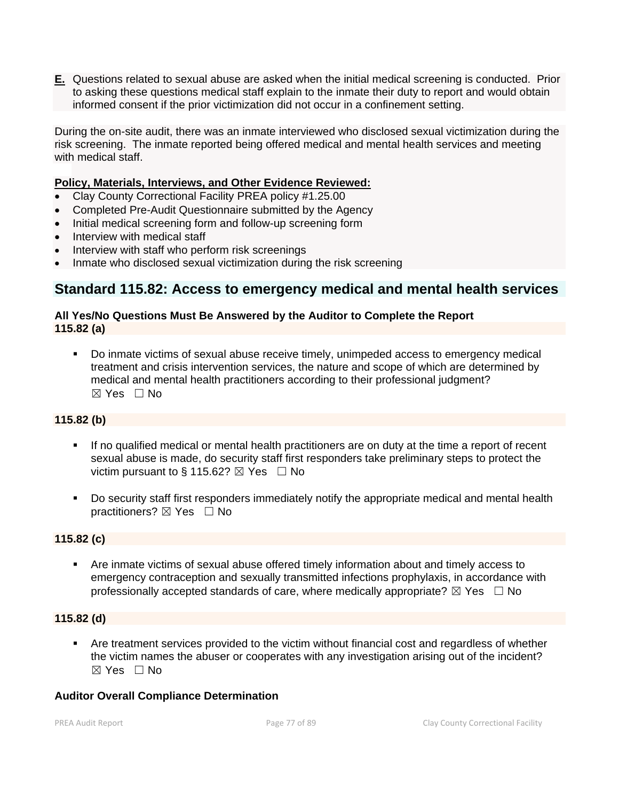**E.** Questions related to sexual abuse are asked when the initial medical screening is conducted. Prior to asking these questions medical staff explain to the inmate their duty to report and would obtain informed consent if the prior victimization did not occur in a confinement setting.

During the on-site audit, there was an inmate interviewed who disclosed sexual victimization during the risk screening. The inmate reported being offered medical and mental health services and meeting with medical staff.

### **Policy, Materials, Interviews, and Other Evidence Reviewed:**

- Clay County Correctional Facility PREA policy #1.25.00
- Completed Pre-Audit Questionnaire submitted by the Agency
- Initial medical screening form and follow-up screening form
- Interview with medical staff
- Interview with staff who perform risk screenings
- Inmate who disclosed sexual victimization during the risk screening

### **Standard 115.82: Access to emergency medical and mental health services**

#### **All Yes/No Questions Must Be Answered by the Auditor to Complete the Report 115.82 (a)**

Do inmate victims of sexual abuse receive timely, unimpeded access to emergency medical treatment and crisis intervention services, the nature and scope of which are determined by medical and mental health practitioners according to their professional judgment?  $\boxtimes$  Yes  $\Box$  No

### **115.82 (b)**

- If no qualified medical or mental health practitioners are on duty at the time a report of recent sexual abuse is made, do security staff first responders take preliminary steps to protect the victim pursuant to § 115.62?  $\boxtimes$  Yes  $\Box$  No
- Do security staff first responders immediately notify the appropriate medical and mental health practitioners? ⊠ Yes □ No

#### **115.82 (c)**

Are inmate victims of sexual abuse offered timely information about and timely access to emergency contraception and sexually transmitted infections prophylaxis, in accordance with professionally accepted standards of care, where medically appropriate?  $\boxtimes$  Yes  $\Box$  No

#### **115.82 (d)**

**EXECT** Are treatment services provided to the victim without financial cost and regardless of whether the victim names the abuser or cooperates with any investigation arising out of the incident?  $\boxtimes$  Yes  $\Box$  No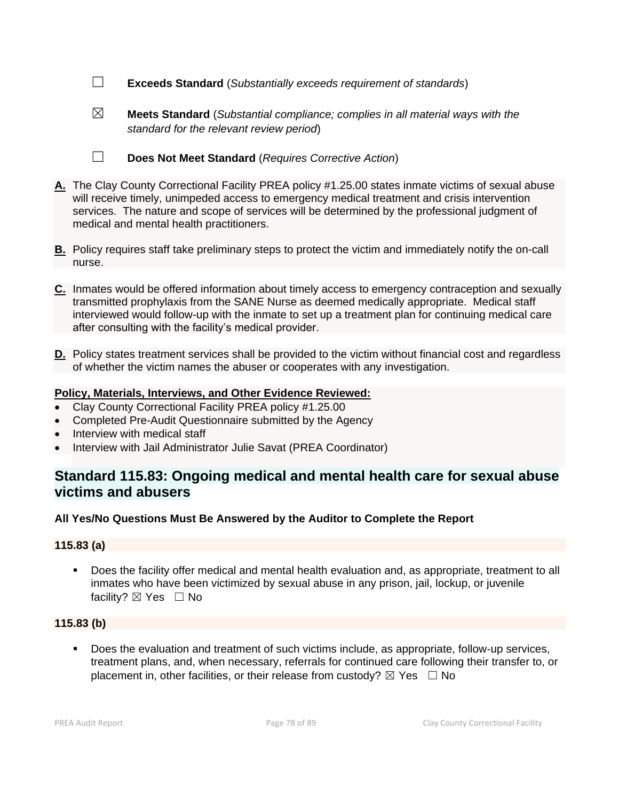- ☐ **Exceeds Standard** (*Substantially exceeds requirement of standards*)
- - ☒ **Meets Standard** (*Substantial compliance; complies in all material ways with the standard for the relevant review period*)
	-
	- ☐ **Does Not Meet Standard** (*Requires Corrective Action*)
- **A.** The Clay County Correctional Facility PREA policy #1.25.00 states inmate victims of sexual abuse will receive timely, unimpeded access to emergency medical treatment and crisis intervention services. The nature and scope of services will be determined by the professional judgment of medical and mental health practitioners.
- **B.** Policy requires staff take preliminary steps to protect the victim and immediately notify the on-call nurse.
- **C.** Inmates would be offered information about timely access to emergency contraception and sexually transmitted prophylaxis from the SANE Nurse as deemed medically appropriate. Medical staff interviewed would follow-up with the inmate to set up a treatment plan for continuing medical care after consulting with the facility's medical provider.
- **D.** Policy states treatment services shall be provided to the victim without financial cost and regardless of whether the victim names the abuser or cooperates with any investigation.

- Clay County Correctional Facility PREA policy #1.25.00
- Completed Pre-Audit Questionnaire submitted by the Agency
- Interview with medical staff
- Interview with Jail Administrator Julie Savat (PREA Coordinator)

# **Standard 115.83: Ongoing medical and mental health care for sexual abuse victims and abusers**

#### **All Yes/No Questions Must Be Answered by the Auditor to Complete the Report**

#### **115.83 (a)**

Does the facility offer medical and mental health evaluation and, as appropriate, treatment to all inmates who have been victimized by sexual abuse in any prison, jail, lockup, or juvenile facility?  $\boxtimes$  Yes  $\Box$  No

### **115.83 (b)**

Does the evaluation and treatment of such victims include, as appropriate, follow-up services, treatment plans, and, when necessary, referrals for continued care following their transfer to, or placement in, other facilities, or their release from custody?  $\boxtimes$  Yes  $\Box$  No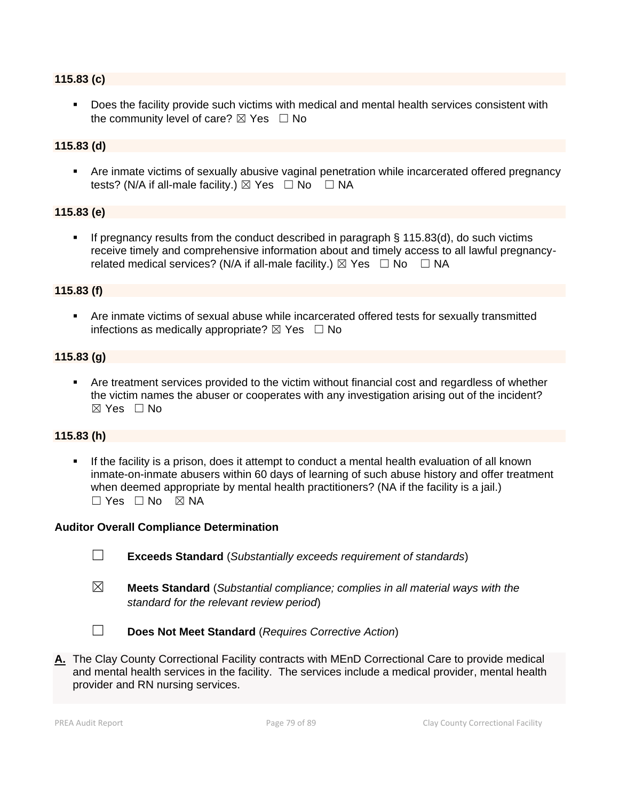#### **115.83 (c)**

Does the facility provide such victims with medical and mental health services consistent with the community level of care?  $\boxtimes$  Yes  $\Box$  No

### **115.83 (d)**

■ Are inmate victims of sexually abusive vaginal penetration while incarcerated offered pregnancy tests? (N/A if all-male facility.)  $\boxtimes$  Yes  $\Box$  No  $\Box$  NA

#### **115.83 (e)**

If pregnancy results from the conduct described in paragraph  $\S$  115.83(d), do such victims receive timely and comprehensive information about and timely access to all lawful pregnancyrelated medical services? (N/A if all-male facility.)  $\boxtimes$  Yes  $\Box$  No  $\Box$  NA

#### **115.83 (f)**

**EXTE:** Are inmate victims of sexual abuse while incarcerated offered tests for sexually transmitted infections as medically appropriate?  $\boxtimes$  Yes  $\Box$  No

### **115.83 (g)**

Are treatment services provided to the victim without financial cost and regardless of whether the victim names the abuser or cooperates with any investigation arising out of the incident?  $\boxtimes$  Yes  $\Box$  No

### **115.83 (h)**

**.** If the facility is a prison, does it attempt to conduct a mental health evaluation of all known inmate-on-inmate abusers within 60 days of learning of such abuse history and offer treatment when deemed appropriate by mental health practitioners? (NA if the facility is a jail.)  $\Box$  Yes  $\Box$  No  $\boxtimes$  NA

#### **Auditor Overall Compliance Determination**

- ☐ **Exceeds Standard** (*Substantially exceeds requirement of standards*)
- ☒ **Meets Standard** (*Substantial compliance; complies in all material ways with the standard for the relevant review period*)

☐ **Does Not Meet Standard** (*Requires Corrective Action*)

**A.** The Clay County Correctional Facility contracts with MEnD Correctional Care to provide medical and mental health services in the facility. The services include a medical provider, mental health provider and RN nursing services.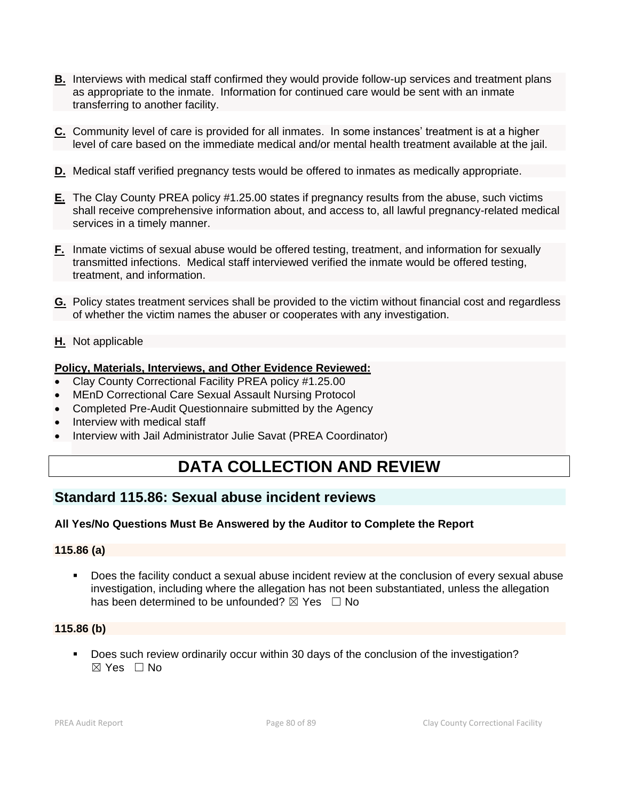- **B.** Interviews with medical staff confirmed they would provide follow-up services and treatment plans as appropriate to the inmate. Information for continued care would be sent with an inmate transferring to another facility.
- **C.** Community level of care is provided for all inmates. In some instances' treatment is at a higher level of care based on the immediate medical and/or mental health treatment available at the jail.
- **D.** Medical staff verified pregnancy tests would be offered to inmates as medically appropriate.
- **E.** The Clay County PREA policy #1.25.00 states if pregnancy results from the abuse, such victims shall receive comprehensive information about, and access to, all lawful pregnancy-related medical services in a timely manner.
- **F.** Inmate victims of sexual abuse would be offered testing, treatment, and information for sexually transmitted infections. Medical staff interviewed verified the inmate would be offered testing, treatment, and information.
- **G.** Policy states treatment services shall be provided to the victim without financial cost and regardless of whether the victim names the abuser or cooperates with any investigation.
- **H.** Not applicable

- Clay County Correctional Facility PREA policy #1.25.00
- MEnD Correctional Care Sexual Assault Nursing Protocol
- Completed Pre-Audit Questionnaire submitted by the Agency
- Interview with medical staff
- Interview with Jail Administrator Julie Savat (PREA Coordinator)

# **DATA COLLECTION AND REVIEW**

# **Standard 115.86: Sexual abuse incident reviews**

### **All Yes/No Questions Must Be Answered by the Auditor to Complete the Report**

#### **115.86 (a)**

■ Does the facility conduct a sexual abuse incident review at the conclusion of every sexual abuse investigation, including where the allegation has not been substantiated, unless the allegation has been determined to be unfounded?  $\boxtimes$  Yes  $\Box$  No

#### **115.86 (b)**

▪ Does such review ordinarily occur within 30 days of the conclusion of the investigation? ☒ Yes ☐ No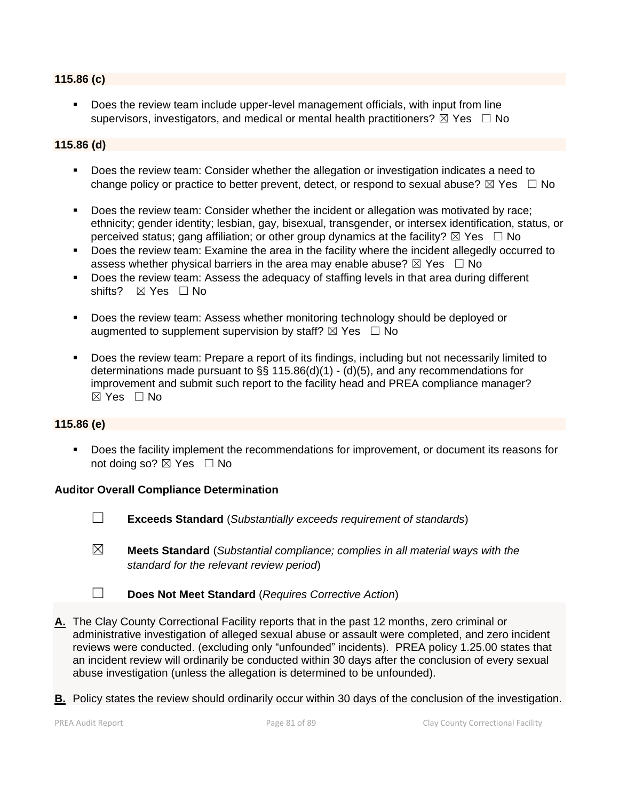### **115.86 (c)**

Does the review team include upper-level management officials, with input from line supervisors, investigators, and medical or mental health practitioners?  $\boxtimes$  Yes  $\Box$  No

### **115.86 (d)**

- Does the review team: Consider whether the allegation or investigation indicates a need to change policy or practice to better prevent, detect, or respond to sexual abuse?  $\boxtimes$  Yes  $\Box$  No
- Does the review team: Consider whether the incident or allegation was motivated by race; ethnicity; gender identity; lesbian, gay, bisexual, transgender, or intersex identification, status, or perceived status; gang affiliation; or other group dynamics at the facility?  $\boxtimes$  Yes  $\Box$  No
- Does the review team: Examine the area in the facility where the incident allegedly occurred to assess whether physical barriers in the area may enable abuse?  $\boxtimes$  Yes  $\Box$  No
- Does the review team: Assess the adequacy of staffing levels in that area during different shifts? ⊠ Yes □ No
- Does the review team: Assess whether monitoring technology should be deployed or augmented to supplement supervision by staff?  $\boxtimes$  Yes  $\Box$  No
- Does the review team: Prepare a report of its findings, including but not necessarily limited to determinations made pursuant to §§ 115.86(d)(1) - (d)(5), and any recommendations for improvement and submit such report to the facility head and PREA compliance manager?  $\boxtimes$  Yes  $\Box$  No

#### **115.86 (e)**

▪ Does the facility implement the recommendations for improvement, or document its reasons for not doing so?  $\boxtimes$  Yes  $\Box$  No

- ☐ **Exceeds Standard** (*Substantially exceeds requirement of standards*)
- ☒ **Meets Standard** (*Substantial compliance; complies in all material ways with the standard for the relevant review period*)
- ☐ **Does Not Meet Standard** (*Requires Corrective Action*)
- **A.** The Clay County Correctional Facility reports that in the past 12 months, zero criminal or administrative investigation of alleged sexual abuse or assault were completed, and zero incident reviews were conducted. (excluding only "unfounded" incidents). PREA policy 1.25.00 states that an incident review will ordinarily be conducted within 30 days after the conclusion of every sexual abuse investigation (unless the allegation is determined to be unfounded).
- **B.** Policy states the review should ordinarily occur within 30 days of the conclusion of the investigation.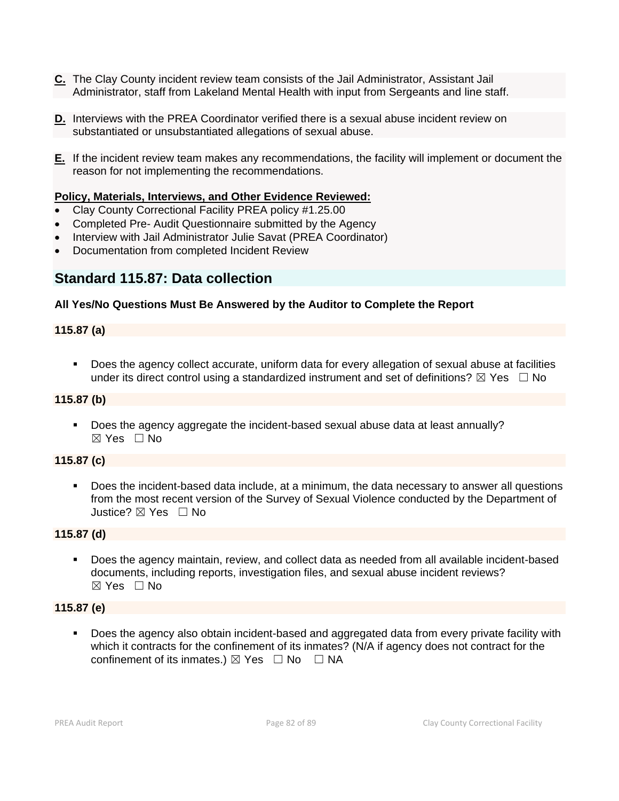- **C.** The Clay County incident review team consists of the Jail Administrator, Assistant Jail Administrator, staff from Lakeland Mental Health with input from Sergeants and line staff.
- **D.** Interviews with the PREA Coordinator verified there is a sexual abuse incident review on substantiated or unsubstantiated allegations of sexual abuse.
- **E.** If the incident review team makes any recommendations, the facility will implement or document the reason for not implementing the recommendations.

- Clay County Correctional Facility PREA policy #1.25.00
- Completed Pre- Audit Questionnaire submitted by the Agency
- Interview with Jail Administrator Julie Savat (PREA Coordinator)
- Documentation from completed Incident Review

# **Standard 115.87: Data collection**

### **All Yes/No Questions Must Be Answered by the Auditor to Complete the Report**

### **115.87 (a)**

▪ Does the agency collect accurate, uniform data for every allegation of sexual abuse at facilities under its direct control using a standardized instrument and set of definitions?  $\boxtimes$  Yes  $\Box$  No

### **115.87 (b)**

▪ Does the agency aggregate the incident-based sexual abuse data at least annually?  $\boxtimes$  Yes  $\Box$  No

### **115.87 (c)**

■ Does the incident-based data include, at a minimum, the data necessary to answer all questions from the most recent version of the Survey of Sexual Violence conducted by the Department of Justice? ☒ Yes ☐ No

### **115.87 (d)**

▪ Does the agency maintain, review, and collect data as needed from all available incident-based documents, including reports, investigation files, and sexual abuse incident reviews? ☒ Yes ☐ No

### **115.87 (e)**

■ Does the agency also obtain incident-based and aggregated data from every private facility with which it contracts for the confinement of its inmates? (N/A if agency does not contract for the confinement of its inmates.)  $\boxtimes$  Yes  $\Box$  No  $\Box$  NA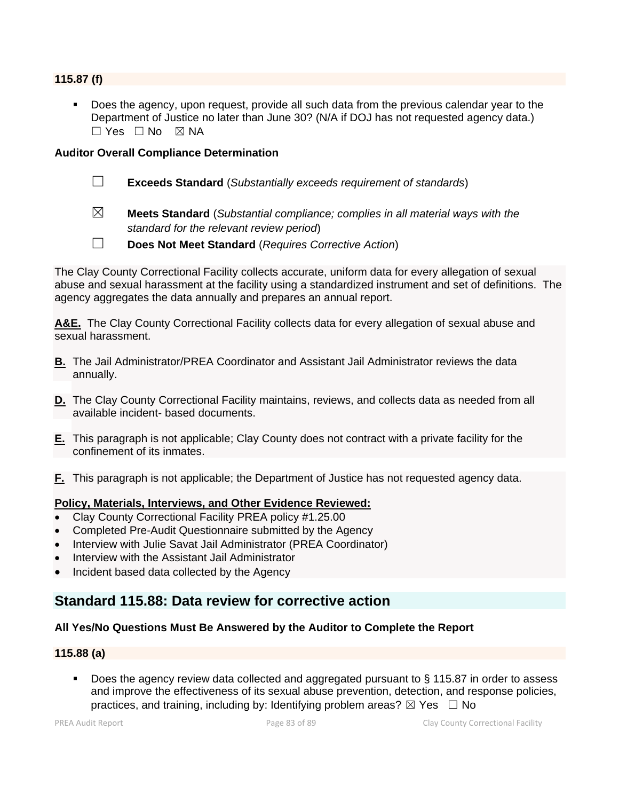#### **115.87 (f)**

Does the agency, upon request, provide all such data from the previous calendar year to the Department of Justice no later than June 30? (N/A if DOJ has not requested agency data.)  $\Box$  Yes  $\Box$  No  $\boxtimes$  NA

#### **Auditor Overall Compliance Determination**

- ☐ **Exceeds Standard** (*Substantially exceeds requirement of standards*)
- ☒ **Meets Standard** (*Substantial compliance; complies in all material ways with the standard for the relevant review period*)
- ☐ **Does Not Meet Standard** (*Requires Corrective Action*)

The Clay County Correctional Facility collects accurate, uniform data for every allegation of sexual abuse and sexual harassment at the facility using a standardized instrument and set of definitions. The agency aggregates the data annually and prepares an annual report.

**A&E.** The Clay County Correctional Facility collects data for every allegation of sexual abuse and sexual harassment.

- **B.** The Jail Administrator/PREA Coordinator and Assistant Jail Administrator reviews the data annually.
- **D.** The Clay County Correctional Facility maintains, reviews, and collects data as needed from all available incident- based documents.
- **E.** This paragraph is not applicable; Clay County does not contract with a private facility for the confinement of its inmates.
- **F.** This paragraph is not applicable; the Department of Justice has not requested agency data.

### **Policy, Materials, Interviews, and Other Evidence Reviewed:**

- Clay County Correctional Facility PREA policy #1.25.00
- Completed Pre-Audit Questionnaire submitted by the Agency
- Interview with Julie Savat Jail Administrator (PREA Coordinator)
- Interview with the Assistant Jail Administrator
- Incident based data collected by the Agency

## **Standard 115.88: Data review for corrective action**

#### **All Yes/No Questions Must Be Answered by the Auditor to Complete the Report**

#### **115.88 (a)**

Does the agency review data collected and aggregated pursuant to § 115.87 in order to assess and improve the effectiveness of its sexual abuse prevention, detection, and response policies, practices, and training, including by: Identifying problem areas?  $\boxtimes$  Yes  $\Box$  No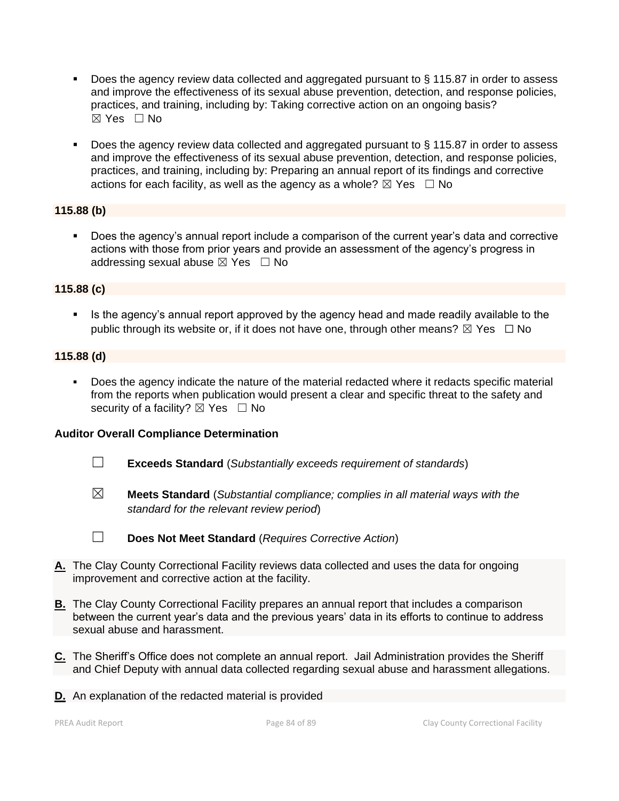- Does the agency review data collected and aggregated pursuant to § 115.87 in order to assess and improve the effectiveness of its sexual abuse prevention, detection, and response policies, practices, and training, including by: Taking corrective action on an ongoing basis? ☒ Yes ☐ No
- Does the agency review data collected and aggregated pursuant to § 115.87 in order to assess and improve the effectiveness of its sexual abuse prevention, detection, and response policies, practices, and training, including by: Preparing an annual report of its findings and corrective actions for each facility, as well as the agency as a whole?  $\boxtimes$  Yes  $\Box$  No

### **115.88 (b)**

▪ Does the agency's annual report include a comparison of the current year's data and corrective actions with those from prior years and provide an assessment of the agency's progress in addressing sexual abuse  $\boxtimes$  Yes  $\Box$  No

### **115.88 (c)**

**EXECT** Is the agency's annual report approved by the agency head and made readily available to the public through its website or, if it does not have one, through other means?  $\boxtimes$  Yes  $\Box$  No

### **115.88 (d)**

Does the agency indicate the nature of the material redacted where it redacts specific material from the reports when publication would present a clear and specific threat to the safety and security of a facility?  $\boxtimes$  Yes  $\Box$  No

- ☐ **Exceeds Standard** (*Substantially exceeds requirement of standards*)
- ☒ **Meets Standard** (*Substantial compliance; complies in all material ways with the standard for the relevant review period*)

- ☐ **Does Not Meet Standard** (*Requires Corrective Action*)
- **A.** The Clay County Correctional Facility reviews data collected and uses the data for ongoing improvement and corrective action at the facility.
- **B.** The Clay County Correctional Facility prepares an annual report that includes a comparison between the current year's data and the previous years' data in its efforts to continue to address sexual abuse and harassment.
- **C.** The Sheriff's Office does not complete an annual report. Jail Administration provides the Sheriff and Chief Deputy with annual data collected regarding sexual abuse and harassment allegations.
- **D.** An explanation of the redacted material is provided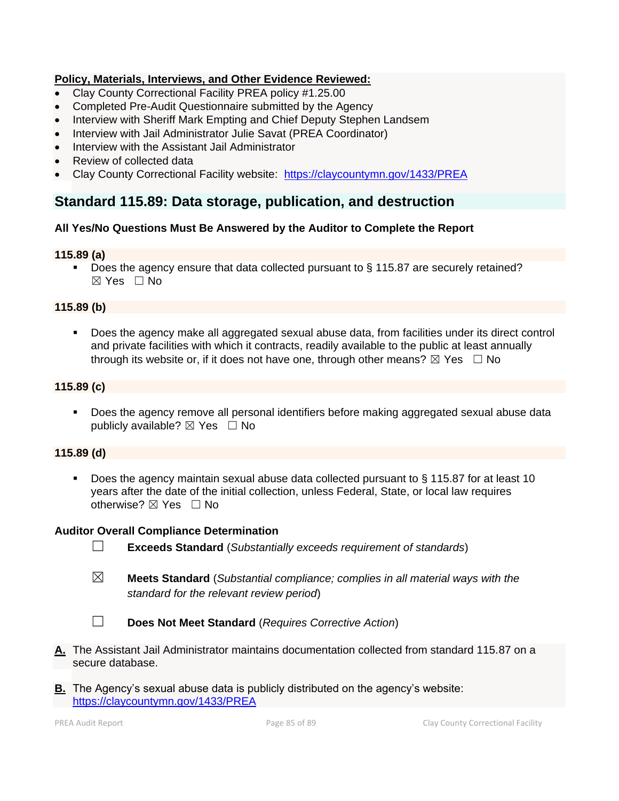- Clay County Correctional Facility PREA policy #1.25.00
- Completed Pre-Audit Questionnaire submitted by the Agency
- Interview with Sheriff Mark Empting and Chief Deputy Stephen Landsem
- Interview with Jail Administrator Julie Savat (PREA Coordinator)
- Interview with the Assistant Jail Administrator
- Review of collected data
- Clay County Correctional Facility website: <https://claycountymn.gov/1433/PREA>

# **Standard 115.89: Data storage, publication, and destruction**

### **All Yes/No Questions Must Be Answered by the Auditor to Complete the Report**

### **115.89 (a)**

■ Does the agency ensure that data collected pursuant to § 115.87 are securely retained?  $\boxtimes$  Yes  $\Box$  No

### **115.89 (b)**

▪ Does the agency make all aggregated sexual abuse data, from facilities under its direct control and private facilities with which it contracts, readily available to the public at least annually through its website or, if it does not have one, through other means?  $\boxtimes$  Yes  $\Box$  No

### **115.89 (c)**

**• Does the agency remove all personal identifiers before making aggregated sexual abuse data** publicly available?  $\boxtimes$  Yes  $\Box$  No

### **115.89 (d)**

Does the agency maintain sexual abuse data collected pursuant to § 115.87 for at least 10 years after the date of the initial collection, unless Federal, State, or local law requires otherwise?  $\boxtimes$  Yes  $\Box$  No

- ☐ **Exceeds Standard** (*Substantially exceeds requirement of standards*)
- ☒ **Meets Standard** (*Substantial compliance; complies in all material ways with the standard for the relevant review period*)

☐ **Does Not Meet Standard** (*Requires Corrective Action*)

- **A.** The Assistant Jail Administrator maintains documentation collected from standard 115.87 on a secure database.
- **B.** The Agency's sexual abuse data is publicly distributed on the agency's website: <https://claycountymn.gov/1433/PREA>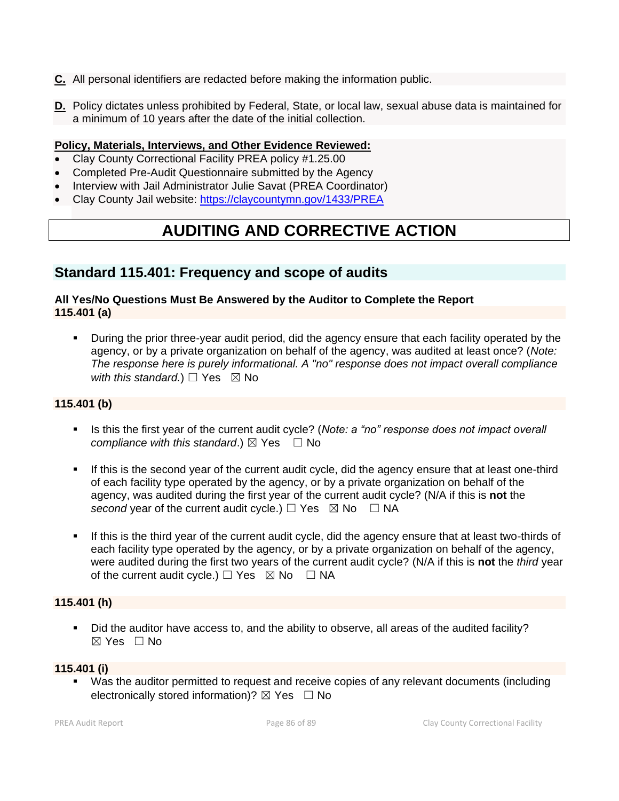- **C.** All personal identifiers are redacted before making the information public.
- **D.** Policy dictates unless prohibited by Federal, State, or local law, sexual abuse data is maintained for a minimum of 10 years after the date of the initial collection.

- Clay County Correctional Facility PREA policy #1.25.00
- Completed Pre-Audit Questionnaire submitted by the Agency
- Interview with Jail Administrator Julie Savat (PREA Coordinator)
- Clay County Jail website:<https://claycountymn.gov/1433/PREA>

# **AUDITING AND CORRECTIVE ACTION**

# **Standard 115.401: Frequency and scope of audits**

### **All Yes/No Questions Must Be Answered by the Auditor to Complete the Report 115.401 (a)**

**EXED** During the prior three-year audit period, did the agency ensure that each facility operated by the agency, or by a private organization on behalf of the agency, was audited at least once? (*Note: The response here is purely informational. A "no" response does not impact overall compliance with this standard.*)  $\Box$  Yes  $\boxtimes$  No

### **115.401 (b)**

- **EXED IS this the first year of the current audit cycle? (***Note: a "no" response does not impact overall compliance with this standard.*)  $\boxtimes$  Yes  $\Box$  No
- If this is the second year of the current audit cycle, did the agency ensure that at least one-third of each facility type operated by the agency, or by a private organization on behalf of the agency, was audited during the first year of the current audit cycle? (N/A if this is **not** the *second* year of the current audit cycle.)  $\Box$  Yes  $\boxtimes$  No  $\Box$  NA
- If this is the third year of the current audit cycle, did the agency ensure that at least two-thirds of each facility type operated by the agency, or by a private organization on behalf of the agency, were audited during the first two years of the current audit cycle? (N/A if this is **not** the *third* year of the current audit cycle.)  $\Box$  Yes  $\boxtimes$  No  $\Box$  NA

### **115.401 (h)**

▪ Did the auditor have access to, and the ability to observe, all areas of the audited facility?  $\boxtimes$  Yes  $\Box$  No

#### **115.401 (i)**

Was the auditor permitted to request and receive copies of any relevant documents (including electronically stored information)?  $\boxtimes$  Yes  $\Box$  No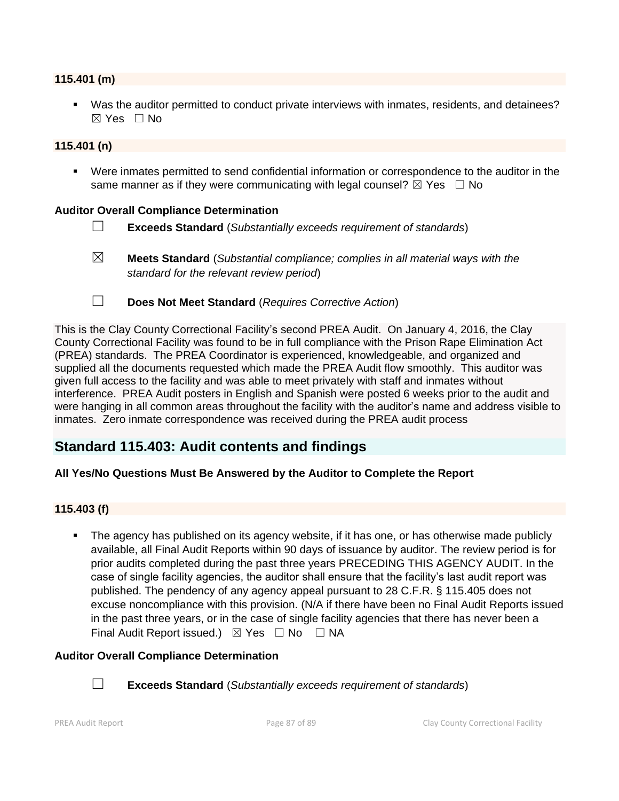#### **115.401 (m)**

▪ Was the auditor permitted to conduct private interviews with inmates, residents, and detainees? ☒ Yes ☐ No

#### **115.401 (n)**

▪ Were inmates permitted to send confidential information or correspondence to the auditor in the same manner as if they were communicating with legal counsel?  $\boxtimes$  Yes  $\Box$  No

#### **Auditor Overall Compliance Determination**

- ☐ **Exceeds Standard** (*Substantially exceeds requirement of standards*)
- ☒ **Meets Standard** (*Substantial compliance; complies in all material ways with the standard for the relevant review period*)
- ☐ **Does Not Meet Standard** (*Requires Corrective Action*)

This is the Clay County Correctional Facility's second PREA Audit. On January 4, 2016, the Clay County Correctional Facility was found to be in full compliance with the Prison Rape Elimination Act (PREA) standards. The PREA Coordinator is experienced, knowledgeable, and organized and supplied all the documents requested which made the PREA Audit flow smoothly. This auditor was given full access to the facility and was able to meet privately with staff and inmates without interference. PREA Audit posters in English and Spanish were posted 6 weeks prior to the audit and were hanging in all common areas throughout the facility with the auditor's name and address visible to inmates. Zero inmate correspondence was received during the PREA audit process

# **Standard 115.403: Audit contents and findings**

### **All Yes/No Questions Must Be Answered by the Auditor to Complete the Report**

### **115.403 (f)**

• The agency has published on its agency website, if it has one, or has otherwise made publicly available, all Final Audit Reports within 90 days of issuance by auditor. The review period is for prior audits completed during the past three years PRECEDING THIS AGENCY AUDIT. In the case of single facility agencies, the auditor shall ensure that the facility's last audit report was published. The pendency of any agency appeal pursuant to 28 C.F.R. § 115.405 does not excuse noncompliance with this provision. (N/A if there have been no Final Audit Reports issued in the past three years, or in the case of single facility agencies that there has never been a Final Audit Report issued.)  $\boxtimes$  Yes  $\Box$  No  $\Box$  NA

#### **Auditor Overall Compliance Determination**



☐ **Exceeds Standard** (*Substantially exceeds requirement of standards*)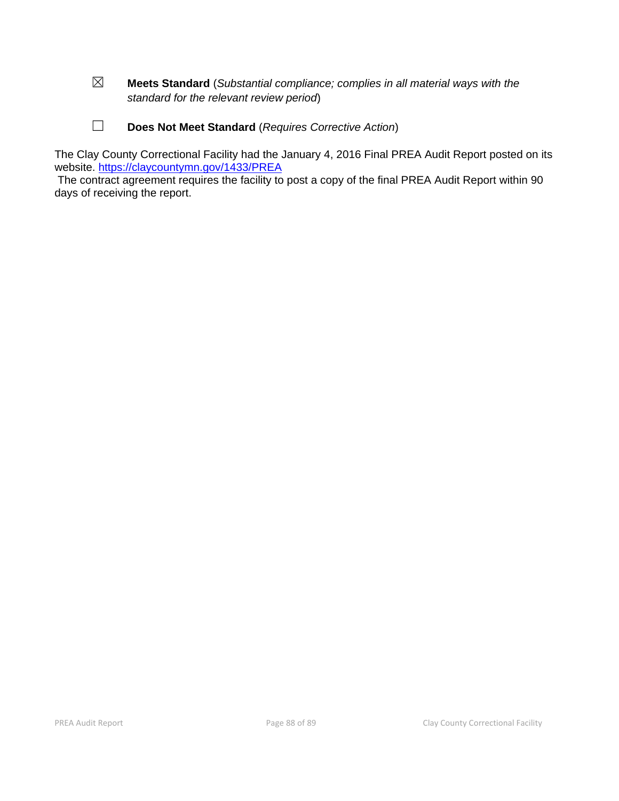- ☒ **Meets Standard** (*Substantial compliance; complies in all material ways with the standard for the relevant review period*)
- ☐ **Does Not Meet Standard** (*Requires Corrective Action*)

The Clay County Correctional Facility had the January 4, 2016 Final PREA Audit Report posted on its website.<https://claycountymn.gov/1433/PREA>

The contract agreement requires the facility to post a copy of the final PREA Audit Report within 90 days of receiving the report.